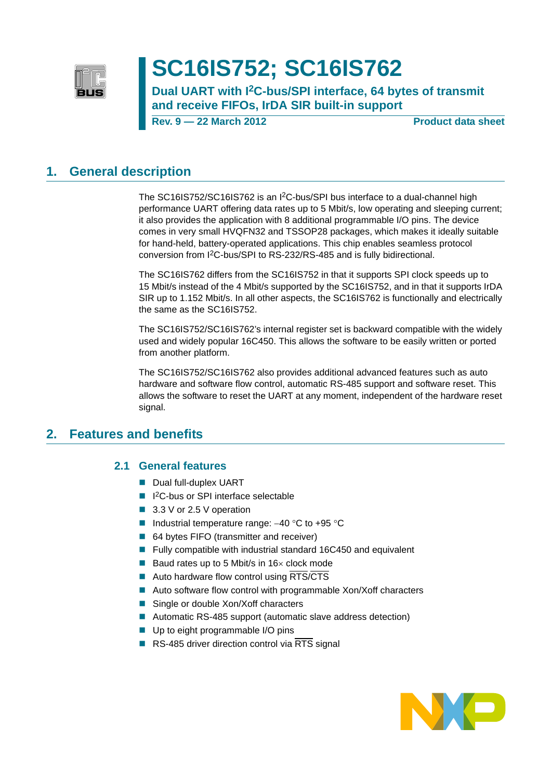

# **SC16IS752; SC16IS762**

**Dual UART with I2C-bus/SPI interface, 64 bytes of transmit and receive FIFOs, IrDA SIR built-in support**

**Rev. 9 — 22 March 2012 Product data sheet**

## <span id="page-0-0"></span>**1. General description**

The SC16IS752/SC16IS762 is an I2C-bus/SPI bus interface to a dual-channel high performance UART offering data rates up to 5 Mbit/s, low operating and sleeping current; it also provides the application with 8 additional programmable I/O pins. The device comes in very small HVQFN32 and TSSOP28 packages, which makes it ideally suitable for hand-held, battery-operated applications. This chip enables seamless protocol conversion from I2C-bus/SPI to RS-232/RS-485 and is fully bidirectional.

The SC16IS762 differs from the SC16IS752 in that it supports SPI clock speeds up to 15 Mbit/s instead of the 4 Mbit/s supported by the SC16IS752, and in that it supports IrDA SIR up to 1.152 Mbit/s. In all other aspects, the SC16IS762 is functionally and electrically the same as the SC16IS752.

The SC16IS752/SC16IS762's internal register set is backward compatible with the widely used and widely popular 16C450. This allows the software to be easily written or ported from another platform.

The SC16IS752/SC16IS762 also provides additional advanced features such as auto hardware and software flow control, automatic RS-485 support and software reset. This allows the software to reset the UART at any moment, independent of the hardware reset signal.

## <span id="page-0-2"></span><span id="page-0-1"></span>**2. Features and benefits**

## **2.1 General features**

- Dual full-duplex UART
- I<sup>2</sup>C-bus or SPI interface selectable
- 3.3 V or 2.5 V operation
- Industrial temperature range:  $-40$  °C to  $+95$  °C
- 64 bytes FIFO (transmitter and receiver)
- Fully compatible with industrial standard 16C450 and equivalent
- Baud rates up to 5 Mbit/s in 16 $\times$  clock mode
- Auto hardware flow control using  $RTS/CTS$
- Auto software flow control with programmable Xon/Xoff characters
- Single or double Xon/Xoff characters
- Automatic RS-485 support (automatic slave address detection)
- Up to eight programmable I/O pins
- RS-485 driver direction control via  $\overline{\text{RTS}}$  signal

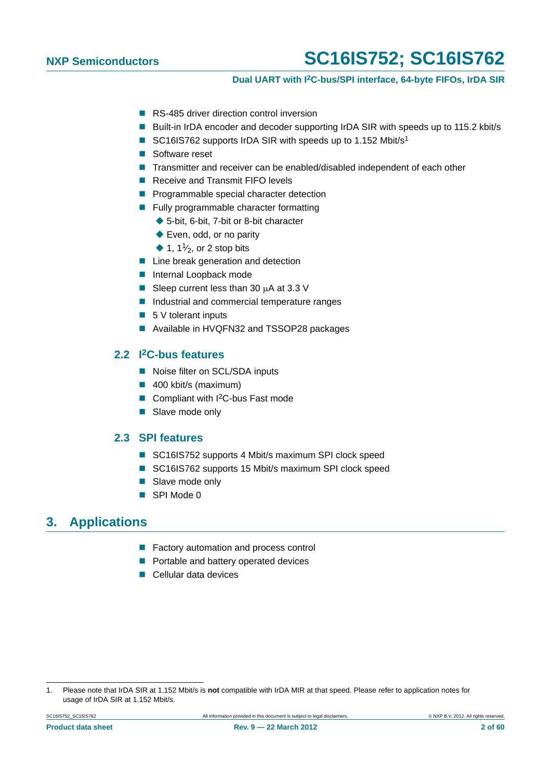## **Dual UART with I2C-bus/SPI interface, 64-byte FIFOs, IrDA SIR**

- RS-485 driver direction control inversion
- Built-in IrDA encoder and decoder supporting IrDA SIR with speeds up to 115.2 kbit/s
- SC16IS762 supports IrDA SIR with speeds up to 1.152 Mbit/s<sup>1</sup>
- Software reset
- Transmitter and receiver can be enabled/disabled independent of each other
- Receive and Transmit FIFO levels
- **Programmable special character detection**
- **Fully programmable character formatting** 
	- ◆ 5-bit, 6-bit, 7-bit or 8-bit character
	- ◆ Even, odd, or no parity
	- $\blacklozenge$  1, 1<sup>1</sup>/<sub>2</sub>, or 2 stop bits
- **Line break generation and detection**
- **Internal Loopback mode**
- Sleep current less than 30  $\mu$ A at 3.3 V
- Industrial and commercial temperature ranges
- $\blacksquare$  5 V tolerant inputs
- Available in HVQFN32 and TSSOP28 packages

## <span id="page-1-0"></span>**2.2 I2C-bus features**

- Noise filter on SCL/SDA inputs
- 400 kbit/s (maximum)
- Compliant with I<sup>2</sup>C-bus Fast mode
- Slave mode only

## <span id="page-1-1"></span>**2.3 SPI features**

- SC16IS752 supports 4 Mbit/s maximum SPI clock speed
- SC16IS762 supports 15 Mbit/s maximum SPI clock speed
- Slave mode only
- SPI Mode 0

## <span id="page-1-2"></span>**3. Applications**

- **Factory automation and process control**
- **Portable and battery operated devices**
- **Cellular data devices**

<sup>1.</sup> Please note that IrDA SIR at 1.152 Mbit/s is **not** compatible with IrDA MIR at that speed. Please refer to application notes for usage of IrDA SIR at 1.152 Mbit/s.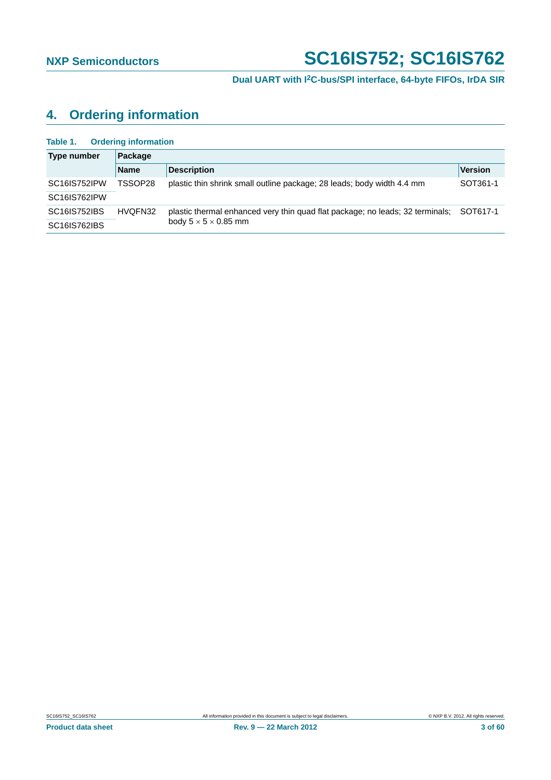## <span id="page-2-0"></span>**4. Ordering information**

| Table 1. | <b>Ordering information</b> |  |
|----------|-----------------------------|--|
|          |                             |  |

| Type number         | Package     |                                                                                        |                |  |  |  |
|---------------------|-------------|----------------------------------------------------------------------------------------|----------------|--|--|--|
|                     | <b>Name</b> | <b>Description</b>                                                                     | <b>Version</b> |  |  |  |
| SC16IS752IPW        | TSSOP28     | plastic thin shrink small outline package; 28 leads; body width 4.4 mm                 | SOT361-1       |  |  |  |
| SC16IS762IPW        |             |                                                                                        |                |  |  |  |
| <b>SC16IS752IBS</b> | HVQFN32     | plastic thermal enhanced very thin quad flat package; no leads; 32 terminals; SOT617-1 |                |  |  |  |
| SC16IS762IBS        |             | body $5 \times 5 \times 0.85$ mm                                                       |                |  |  |  |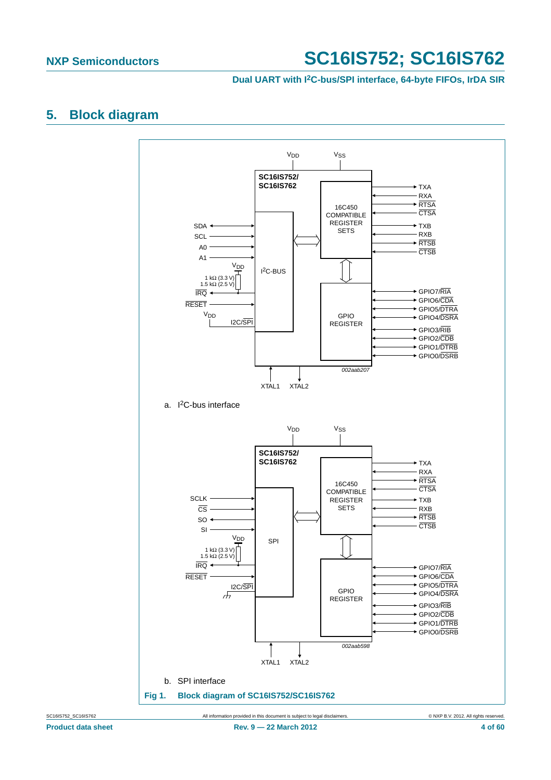## **Dual UART with I2C-bus/SPI interface, 64-byte FIFOs, IrDA SIR**

## <span id="page-3-0"></span>**5. Block diagram**

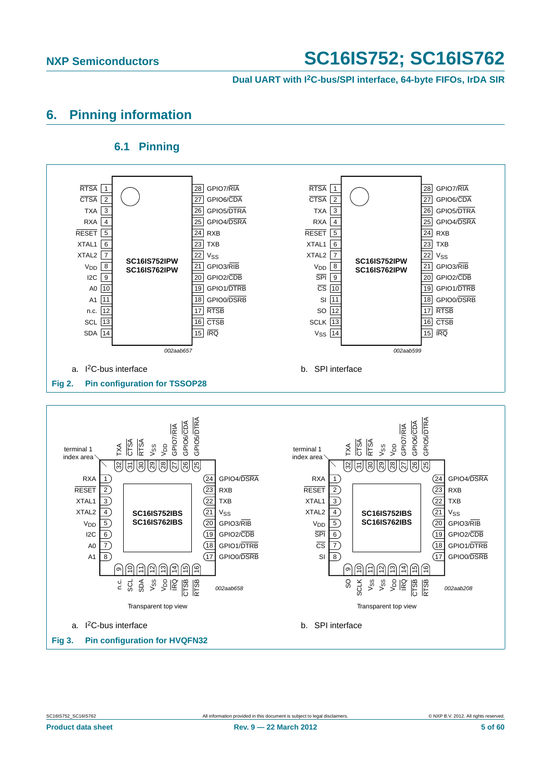**Dual UART with I2C-bus/SPI interface, 64-byte FIFOs, IrDA SIR**

## <span id="page-4-0"></span>**6. Pinning information**

## **6.1 Pinning**

<span id="page-4-1"></span>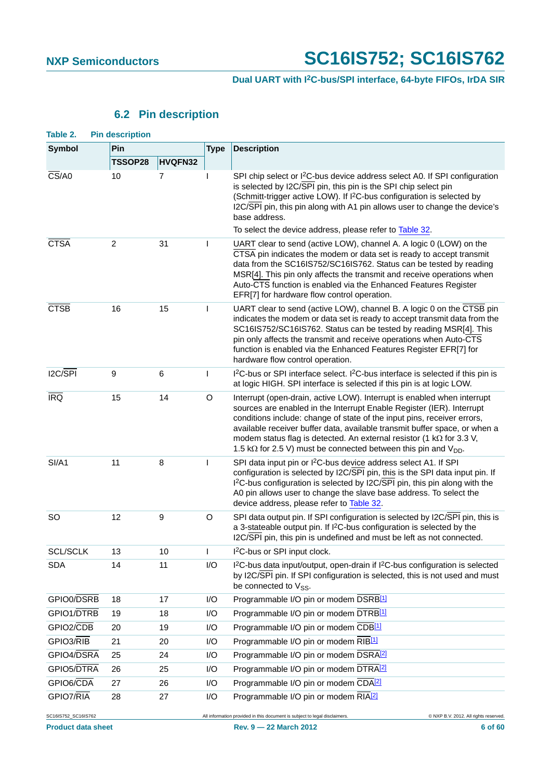## **6.2 Pin description**

<span id="page-5-0"></span>

| Table 2.                         | <b>Pin description</b> |         |              |                                                                                                                                                                                                                                                                                                                                                                                                                                                                         |
|----------------------------------|------------------------|---------|--------------|-------------------------------------------------------------------------------------------------------------------------------------------------------------------------------------------------------------------------------------------------------------------------------------------------------------------------------------------------------------------------------------------------------------------------------------------------------------------------|
| Symbol                           | Pin                    |         | <b>Type</b>  | <b>Description</b>                                                                                                                                                                                                                                                                                                                                                                                                                                                      |
|                                  | TSSOP28                | HVQFN32 |              |                                                                                                                                                                                                                                                                                                                                                                                                                                                                         |
| $\overline{\text{CS}}$ /A0       | 10                     | 7       | I            | SPI chip select or I <sup>2</sup> C-bus device address select A0. If SPI configuration<br>is selected by I2C/SPI pin, this pin is the SPI chip select pin<br>(Schmitt-trigger active LOW). If I <sup>2</sup> C-bus configuration is selected by<br>I2C/SPI pin, this pin along with A1 pin allows user to change the device's<br>base address.                                                                                                                          |
|                                  |                        |         |              | To select the device address, please refer to Table 32.                                                                                                                                                                                                                                                                                                                                                                                                                 |
| <b>CTSA</b>                      | $\overline{2}$         | 31      | $\mathbf{I}$ | UART clear to send (active LOW), channel A. A logic 0 (LOW) on the<br>CTSA pin indicates the modem or data set is ready to accept transmit<br>data from the SC16IS752/SC16IS762. Status can be tested by reading<br>MSR[4]. This pin only affects the transmit and receive operations when<br>Auto-CTS function is enabled via the Enhanced Features Register<br>EFR[7] for hardware flow control operation.                                                            |
| <b>CTSB</b>                      | 16                     | 15      | I            | UART clear to send (active LOW), channel B. A logic 0 on the CTSB pin<br>indicates the modem or data set is ready to accept transmit data from the<br>SC16IS752/SC16IS762. Status can be tested by reading MSR[4]. This<br>pin only affects the transmit and receive operations when Auto-CTS<br>function is enabled via the Enhanced Features Register EFR[7] for<br>hardware flow control operation.                                                                  |
| 12C/SPI                          | 9                      | 6       | L            | I <sup>2</sup> C-bus or SPI interface select. I <sup>2</sup> C-bus interface is selected if this pin is<br>at logic HIGH. SPI interface is selected if this pin is at logic LOW.                                                                                                                                                                                                                                                                                        |
| <b>IRQ</b>                       | 15                     | 14      | O            | Interrupt (open-drain, active LOW). Interrupt is enabled when interrupt<br>sources are enabled in the Interrupt Enable Register (IER). Interrupt<br>conditions include: change of state of the input pins, receiver errors,<br>available receiver buffer data, available transmit buffer space, or when a<br>modem status flag is detected. An external resistor (1 $k\Omega$ for 3.3 V,<br>1.5 k $\Omega$ for 2.5 V) must be connected between this pin and $V_{DD}$ . |
| SI/A1                            | 11                     | 8       | L            | SPI data input pin or I <sup>2</sup> C-bus device address select A1. If SPI<br>configuration is selected by I2C/SPI pin, this is the SPI data input pin. If<br>I <sup>2</sup> C-bus configuration is selected by I2C/SPI pin, this pin along with the<br>A0 pin allows user to change the slave base address. To select the<br>device address, please refer to Table 32.                                                                                                |
| <b>SO</b>                        | 12                     | 9       | O            | SPI data output pin. If SPI configuration is selected by I2C/SPI pin, this is<br>a 3-stateable output pin. If I <sup>2</sup> C-bus configuration is selected by the<br>I2C/SPI pin, this pin is undefined and must be left as not connected.                                                                                                                                                                                                                            |
| <b>SCL/SCLK</b>                  | 13                     | 10      | L            | I <sup>2</sup> C-bus or SPI input clock.                                                                                                                                                                                                                                                                                                                                                                                                                                |
| <b>SDA</b>                       | 14                     | 11      | 1/O          | I <sup>2</sup> C-bus data input/output, open-drain if I <sup>2</sup> C-bus configuration is selected<br>by I2C/SPI pin. If SPI configuration is selected, this is not used and must<br>be connected to V <sub>SS</sub> .                                                                                                                                                                                                                                                |
| GPIO0/DSRB                       | 18                     | 17      | I/O          | Programmable I/O pin or modem DSRB[1]                                                                                                                                                                                                                                                                                                                                                                                                                                   |
| GPIO1/DTRB                       | 19                     | 18      | I/O          | Programmable I/O pin or modem DTRB[1]                                                                                                                                                                                                                                                                                                                                                                                                                                   |
| GPIO2/CDB                        | 20                     | 19      | I/O          | Programmable I/O pin or modem CDB[1]                                                                                                                                                                                                                                                                                                                                                                                                                                    |
| GPIO3/RIB                        | 21                     | 20      | I/O          | Programmable I/O pin or modem RIB <sup>[1]</sup>                                                                                                                                                                                                                                                                                                                                                                                                                        |
| GPIO4/DSRA                       | 25                     | 24      | I/O          | Programmable I/O pin or modem DSRA <sup>[2]</sup>                                                                                                                                                                                                                                                                                                                                                                                                                       |
| GPIO5/DTRA                       | 26                     | 25      | I/O          | Programmable I/O pin or modem DTRA <sup>[2]</sup>                                                                                                                                                                                                                                                                                                                                                                                                                       |
| GPIO6/CDA                        | 27                     | 26      | I/O          | Programmable I/O pin or modem CDA <sup>[2]</sup>                                                                                                                                                                                                                                                                                                                                                                                                                        |
| GPIO7/RIA<br>SC16IS752 SC16IS762 | 28                     | 27      | I/O          | Programmable I/O pin or modem RIA <sup>[2]</sup><br>All information provided in this document is subject to legal disclaimers.<br>© NXP B.V. 2012. All rights reserved.                                                                                                                                                                                                                                                                                                 |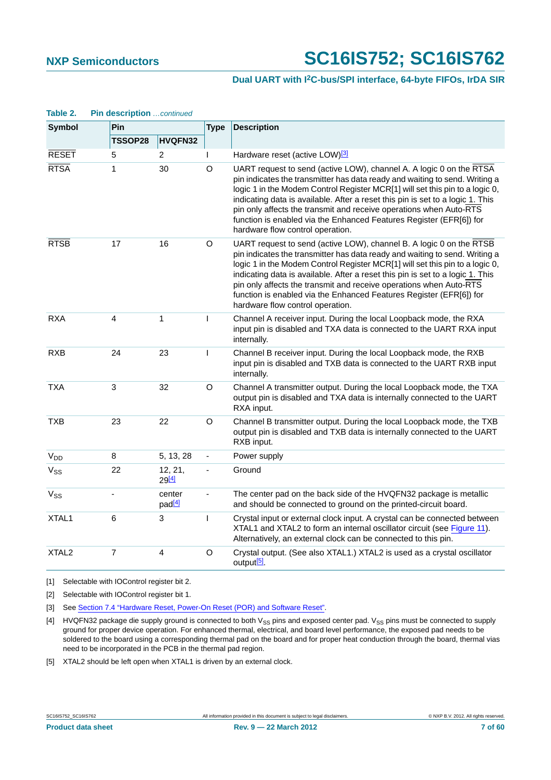## **Dual UART with I2C-bus/SPI interface, 64-byte FIFOs, IrDA SIR**

| Table 2.              | Pin description continued |                              |                          |                                                                                                                                                                                                                                                                                                                                                                                                                                                                                                       |  |
|-----------------------|---------------------------|------------------------------|--------------------------|-------------------------------------------------------------------------------------------------------------------------------------------------------------------------------------------------------------------------------------------------------------------------------------------------------------------------------------------------------------------------------------------------------------------------------------------------------------------------------------------------------|--|
| <b>Symbol</b>         | Pin                       |                              | <b>Type</b>              | <b>Description</b>                                                                                                                                                                                                                                                                                                                                                                                                                                                                                    |  |
|                       | TSSOP28                   | HVQFN32                      |                          |                                                                                                                                                                                                                                                                                                                                                                                                                                                                                                       |  |
| <b>RESET</b>          | 5                         | 2                            | L                        | Hardware reset (active LOW) <sup>[3]</sup>                                                                                                                                                                                                                                                                                                                                                                                                                                                            |  |
| <b>RTSA</b>           | $\mathbf{1}$              | 30                           | O                        | UART request to send (active LOW), channel A. A logic 0 on the RTSA<br>pin indicates the transmitter has data ready and waiting to send. Writing a<br>logic 1 in the Modem Control Register MCR[1] will set this pin to a logic 0,<br>indicating data is available. After a reset this pin is set to a logic 1. This<br>pin only affects the transmit and receive operations when Auto-RTS<br>function is enabled via the Enhanced Features Register (EFR[6]) for<br>hardware flow control operation. |  |
| <b>RTSB</b>           | 17                        | 16                           | O                        | UART request to send (active LOW), channel B. A logic 0 on the RTSB<br>pin indicates the transmitter has data ready and waiting to send. Writing a<br>logic 1 in the Modem Control Register MCR[1] will set this pin to a logic 0,<br>indicating data is available. After a reset this pin is set to a logic 1. This<br>pin only affects the transmit and receive operations when Auto-RTS<br>function is enabled via the Enhanced Features Register (EFR[6]) for<br>hardware flow control operation. |  |
| <b>RXA</b>            | 4                         | 1                            | T                        | Channel A receiver input. During the local Loopback mode, the RXA<br>input pin is disabled and TXA data is connected to the UART RXA input<br>internally.                                                                                                                                                                                                                                                                                                                                             |  |
| <b>RXB</b>            | 24                        | 23                           | T                        | Channel B receiver input. During the local Loopback mode, the RXB<br>input pin is disabled and TXB data is connected to the UART RXB input<br>internally.                                                                                                                                                                                                                                                                                                                                             |  |
| <b>TXA</b>            | 3                         | 32                           | O                        | Channel A transmitter output. During the local Loopback mode, the TXA<br>output pin is disabled and TXA data is internally connected to the UART<br>RXA input.                                                                                                                                                                                                                                                                                                                                        |  |
| <b>TXB</b>            | 23                        | 22                           | O                        | Channel B transmitter output. During the local Loopback mode, the TXB<br>output pin is disabled and TXB data is internally connected to the UART<br>RXB input.                                                                                                                                                                                                                                                                                                                                        |  |
| <b>V<sub>DD</sub></b> | 8                         | 5, 13, 28                    | $\overline{\phantom{a}}$ | Power supply                                                                                                                                                                                                                                                                                                                                                                                                                                                                                          |  |
| V <sub>SS</sub>       | 22                        | 12, 21,<br>29[4]             | $\blacksquare$           | Ground                                                                                                                                                                                                                                                                                                                                                                                                                                                                                                |  |
| Vss                   | $\blacksquare$            | center<br>pad <sup>[4]</sup> | $\overline{\phantom{a}}$ | The center pad on the back side of the HVQFN32 package is metallic<br>and should be connected to ground on the printed-circuit board.                                                                                                                                                                                                                                                                                                                                                                 |  |
| XTAL1                 | 6                         | 3                            | L                        | Crystal input or external clock input. A crystal can be connected between<br>XTAL1 and XTAL2 to form an internal oscillator circuit (see Figure 11).<br>Alternatively, an external clock can be connected to this pin.                                                                                                                                                                                                                                                                                |  |
| XTAL <sub>2</sub>     | $\overline{7}$            | 4                            | O                        | Crystal output. (See also XTAL1.) XTAL2 is used as a crystal oscillator<br>output <sup>[5]</sup> .                                                                                                                                                                                                                                                                                                                                                                                                    |  |

<span id="page-6-0"></span>[1] Selectable with IOControl register bit 2.

<span id="page-6-1"></span>[2] Selectable with IOControl register bit 1.

<span id="page-6-2"></span>[3] See [Section 7.4 "Hardware Reset, Power-On Reset \(POR\) and Software Reset".](#page-12-0)

<span id="page-6-3"></span>[4] HVQFN32 package die supply ground is connected to both V<sub>SS</sub> pins and exposed center pad. V<sub>SS</sub> pins must be connected to supply ground for proper device operation. For enhanced thermal, electrical, and board level performance, the exposed pad needs to be soldered to the board using a corresponding thermal pad on the board and for proper heat conduction through the board, thermal vias need to be incorporated in the PCB in the thermal pad region.

<span id="page-6-4"></span>[5] XTAL2 should be left open when XTAL1 is driven by an external clock.

SC16IS752\_SC16IS762 All information provided in this document is subject to legal disclaimers. © NXP B.V. 2012. All rights reserved.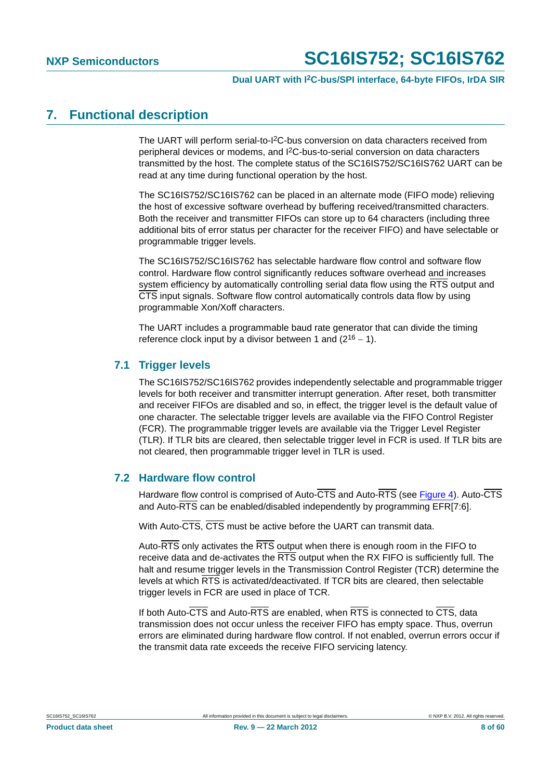## <span id="page-7-0"></span>**7. Functional description**

The UART will perform serial-to-I2C-bus conversion on data characters received from peripheral devices or modems, and I2C-bus-to-serial conversion on data characters transmitted by the host. The complete status of the SC16IS752/SC16IS762 UART can be read at any time during functional operation by the host.

The SC16IS752/SC16IS762 can be placed in an alternate mode (FIFO mode) relieving the host of excessive software overhead by buffering received/transmitted characters. Both the receiver and transmitter FIFOs can store up to 64 characters (including three additional bits of error status per character for the receiver FIFO) and have selectable or programmable trigger levels.

The SC16IS752/SC16IS762 has selectable hardware flow control and software flow control. Hardware flow control significantly reduces software overhead and increases system efficiency by automatically controlling serial data flow using the RTS output and CTS input signals. Software flow control automatically controls data flow by using programmable Xon/Xoff characters.

The UART includes a programmable baud rate generator that can divide the timing reference clock input by a divisor between 1 and  $(2^{16} – 1)$ .

## <span id="page-7-1"></span>**7.1 Trigger levels**

The SC16IS752/SC16IS762 provides independently selectable and programmable trigger levels for both receiver and transmitter interrupt generation. After reset, both transmitter and receiver FIFOs are disabled and so, in effect, the trigger level is the default value of one character. The selectable trigger levels are available via the FIFO Control Register (FCR). The programmable trigger levels are available via the Trigger Level Register (TLR). If TLR bits are cleared, then selectable trigger level in FCR is used. If TLR bits are not cleared, then programmable trigger level in TLR is used.

## <span id="page-7-2"></span>**7.2 Hardware flow control**

Hardware flow control is comprised of Auto-CTS and Auto-RTS (see [Figure 4\)](#page-8-0). Auto-CTS and Auto-RTS can be enabled/disabled independently by programming EFR[7:6].

With Auto-CTS, CTS must be active before the UART can transmit data.

Auto-RTS only activates the RTS output when there is enough room in the FIFO to receive data and de-activates the RTS output when the RX FIFO is sufficiently full. The halt and resume trigger levels in the Transmission Control Register (TCR) determine the levels at which RTS is activated/deactivated. If TCR bits are cleared, then selectable trigger levels in FCR are used in place of TCR.

If both Auto-CTS and Auto-RTS are enabled, when RTS is connected to CTS, data transmission does not occur unless the receiver FIFO has empty space. Thus, overrun errors are eliminated during hardware flow control. If not enabled, overrun errors occur if the transmit data rate exceeds the receive FIFO servicing latency.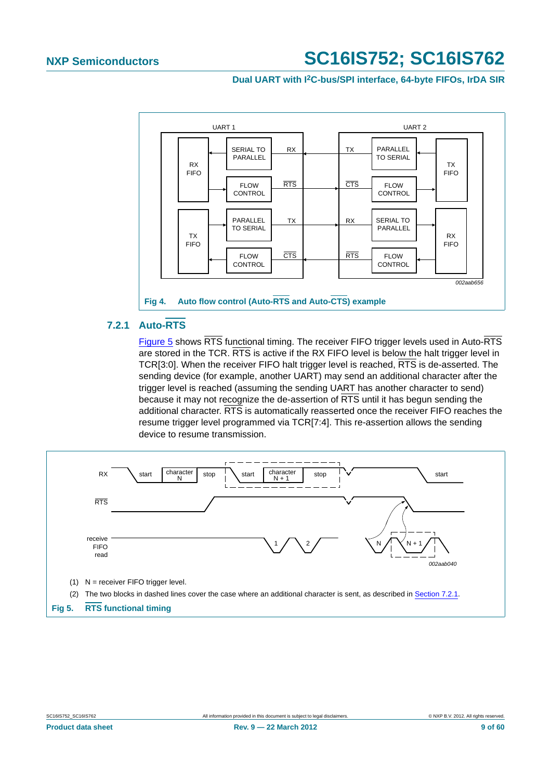**Dual UART with I2C-bus/SPI interface, 64-byte FIFOs, IrDA SIR**



## <span id="page-8-2"></span><span id="page-8-0"></span>**7.2.1 Auto-RTS**

[Figure 5](#page-8-1) shows RTS functional timing. The receiver FIFO trigger levels used in Auto-RTS are stored in the TCR. RTS is active if the RX FIFO level is below the halt trigger level in TCR[3:0]. When the receiver FIFO halt trigger level is reached, RTS is de-asserted. The sending device (for example, another UART) may send an additional character after the trigger level is reached (assuming the sending UART has another character to send) because it may not recognize the de-assertion of RTS until it has begun sending the additional character. RTS is automatically reasserted once the receiver FIFO reaches the resume trigger level programmed via TCR[7:4]. This re-assertion allows the sending device to resume transmission.

<span id="page-8-1"></span>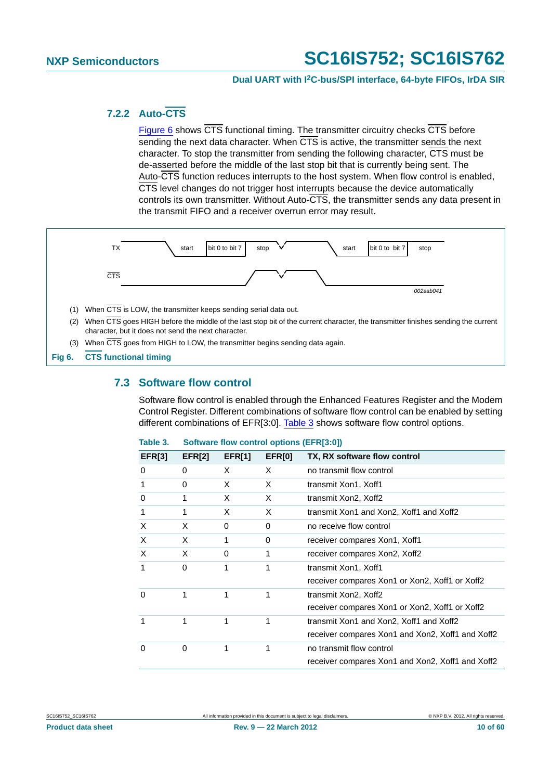## **Dual UART with I2C-bus/SPI interface, 64-byte FIFOs, IrDA SIR**

## <span id="page-9-2"></span>**7.2.2 Auto-CTS**

[Figure 6](#page-9-0) shows CTS functional timing. The transmitter circuitry checks CTS before sending the next data character. When  $\overline{\text{CTS}}$  is active, the transmitter sends the next character. To stop the transmitter from sending the following character, CTS must be de-asserted before the middle of the last stop bit that is currently being sent. The Auto-CTS function reduces interrupts to the host system. When flow control is enabled, CTS level changes do not trigger host interrupts because the device automatically controls its own transmitter. Without Auto- $\overline{\text{CTS}}$ , the transmitter sends any data present in the transmit FIFO and a receiver overrun error may result.



## <span id="page-9-3"></span><span id="page-9-0"></span>**7.3 Software flow control**

Software flow control is enabled through the Enhanced Features Register and the Modem Control Register. Different combinations of software flow control can be enabled by setting different combinations of EFR[3:0]. [Table 3](#page-9-1) shows software flow control options.

| lable 3.      |               | Software flow control options (EFR[3:0]) |               |                                                  |
|---------------|---------------|------------------------------------------|---------------|--------------------------------------------------|
| <b>EFR[3]</b> | <b>EFR[2]</b> | <b>EFR[1]</b>                            | <b>EFR[0]</b> | TX, RX software flow control                     |
| 0             | 0             | X                                        | X             | no transmit flow control                         |
| 1             | 0             | X                                        | X             | transmit Xon1, Xoff1                             |
| $\Omega$      | 1             | X                                        | X             | transmit Xon2, Xoff2                             |
| 1             | 1             | X                                        | X             | transmit Xon1 and Xon2, Xoff1 and Xoff2          |
| X             | X             | 0                                        | 0             | no receive flow control                          |
| X             | X             | 1                                        | 0             | receiver compares Xon1, Xoff1                    |
| X             | X             | 0                                        | 1             | receiver compares Xon2, Xoff2                    |
| 1             | 0             | 1                                        | 1             | transmit Xon1, Xoff1                             |
|               |               |                                          |               | receiver compares Xon1 or Xon2, Xoff1 or Xoff2   |
| $\Omega$      | 1             | 1                                        | 1             | transmit Xon2, Xoff2                             |
|               |               |                                          |               | receiver compares Xon1 or Xon2, Xoff1 or Xoff2   |
|               | 1             | 1                                        | 1             | transmit Xon1 and Xon2, Xoff1 and Xoff2          |
|               |               |                                          |               | receiver compares Xon1 and Xon2, Xoff1 and Xoff2 |
| 0             | 0             | 1                                        | 1             | no transmit flow control                         |
|               |               |                                          |               | receiver compares Xon1 and Xon2, Xoff1 and Xoff2 |

#### <span id="page-9-1"></span>**Table 3. Software flow control options (EFR[3:0])**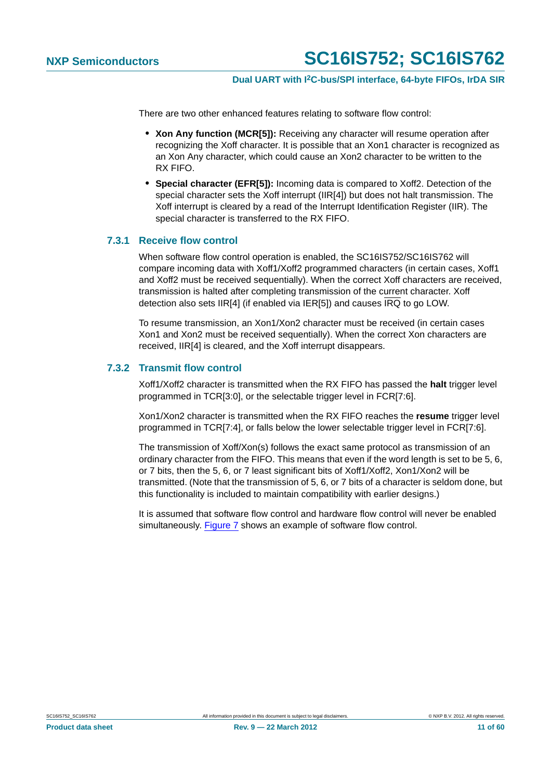There are two other enhanced features relating to software flow control:

- **• Xon Any function (MCR[5]):** Receiving any character will resume operation after recognizing the Xoff character. It is possible that an Xon1 character is recognized as an Xon Any character, which could cause an Xon2 character to be written to the RX FIFO.
- **• Special character (EFR[5]):** Incoming data is compared to Xoff2. Detection of the special character sets the Xoff interrupt (IIR[4]) but does not halt transmission. The Xoff interrupt is cleared by a read of the Interrupt Identification Register (IIR). The special character is transferred to the RX FIFO.

## <span id="page-10-0"></span>**7.3.1 Receive flow control**

When software flow control operation is enabled, the SC16IS752/SC16IS762 will compare incoming data with Xoff1/Xoff2 programmed characters (in certain cases, Xoff1 and Xoff2 must be received sequentially). When the correct Xoff characters are received, transmission is halted after completing transmission of the current character. Xoff detection also sets IIR[4] (if enabled via IER[5]) and causes  $\overline{IRQ}$  to go LOW.

To resume transmission, an Xon1/Xon2 character must be received (in certain cases Xon1 and Xon2 must be received sequentially). When the correct Xon characters are received, IIR[4] is cleared, and the Xoff interrupt disappears.

## <span id="page-10-1"></span>**7.3.2 Transmit flow control**

Xoff1/Xoff2 character is transmitted when the RX FIFO has passed the **halt** trigger level programmed in TCR[3:0], or the selectable trigger level in FCR[7:6].

Xon1/Xon2 character is transmitted when the RX FIFO reaches the **resume** trigger level programmed in TCR[7:4], or falls below the lower selectable trigger level in FCR[7:6].

The transmission of Xoff/Xon(s) follows the exact same protocol as transmission of an ordinary character from the FIFO. This means that even if the word length is set to be 5, 6, or 7 bits, then the 5, 6, or 7 least significant bits of Xoff1/Xoff2, Xon1/Xon2 will be transmitted. (Note that the transmission of 5, 6, or 7 bits of a character is seldom done, but this functionality is included to maintain compatibility with earlier designs.)

It is assumed that software flow control and hardware flow control will never be enabled simultaneously. [Figure 7](#page-11-0) shows an example of software flow control.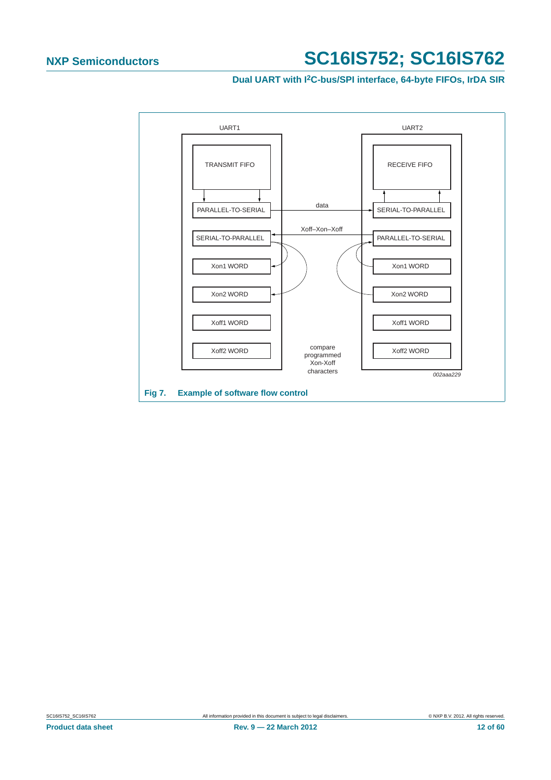**Dual UART with I2C-bus/SPI interface, 64-byte FIFOs, IrDA SIR**

<span id="page-11-0"></span>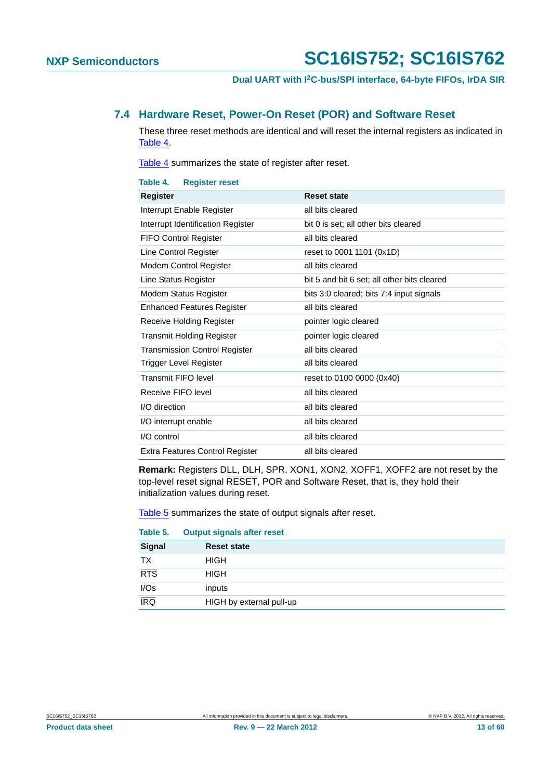## <span id="page-12-0"></span>**7.4 Hardware Reset, Power-On Reset (POR) and Software Reset**

These three reset methods are identical and will reset the internal registers as indicated in [Table 4](#page-12-1).

[Table 4](#page-12-1) summarizes the state of register after reset.

<span id="page-12-1"></span>

| Table 4.<br><b>Register reset</b>      |                                             |
|----------------------------------------|---------------------------------------------|
| Register                               | <b>Reset state</b>                          |
| Interrupt Enable Register              | all bits cleared                            |
| Interrupt Identification Register      | bit 0 is set; all other bits cleared        |
| <b>FIFO Control Register</b>           | all bits cleared                            |
| Line Control Register                  | reset to 0001 1101 (0x1D)                   |
| Modem Control Register                 | all bits cleared                            |
| Line Status Register                   | bit 5 and bit 6 set; all other bits cleared |
| Modem Status Register                  | bits 3:0 cleared; bits 7:4 input signals    |
| <b>Enhanced Features Register</b>      | all bits cleared                            |
| Receive Holding Register               | pointer logic cleared                       |
| <b>Transmit Holding Register</b>       | pointer logic cleared                       |
| <b>Transmission Control Register</b>   | all bits cleared                            |
| Trigger Level Register                 | all bits cleared                            |
| Transmit FIFO level                    | reset to 0100 0000 (0x40)                   |
| Receive FIFO level                     | all bits cleared                            |
| I/O direction                          | all bits cleared                            |
| I/O interrupt enable                   | all bits cleared                            |
| I/O control                            | all bits cleared                            |
| <b>Extra Features Control Register</b> | all bits cleared                            |

**Remark:** Registers DLL, DLH, SPR, XON1, XON2, XOFF1, XOFF2 are not reset by the top-level reset signal RESET, POR and Software Reset, that is, they hold their initialization values during reset.

[Table 5](#page-12-2) summarizes the state of output signals after reset.

#### <span id="page-12-2"></span>**Table 5. Output signals after reset**

| <b>Signal</b>      | <b>Reset state</b>       |
|--------------------|--------------------------|
| TX                 | <b>HIGH</b>              |
| RTS                | <b>HIGH</b>              |
| $\frac{I/Os}{IRQ}$ | inputs                   |
|                    | HIGH by external pull-up |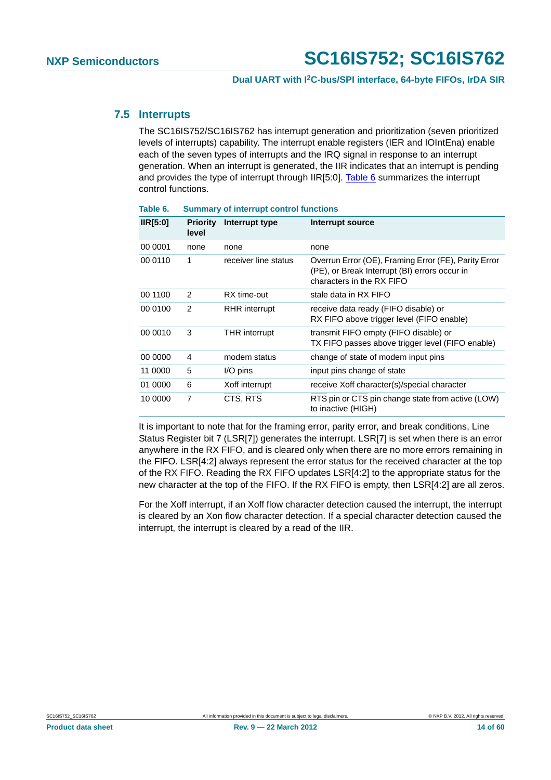## <span id="page-13-1"></span>**7.5 Interrupts**

The SC16IS752/SC16IS762 has interrupt generation and prioritization (seven prioritized levels of interrupts) capability. The interrupt enable registers (IER and IOIntEna) enable each of the seven types of interrupts and the  $\overline{IRQ}$  signal in response to an interrupt generation. When an interrupt is generated, the IIR indicates that an interrupt is pending and provides the type of interrupt through IIR[5:0]. [Table 6](#page-13-0) summarizes the interrupt control functions.

| IIR[5:0] | <b>Priority</b><br>level | Interrupt type       | Interrupt source                                                                                                                   |
|----------|--------------------------|----------------------|------------------------------------------------------------------------------------------------------------------------------------|
| 00 0001  | none                     | none                 | none                                                                                                                               |
| 00 0110  | 1                        | receiver line status | Overrun Error (OE), Framing Error (FE), Parity Error<br>(PE), or Break Interrupt (BI) errors occur in<br>characters in the RX FIFO |
| 00 1100  | 2                        | RX time-out          | stale data in RX FIFO                                                                                                              |
| 00 0100  | $\overline{2}$           | <b>RHR</b> interrupt | receive data ready (FIFO disable) or<br>RX FIFO above trigger level (FIFO enable)                                                  |
| 00 0010  | 3                        | <b>THR</b> interrupt | transmit FIFO empty (FIFO disable) or<br>TX FIFO passes above trigger level (FIFO enable)                                          |
| 00 0000  | 4                        | modem status         | change of state of modem input pins                                                                                                |
| 11 0000  | 5                        | $I/O$ pins           | input pins change of state                                                                                                         |
| 01 0000  | 6                        | Xoff interrupt       | receive Xoff character(s)/special character                                                                                        |
| 10 0000  | 7                        | CTS, RTS             | RTS pin or CTS pin change state from active (LOW)<br>to inactive (HIGH)                                                            |

<span id="page-13-0"></span>**Table 6. Summary of interrupt control functions**

It is important to note that for the framing error, parity error, and break conditions, Line Status Register bit 7 (LSR[7]) generates the interrupt. LSR[7] is set when there is an error anywhere in the RX FIFO, and is cleared only when there are no more errors remaining in the FIFO. LSR[4:2] always represent the error status for the received character at the top of the RX FIFO. Reading the RX FIFO updates LSR[4:2] to the appropriate status for the new character at the top of the FIFO. If the RX FIFO is empty, then LSR[4:2] are all zeros.

For the Xoff interrupt, if an Xoff flow character detection caused the interrupt, the interrupt is cleared by an Xon flow character detection. If a special character detection caused the interrupt, the interrupt is cleared by a read of the IIR.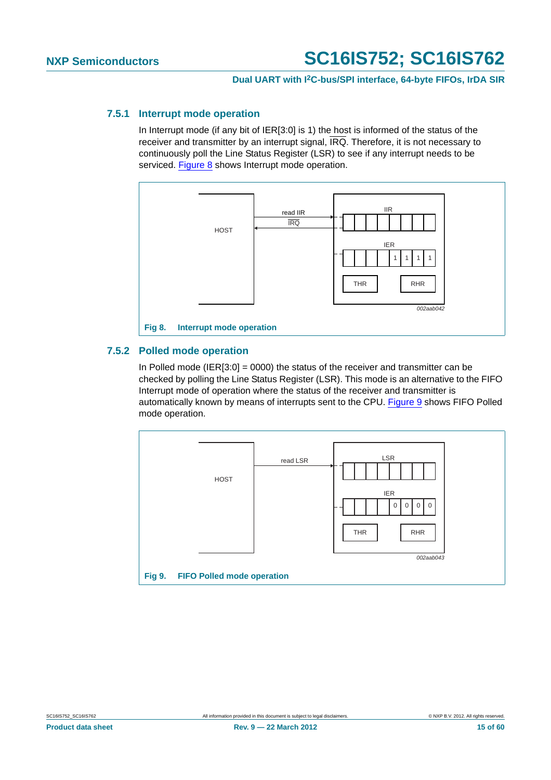## <span id="page-14-2"></span>**7.5.1 Interrupt mode operation**

In Interrupt mode (if any bit of IER[3:0] is 1) the host is informed of the status of the receiver and transmitter by an interrupt signal, IRQ. Therefore, it is not necessary to continuously poll the Line Status Register (LSR) to see if any interrupt needs to be serviced. [Figure 8](#page-14-0) shows Interrupt mode operation.



## <span id="page-14-3"></span><span id="page-14-0"></span>**7.5.2 Polled mode operation**

In Polled mode (IER[3:0] = 0000) the status of the receiver and transmitter can be checked by polling the Line Status Register (LSR). This mode is an alternative to the FIFO Interrupt mode of operation where the status of the receiver and transmitter is automatically known by means of interrupts sent to the CPU. [Figure 9](#page-14-1) shows FIFO Polled mode operation.

<span id="page-14-1"></span>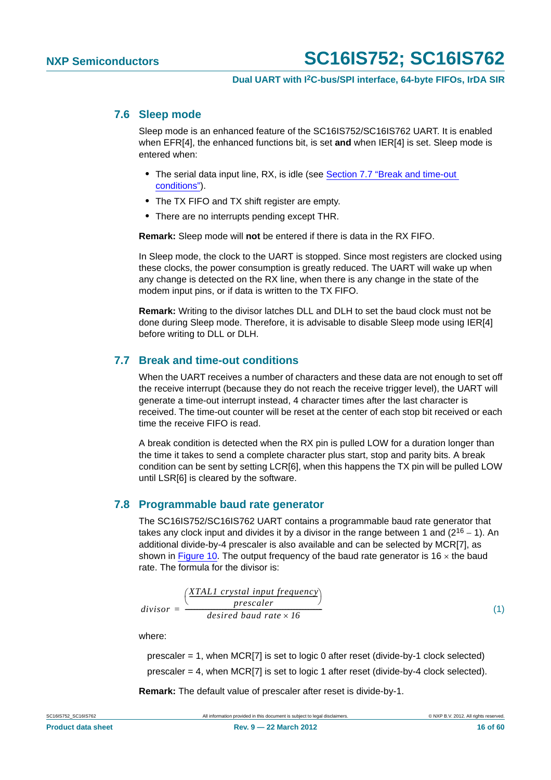## <span id="page-15-1"></span>**7.6 Sleep mode**

Sleep mode is an enhanced feature of the SC16IS752/SC16IS762 UART. It is enabled when EFR[4], the enhanced functions bit, is set **and** when IER[4] is set. Sleep mode is entered when:

- **•** The serial data input line, RX, is idle (see [Section 7.7 "Break and time-out](#page-15-0)  [conditions"](#page-15-0)).
- **•** The TX FIFO and TX shift register are empty.
- **•** There are no interrupts pending except THR.

**Remark:** Sleep mode will **not** be entered if there is data in the RX FIFO.

In Sleep mode, the clock to the UART is stopped. Since most registers are clocked using these clocks, the power consumption is greatly reduced. The UART will wake up when any change is detected on the RX line, when there is any change in the state of the modem input pins, or if data is written to the TX FIFO.

**Remark:** Writing to the divisor latches DLL and DLH to set the baud clock must not be done during Sleep mode. Therefore, it is advisable to disable Sleep mode using IER[4] before writing to DLL or DLH.

## <span id="page-15-0"></span>**7.7 Break and time-out conditions**

When the UART receives a number of characters and these data are not enough to set off the receive interrupt (because they do not reach the receive trigger level), the UART will generate a time-out interrupt instead, 4 character times after the last character is received. The time-out counter will be reset at the center of each stop bit received or each time the receive FIFO is read.

A break condition is detected when the RX pin is pulled LOW for a duration longer than the time it takes to send a complete character plus start, stop and parity bits. A break condition can be sent by setting LCR[6], when this happens the TX pin will be pulled LOW until LSR[6] is cleared by the software.

## <span id="page-15-2"></span>**7.8 Programmable baud rate generator**

The SC16IS752/SC16IS762 UART contains a programmable baud rate generator that takes any clock input and divides it by a divisor in the range between 1 and  $(2^{16} – 1)$ . An additional divide-by-4 prescaler is also available and can be selected by MCR[7], as shown in [Figure 10](#page-16-0). The output frequency of the baud rate generator is 16  $\times$  the baud rate. The formula for the divisor is:

$$
divisor = \frac{\left(\frac{XTAL1\ crystal\ input\ frequency}{\ prescale} \right)}{\ desired\ band\ rate \times 16} \tag{1}
$$

where:

prescaler = 1, when MCR[7] is set to logic 0 after reset (divide-by-1 clock selected) prescaler = 4, when MCR[7] is set to logic 1 after reset (divide-by-4 clock selected).

**Remark:** The default value of prescaler after reset is divide-by-1.

SC16IS752 SC16IS762 **All information provided in this document is subject to legal disclaimers.** © NXP B.V. 2012. All rights reserved.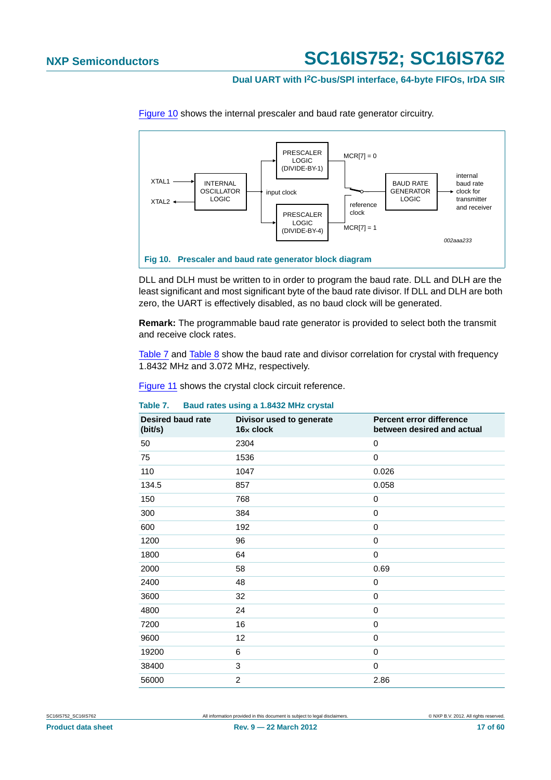## **Dual UART with I2C-bus/SPI interface, 64-byte FIFOs, IrDA SIR**



[Figure 10](#page-16-0) shows the internal prescaler and baud rate generator circuitry.

<span id="page-16-0"></span>DLL and DLH must be written to in order to program the baud rate. DLL and DLH are the least significant and most significant byte of the baud rate divisor. If DLL and DLH are both zero, the UART is effectively disabled, as no baud clock will be generated.

**Remark:** The programmable baud rate generator is provided to select both the transmit and receive clock rates.

[Table 7](#page-16-1) and [Table 8](#page-17-1) show the baud rate and divisor correlation for crystal with frequency 1.8432 MHz and 3.072 MHz, respectively.

[Figure 11](#page-17-0) shows the crystal clock circuit reference.

<span id="page-16-1"></span>

| Baud rates using a 1.8432 MHz crystal<br>Table 7. |
|---------------------------------------------------|
|---------------------------------------------------|

| <b>Desired baud rate</b><br>(bit/s) | Divisor used to generate<br>16x clock | Percent error difference<br>between desired and actual |
|-------------------------------------|---------------------------------------|--------------------------------------------------------|
| 50                                  | 2304                                  | 0                                                      |
| 75                                  | 1536                                  | 0                                                      |
| 110                                 | 1047                                  | 0.026                                                  |
| 134.5                               | 857                                   | 0.058                                                  |
| 150                                 | 768                                   | 0                                                      |
| 300                                 | 384                                   | $\pmb{0}$                                              |
| 600                                 | 192                                   | $\pmb{0}$                                              |
| 1200                                | 96                                    | $\mathbf 0$                                            |
| 1800                                | 64                                    | $\mathbf 0$                                            |
| 2000                                | 58                                    | 0.69                                                   |
| 2400                                | 48                                    | 0                                                      |
| 3600                                | 32                                    | 0                                                      |
| 4800                                | 24                                    | $\mathbf 0$                                            |
| 7200                                | 16                                    | 0                                                      |
| 9600                                | 12                                    | $\pmb{0}$                                              |
| 19200                               | 6                                     | $\pmb{0}$                                              |
| 38400                               | 3                                     | $\mathbf 0$                                            |
| 56000                               | $\overline{2}$                        | 2.86                                                   |

SC16IS752 SC16IS762 **All information provided in this document is subject to legal disclaimers.** © NXP B.V. 2012. All rights reserved.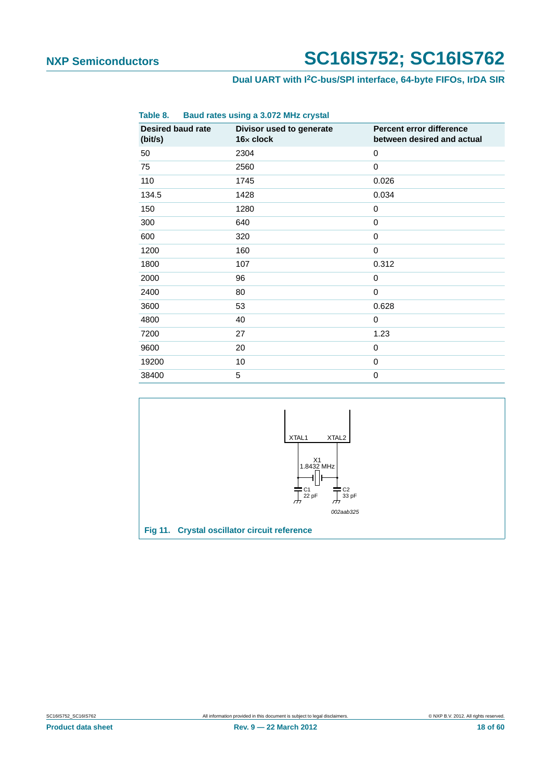## **Dual UART with I2C-bus/SPI interface, 64-byte FIFOs, IrDA SIR**

<span id="page-17-1"></span>

| Table 8.                            | Baud rates using a 3.072 MHz crystal  |                                                        |
|-------------------------------------|---------------------------------------|--------------------------------------------------------|
| <b>Desired baud rate</b><br>(bit/s) | Divisor used to generate<br>16x clock | Percent error difference<br>between desired and actual |
| 50                                  | 2304                                  | 0                                                      |
| 75                                  | 2560                                  | 0                                                      |
| 110                                 | 1745                                  | 0.026                                                  |
| 134.5                               | 1428                                  | 0.034                                                  |
| 150                                 | 1280                                  | $\mathbf 0$                                            |
| 300                                 | 640                                   | 0                                                      |
| 600                                 | 320                                   | 0                                                      |
| 1200                                | 160                                   | $\Omega$                                               |
| 1800                                | 107                                   | 0.312                                                  |
| 2000                                | 96                                    | 0                                                      |
| 2400                                | 80                                    | $\Omega$                                               |
| 3600                                | 53                                    | 0.628                                                  |
| 4800                                | 40                                    | 0                                                      |
| 7200                                | 27                                    | 1.23                                                   |
| 9600                                | 20                                    | 0                                                      |
| 19200                               | 10                                    | 0                                                      |
| 38400                               | 5                                     | 0                                                      |

<span id="page-17-0"></span>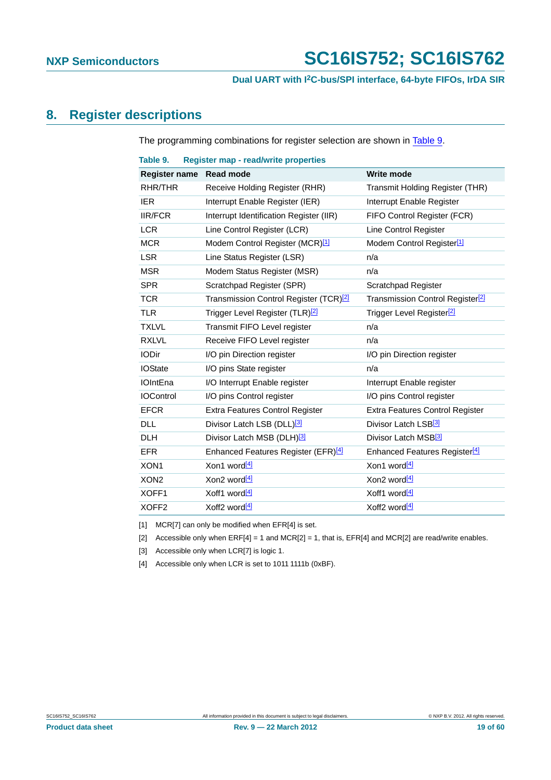## <span id="page-18-5"></span>**8. Register descriptions**

The programming combinations for register selection are shown in [Table 9.](#page-18-0)

<span id="page-18-0"></span>

| Table 9.             | <b>Register map - read/write properties</b>        |                                              |
|----------------------|----------------------------------------------------|----------------------------------------------|
| <b>Register name</b> | <b>Read mode</b>                                   | <b>Write mode</b>                            |
| RHR/THR              | Receive Holding Register (RHR)                     | Transmit Holding Register (THR)              |
| <b>IER</b>           | Interrupt Enable Register (IER)                    | Interrupt Enable Register                    |
| <b>IIR/FCR</b>       | Interrupt Identification Register (IIR)            | FIFO Control Register (FCR)                  |
| <b>LCR</b>           | Line Control Register (LCR)                        | Line Control Register                        |
| <b>MCR</b>           | Modem Control Register (MCR) <sup>[1]</sup>        | Modem Control Register <sup>[1]</sup>        |
| <b>LSR</b>           | Line Status Register (LSR)                         | n/a                                          |
| <b>MSR</b>           | Modem Status Register (MSR)                        | n/a                                          |
| <b>SPR</b>           | Scratchpad Register (SPR)                          | Scratchpad Register                          |
| <b>TCR</b>           | Transmission Control Register (TCR) <sup>[2]</sup> | Transmission Control Register <sup>[2]</sup> |
| <b>TLR</b>           | Trigger Level Register (TLR) <sup>[2]</sup>        | Trigger Level Register <sup>[2]</sup>        |
| <b>TXLVL</b>         | Transmit FIFO Level register                       | n/a                                          |
| <b>RXLVL</b>         | Receive FIFO Level register                        | n/a                                          |
| <b>IODir</b>         | I/O pin Direction register                         | I/O pin Direction register                   |
| <b>IOState</b>       | I/O pins State register                            | n/a                                          |
| <b>IOIntEna</b>      | I/O Interrupt Enable register                      | Interrupt Enable register                    |
| <b>IOControl</b>     | I/O pins Control register                          | I/O pins Control register                    |
| <b>EFCR</b>          | <b>Extra Features Control Register</b>             | Extra Features Control Register              |
| DLL                  | Divisor Latch LSB (DLL) <sup>[3]</sup>             | Divisor Latch LSB <sup>[3]</sup>             |
| <b>DLH</b>           | Divisor Latch MSB (DLH) <sup>[3]</sup>             | Divisor Latch MSB <sup>[3]</sup>             |
| <b>EFR</b>           | Enhanced Features Register (EFR) <sup>[4]</sup>    | Enhanced Features Register <sup>[4]</sup>    |
| XON <sub>1</sub>     | Xon1 word <sup>[4]</sup>                           | Xon1 word <sup>[4]</sup>                     |
| XON <sub>2</sub>     | Xon2 word <sup>[4]</sup>                           | Xon2 word <sup>[4]</sup>                     |
| XOFF1                | Xoff1 word[4]                                      | Xoff1 word $[4]$                             |
| XOFF <sub>2</sub>    | Xoff2 word <sup>[4]</sup>                          | Xoff <sub>2</sub> word <sup>[4]</sup>        |

<span id="page-18-1"></span>[1] MCR[7] can only be modified when EFR[4] is set.

<span id="page-18-2"></span>[2] Accessible only when  $ERF[4] = 1$  and  $MCR[2] = 1$ , that is,  $EFR[4]$  and  $MCR[2]$  are read/write enables.

<span id="page-18-3"></span>[3] Accessible only when LCR[7] is logic 1.

<span id="page-18-4"></span>[4] Accessible only when LCR is set to 1011 1111b (0xBF).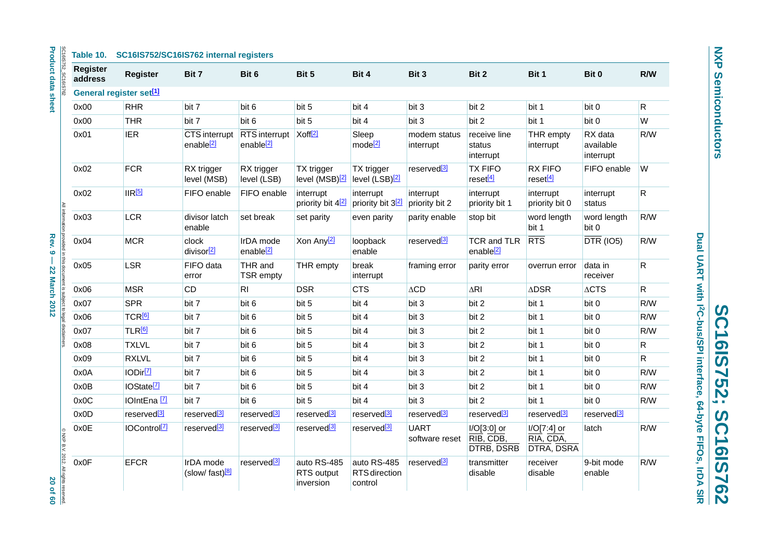| SC16IS752_SC16IS762                                                       | <b>Register</b><br>address | <b>Register</b>                     | Bit 7                                     | Bit 6                                                      | Bit 5                                    | Bit 4                                    | Bit 3                         | Bit 2                                         | Bit 1                                  | Bit 0                             | R/W          |
|---------------------------------------------------------------------------|----------------------------|-------------------------------------|-------------------------------------------|------------------------------------------------------------|------------------------------------------|------------------------------------------|-------------------------------|-----------------------------------------------|----------------------------------------|-----------------------------------|--------------|
|                                                                           |                            | General register set <sup>[1]</sup> |                                           |                                                            |                                          |                                          |                               |                                               |                                        |                                   |              |
|                                                                           | 0x00                       | <b>RHR</b>                          | bit 7                                     | bit 6                                                      | bit 5                                    | bit 4                                    | bit 3                         | bit 2                                         | bit 1                                  | bit 0                             | $\mathsf{R}$ |
|                                                                           | 0x00                       | <b>THR</b>                          | bit 7                                     | bit 6                                                      | bit 5                                    | bit 4                                    | bit 3                         | bit 2                                         | bit 1                                  | bit 0                             | W            |
|                                                                           | 0x01                       | <b>IER</b>                          | CTS interrupt<br>enable <sup>[2]</sup>    | RTS interrupt Xoff <sup>[2]</sup><br>enable <sup>[2]</sup> |                                          | Sleep<br>mode <sup>[2]</sup>             | modem status<br>interrupt     | receive line<br>status<br>interrupt           | THR empty<br>interrupt                 | RX data<br>available<br>interrupt | R/W          |
|                                                                           | 0x02                       | <b>FCR</b>                          | RX trigger<br>level (MSB)                 | RX trigger<br>level (LSB)                                  | TX trigger<br>level (MSB) <sup>[2]</sup> | TX trigger<br>level (LSB) <sup>[2]</sup> | reserved <sup>[3]</sup>       | <b>TX FIFO</b><br>reset <sup>[4]</sup>        | <b>RX FIFO</b><br>reset <sup>[4]</sup> | FIFO enable                       | W            |
|                                                                           | 0x02                       | IR <sup>[5]</sup>                   | FIFO enable                               | FIFO enable                                                | interrupt<br>priority bit 4 <sup>2</sup> | interrupt<br>priority bit 32             | interrupt<br>priority bit 2   | interrupt<br>priority bit 1                   | interrupt<br>priority bit 0            | interrupt<br>status               | $\mathsf{R}$ |
|                                                                           | 0x03                       | LCR                                 | divisor latch<br>enable                   | set break                                                  | set parity                               | even parity                              | parity enable                 | stop bit                                      | word length<br>bit 1                   | word length<br>bit 0              | R/W          |
|                                                                           | 0x04                       | <b>MCR</b>                          | clock<br>divisor <sup>[2]</sup>           | IrDA mode<br>enable <sup>[2]</sup>                         | Xon Any <sup>[2]</sup>                   | loopback<br>enable                       | reserved <sup>[3]</sup>       | <b>TCR and TLR</b><br>enable <sup>[2]</sup>   | <b>RTS</b>                             | $\overline{DTR}$ (IO5)            | R/W          |
| All information provided in this document is subject to legal disclaimers | 0x05                       | <b>LSR</b>                          | FIFO data<br>error                        | THR and<br><b>TSR</b> empty                                | THR empty                                | break<br>interrupt                       | framing error                 | parity error                                  | overrun error                          | data in<br>receiver               | $\mathsf{R}$ |
|                                                                           | 0x06                       | <b>MSR</b>                          | CD                                        | RI                                                         | <b>DSR</b>                               | <b>CTS</b>                               | $\triangle$ CD                | $\Delta$ RI                                   | <b>ADSR</b>                            | $\Delta \text{CTS}$               | $\mathsf{R}$ |
|                                                                           | 0x07                       | <b>SPR</b>                          | bit 7                                     | bit 6                                                      | bit 5                                    | bit 4                                    | bit 3                         | bit 2                                         | bit 1                                  | bit 0                             | R/W          |
|                                                                           | 0x06                       | TCR <sup>[6]</sup>                  | bit 7                                     | bit 6                                                      | bit 5                                    | bit 4                                    | bit 3                         | bit 2                                         | bit 1                                  | bit 0                             | R/W          |
|                                                                           | 0x07                       | TLR <sup>[6]</sup>                  | bit 7                                     | bit 6                                                      | bit 5                                    | bit 4                                    | bit 3                         | bit 2                                         | bit 1                                  | bit 0                             | R/W          |
|                                                                           | 0x08                       | <b>TXLVL</b>                        | bit 7                                     | bit 6                                                      | bit 5                                    | bit 4                                    | bit 3                         | bit 2                                         | bit 1                                  | bit 0                             | $\mathsf{R}$ |
|                                                                           | 0x09                       | <b>RXLVL</b>                        | bit 7                                     | bit 6                                                      | bit 5                                    | bit 4                                    | bit 3                         | bit 2                                         | bit 1                                  | bit 0                             | $\mathsf{R}$ |
|                                                                           | 0x0A                       | IODir <sup>[7]</sup>                | bit 7                                     | bit 6                                                      | bit 5                                    | bit 4                                    | bit 3                         | bit 2                                         | bit 1                                  | bit 0                             | R/W          |
|                                                                           | 0x0B                       | IOState <sup>[7]</sup>              | bit 7                                     | bit 6                                                      | bit 5                                    | bit 4                                    | bit 3                         | bit 2                                         | bit 1                                  | bit 0                             | R/W          |
|                                                                           | 0x0C                       | IOIntEna <sup>[7]</sup>             | bit 7                                     | bit 6                                                      | bit 5                                    | bit 4                                    | bit 3                         | bit 2                                         | bit 1                                  | bit 0                             | R/W          |
|                                                                           | 0x0D                       | reserved <sup>[3]</sup>             | reserved <sup>[3]</sup>                   | reserved <sup>[3]</sup>                                    | reserved <sup>[3]</sup>                  | reserved <sup>[3]</sup>                  | reserved <sup>[3]</sup>       | reserved <sup>[3]</sup>                       | reserved <sup>[3]</sup>                | reserved <sup>[3]</sup>           |              |
|                                                                           | 0x0E                       | IOControl <sup>[7]</sup>            | reserved <sup>[3]</sup>                   | reserved <sup>[3]</sup>                                    | reserved <sup>[3]</sup>                  | reserved <sup>[3]</sup>                  | <b>UART</b><br>software reset | I/O[3:0] or<br>RIB, CDB,<br><b>DTRB, DSRB</b> | I/O[7:4] or<br>RIA, CDA,<br>DTRA, DSRA | latch                             | R/W          |
| CNXP B.V. 2012. All rights reserved                                       | 0x0F                       | <b>EFCR</b>                         | IrDA mode<br>$(slow/fast)$ <sup>[8]</sup> | reserved <sup>[3]</sup>                                    | auto RS-485<br>RTS output<br>inversion   | auto RS-485<br>RTS direction<br>control  | reserved <sup>[3]</sup>       | transmitter<br>disable                        | receiver<br>disable                    | 9-bit mode<br>enable              | R/W          |

**NXP Semiconductors** 

**NXP Semiconductors**

Dual UART with I2C-bus/SPI interface, 64-byte FIFOs, IrDA SIR **Dual UART with I2C-bus/SPI interface, 64-byte FIFOs, IrDA SIR SC16IS752; SC16IS762 SC16IS752; SC16IS762**

rights reserved.<br>20 of 60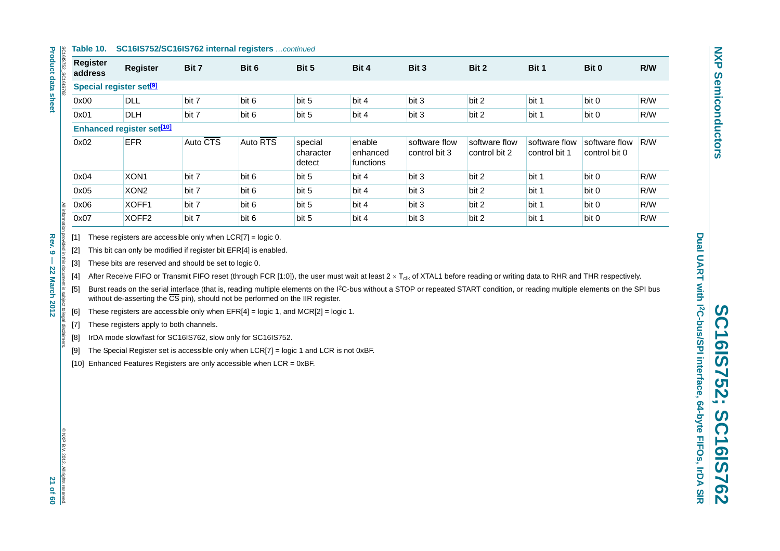#### **Table 10. SC16IS752/SC16IS762 internal registers** *…continued*

| ခြ            | Table 10.                           | SC16IS752/SC16IS762 internal registers continued |          |          |                                |                                 |                                |                                |                                |                                |     |  |
|---------------|-------------------------------------|--------------------------------------------------|----------|----------|--------------------------------|---------------------------------|--------------------------------|--------------------------------|--------------------------------|--------------------------------|-----|--|
| :16IS752      | <b>Register</b><br>address          | <b>Register</b>                                  | Bit 7    | Bit 6    | Bit 5                          | Bit 4                           | Bit 3                          | Bit 2                          | Bit 1                          | Bit 0                          | R/W |  |
| SC16IS762     | Special register set <sup>[9]</sup> |                                                  |          |          |                                |                                 |                                |                                |                                |                                |     |  |
|               | 0x00                                | <b>DLL</b>                                       | bit 7    | bit 6    | bit 5                          | bit 4                           | bit 3                          | bit 2                          | bit 1                          | bit 0                          | R/W |  |
|               | 0x01                                | <b>DLH</b>                                       | bit 7    | bit 6    | bit 5                          | bit 4                           | bit 3                          | bit 2                          | bit 1                          | bit 0                          | R/W |  |
|               | <b>Enhanced register set[10]</b>    |                                                  |          |          |                                |                                 |                                |                                |                                |                                |     |  |
|               | 0x02                                | <b>EFR</b>                                       | Auto CTS | Auto RTS | special<br>character<br>detect | enable<br>enhanced<br>functions | software flow<br>control bit 3 | software flow<br>control bit 2 | software flow<br>control bit 1 | software flow<br>control bit 0 | R/W |  |
|               | 0x04                                | XON <sub>1</sub>                                 | bit 7    | bit 6    | bit 5                          | bit 4                           | bit 3                          | bit 2                          | bit 1                          | bit 0                          | R/W |  |
|               | 0x05                                | XON <sub>2</sub>                                 | bit 7    | bit 6    | bit 5                          | bit 4                           | bit 3                          | bit 2                          | bit 1                          | bit 0                          | R/W |  |
|               | 0x06                                | XOFF1                                            | bit 7    | bit 6    | bit 5                          | bit 4                           | bit 3                          | bit 2                          | bit 1                          | bit 0                          | R/W |  |
| All informati | 0x07                                | XOFF <sub>2</sub>                                | bit 7    | bit 6    | bit 5                          | bit 4                           | bit 3                          | bit 2                          | bit 1                          | bit 0                          | R/W |  |

<span id="page-20-1"></span>

<span id="page-20-2"></span>

<span id="page-20-4"></span><span id="page-20-3"></span>

<span id="page-20-0"></span>[1] These registers are accessible only when LCR(7) = logic 0.<br>
[2] This bit can only be modified if register bit ER[4] is enabled.<br>
[3] These bits are reserved and should be set to logic 0.<br>
[5] These reserved and should

<span id="page-20-5"></span>

<span id="page-20-6"></span>

<span id="page-20-7"></span>

<span id="page-20-8"></span>

<span id="page-20-9"></span>

**Product data sheet Product data sheet**

@ NXP B.V. 2012. All rights © NXP B.V. 2012. All rights reserved. 21 of 60 reserved.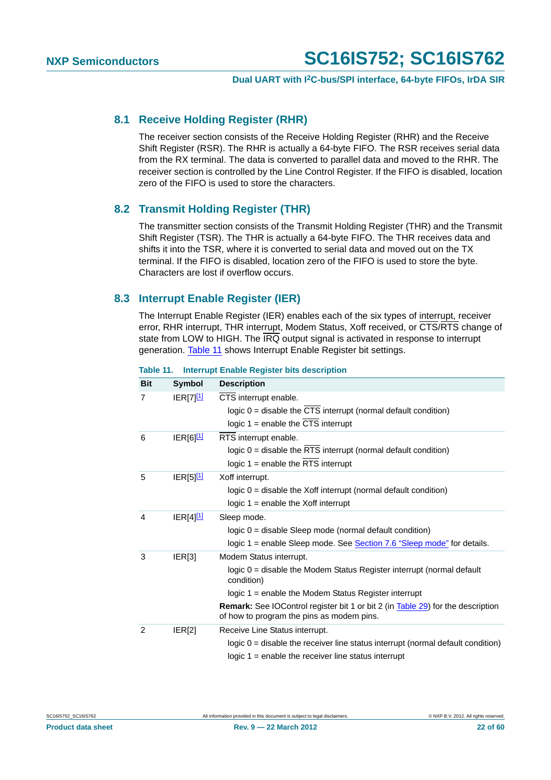## <span id="page-21-1"></span>**8.1 Receive Holding Register (RHR)**

The receiver section consists of the Receive Holding Register (RHR) and the Receive Shift Register (RSR). The RHR is actually a 64-byte FIFO. The RSR receives serial data from the RX terminal. The data is converted to parallel data and moved to the RHR. The receiver section is controlled by the Line Control Register. If the FIFO is disabled, location zero of the FIFO is used to store the characters.

## <span id="page-21-2"></span>**8.2 Transmit Holding Register (THR)**

The transmitter section consists of the Transmit Holding Register (THR) and the Transmit Shift Register (TSR). The THR is actually a 64-byte FIFO. The THR receives data and shifts it into the TSR, where it is converted to serial data and moved out on the TX terminal. If the FIFO is disabled, location zero of the FIFO is used to store the byte. Characters are lost if overflow occurs.

## <span id="page-21-3"></span>**8.3 Interrupt Enable Register (IER)**

The Interrupt Enable Register (IER) enables each of the six types of interrupt, receiver error, RHR interrupt, THR interrupt, Modem Status, Xoff received, or CTS/RTS change of state from LOW to HIGH. The IRQ output signal is activated in response to interrupt generation. [Table 11](#page-21-0) shows Interrupt Enable Register bit settings.

| <b>Bit</b> | <b>Symbol</b>           | <b>Description</b>                                                                                                                  |
|------------|-------------------------|-------------------------------------------------------------------------------------------------------------------------------------|
| 7          | IER[7] <sup>[1]</sup>   | CTS interrupt enable.                                                                                                               |
|            |                         | logic 0 = disable the CTS interrupt (normal default condition)                                                                      |
|            |                         | logic $1 =$ enable the CTS interrupt                                                                                                |
| 6          | $IER[6]$ <sup>11</sup>  | RTS interrupt enable.                                                                                                               |
|            |                         | logic $0 =$ disable the RTS interrupt (normal default condition)                                                                    |
|            |                         | logic $1 =$ enable the RTS interrupt                                                                                                |
| 5          | $IER[5]$ <sup>[1]</sup> | Xoff interrupt.                                                                                                                     |
|            |                         | $logic 0$ = disable the Xoff interrupt (normal default condition)                                                                   |
|            |                         | logic $1$ = enable the Xoff interrupt                                                                                               |
| 4          | $IER[4]$ <sup>[1]</sup> | Sleep mode.                                                                                                                         |
|            |                         | $logic 0 = disable Sleep mode (normal default condition)$                                                                           |
|            |                         | logic 1 = enable Sleep mode. See Section 7.6 "Sleep mode" for details.                                                              |
| 3          | ER[3]                   | Modem Status interrupt.                                                                                                             |
|            |                         | logic 0 = disable the Modem Status Register interrupt (normal default<br>condition)                                                 |
|            |                         | logic $1$ = enable the Modem Status Register interrupt                                                                              |
|            |                         | <b>Remark:</b> See IOControl register bit 1 or bit 2 (in Table 29) for the description<br>of how to program the pins as modem pins. |
| 2          | IER[2]                  | Receive Line Status interrupt.                                                                                                      |
|            |                         | logic $0 =$ disable the receiver line status interrupt (normal default condition)                                                   |
|            |                         | logic $1$ = enable the receiver line status interrupt                                                                               |

#### <span id="page-21-0"></span>**Table 11. Interrupt Enable Register bits description**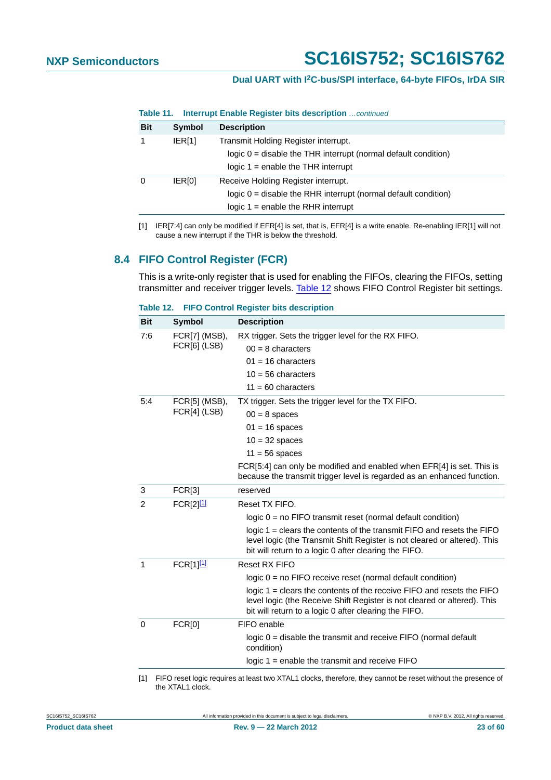## **Dual UART with I2C-bus/SPI interface, 64-byte FIFOs, IrDA SIR**

**Table 11. Interrupt Enable Register bits description** *…continued*

| <b>Bit</b> | <b>Symbol</b> | <b>Description</b>                                                                                                                               |
|------------|---------------|--------------------------------------------------------------------------------------------------------------------------------------------------|
|            | IER[1]        | Transmit Holding Register interrupt.<br>$logic 0$ = disable the THR interrupt (normal default condition)<br>logic $1 =$ enable the THR interrupt |
| 0          | <b>IERIOI</b> | Receive Holding Register interrupt.<br>$logic 0$ = disable the RHR interrupt (normal default condition)<br>logic $1$ = enable the RHR interrupt  |

<span id="page-22-0"></span>[1] IER[7:4] can only be modified if EFR[4] is set, that is, EFR[4] is a write enable. Re-enabling IER[1] will not cause a new interrupt if the THR is below the threshold.

## <span id="page-22-3"></span>**8.4 FIFO Control Register (FCR)**

This is a write-only register that is used for enabling the FIFOs, clearing the FIFOs, setting transmitter and receiver trigger levels. [Table 12](#page-22-1) shows FIFO Control Register bit settings.

<span id="page-22-1"></span>

| Table 12. |  |  |  |  | <b>FIFO Control Register bits description</b> |
|-----------|--|--|--|--|-----------------------------------------------|
|-----------|--|--|--|--|-----------------------------------------------|

| <b>Bit</b> | <b>Symbol</b>                 | <b>Description</b>                                                                                                                                                                                             |
|------------|-------------------------------|----------------------------------------------------------------------------------------------------------------------------------------------------------------------------------------------------------------|
| 7:6        | FCR[7] (MSB),<br>FCR[6] (LSB) | RX trigger. Sets the trigger level for the RX FIFO.<br>$00 = 8$ characters                                                                                                                                     |
|            |                               | $01 = 16$ characters                                                                                                                                                                                           |
|            |                               | $10 = 56$ characters<br>$11 = 60$ characters                                                                                                                                                                   |
| 5:4        |                               |                                                                                                                                                                                                                |
|            | FCR[5] (MSB),<br>FCR[4] (LSB) | TX trigger. Sets the trigger level for the TX FIFO.                                                                                                                                                            |
|            |                               | $00 = 8$ spaces<br>$01 = 16$ spaces                                                                                                                                                                            |
|            |                               | $10 = 32$ spaces                                                                                                                                                                                               |
|            |                               | $11 = 56$ spaces                                                                                                                                                                                               |
|            |                               | FCR[5:4] can only be modified and enabled when EFR[4] is set. This is                                                                                                                                          |
|            |                               | because the transmit trigger level is regarded as an enhanced function.                                                                                                                                        |
| 3          | <b>FCR[3]</b>                 | reserved                                                                                                                                                                                                       |
| 2          | FCR[2][1]                     | Reset TX FIFO.                                                                                                                                                                                                 |
|            |                               | $logic 0 = no FIFO transmit reset (normal default condition)$                                                                                                                                                  |
|            |                               | logic $1 =$ clears the contents of the transmit FIFO and resets the FIFO<br>level logic (the Transmit Shift Register is not cleared or altered). This<br>bit will return to a logic 0 after clearing the FIFO. |
| 1          | FCR[1] <sup>[1]</sup>         | Reset RX FIFO                                                                                                                                                                                                  |
|            |                               | $logic 0 = no FIFO receive reset (normal default condition)$                                                                                                                                                   |
|            |                               | logic $1 =$ clears the contents of the receive FIFO and resets the FIFO<br>level logic (the Receive Shift Register is not cleared or altered). This<br>bit will return to a logic 0 after clearing the FIFO.   |
| $\Omega$   | <b>FCR[0]</b>                 | FIFO enable                                                                                                                                                                                                    |
|            |                               | $logic 0$ = disable the transmit and receive FIFO (normal default<br>condition)                                                                                                                                |
|            |                               | logic $1 =$ enable the transmit and receive $FIFO$                                                                                                                                                             |
|            |                               |                                                                                                                                                                                                                |

<span id="page-22-2"></span>[1] FIFO reset logic requires at least two XTAL1 clocks, therefore, they cannot be reset without the presence of the XTAL1 clock.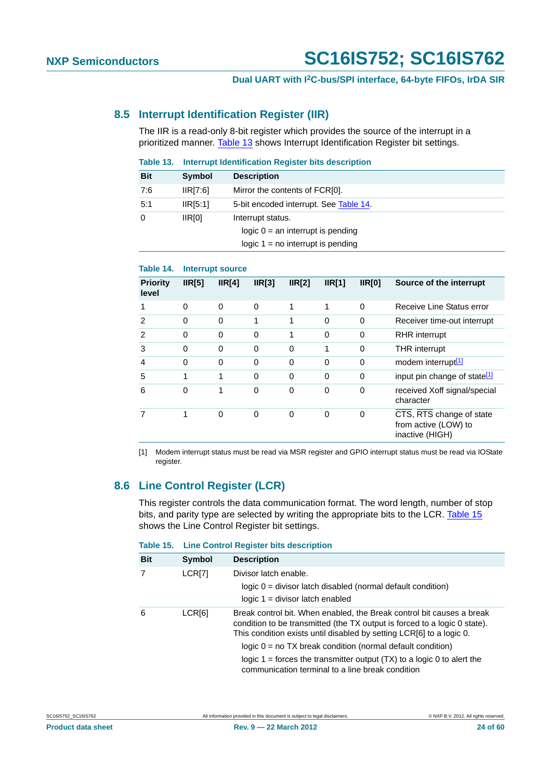## <span id="page-23-4"></span>**8.5 Interrupt Identification Register (IIR)**

The IIR is a read-only 8-bit register which provides the source of the interrupt in a prioritized manner. [Table 13](#page-23-0) shows Interrupt Identification Register bit settings.

<span id="page-23-0"></span>

| Table 13.  | Interrupt Identification Register bits description |                                                                                                 |  |  |  |
|------------|----------------------------------------------------|-------------------------------------------------------------------------------------------------|--|--|--|
| <b>Bit</b> | Symbol                                             | <b>Description</b>                                                                              |  |  |  |
| 7:6        | IIR[7:6]                                           | Mirror the contents of FCR[0].                                                                  |  |  |  |
| 5:1        | IIR[5:1]                                           | 5-bit encoded interrupt. See Table 14.                                                          |  |  |  |
| $\Omega$   | IR[0]                                              | Interrupt status.<br>logic $0 = an$ interrupt is pending<br>logic $1 = no$ interrupt is pending |  |  |  |

## <span id="page-23-1"></span>**Table 14. Interrupt source**

| <b>Priority</b><br>level | IR[5]    | IR[4]        | IR[3]    | IR[2]    | IR[1]    | IR[0]    | Source of the interrupt                                             |
|--------------------------|----------|--------------|----------|----------|----------|----------|---------------------------------------------------------------------|
|                          | $\Omega$ | $\Omega$     | $\Omega$ | 1        | 1        | $\Omega$ | Receive Line Status error                                           |
| 2                        | 0        | $\mathbf{0}$ | 1        | 1        | $\Omega$ | 0        | Receiver time-out interrupt                                         |
| 2                        | 0        | 0            | $\Omega$ | 1        | 0        | 0        | <b>RHR</b> interrupt                                                |
| 3                        | 0        | $\Omega$     | $\Omega$ | 0        | 1        | 0        | <b>THR</b> interrupt                                                |
| 4                        | 0        | $\Omega$     | $\Omega$ | $\Omega$ | 0        | $\Omega$ | modem interrupt <sup>[1]</sup>                                      |
| 5                        | 1        | 1            | $\Omega$ | $\Omega$ | $\Omega$ | 0        | input pin change of state <sup>[1]</sup>                            |
| 6                        | 0        | 1            | $\Omega$ | 0        | 0        | 0        | received Xoff signal/special<br>character                           |
|                          | 1        | 0            | $\Omega$ | 0        | 0        | 0        | CTS, RTS change of state<br>from active (LOW) to<br>inactive (HIGH) |

<span id="page-23-2"></span>[1] Modem interrupt status must be read via MSR register and GPIO interrupt status must be read via IOState register.

## <span id="page-23-5"></span>**8.6 Line Control Register (LCR)**

This register controls the data communication format. The word length, number of stop bits, and parity type are selected by writing the appropriate bits to the LCR. [Table 15](#page-23-3) shows the Line Control Register bit settings.

#### <span id="page-23-3"></span>**Table 15. Line Control Register bits description**

| <b>Bit</b> | Symbol             | <b>Description</b>                                                                                                                                                                                                                                                                                                                                                                                                         |  |  |  |
|------------|--------------------|----------------------------------------------------------------------------------------------------------------------------------------------------------------------------------------------------------------------------------------------------------------------------------------------------------------------------------------------------------------------------------------------------------------------------|--|--|--|
|            | LCR[7]             | Divisor latch enable.                                                                                                                                                                                                                                                                                                                                                                                                      |  |  |  |
|            |                    | $logic 0 = divisor$ latch disabled (normal default condition)                                                                                                                                                                                                                                                                                                                                                              |  |  |  |
|            |                    | $logic 1 = divisor$ latch enabled                                                                                                                                                                                                                                                                                                                                                                                          |  |  |  |
| 6          | LCR <sub>[6]</sub> | Break control bit. When enabled, the Break control bit causes a break<br>condition to be transmitted (the TX output is forced to a logic 0 state).<br>This condition exists until disabled by setting LCR[6] to a logic 0.<br>$logic 0 = no TX break condition (normal default condition)$<br>logic 1 = forces the transmitter output $(TX)$ to a logic 0 to alert the<br>communication terminal to a line break condition |  |  |  |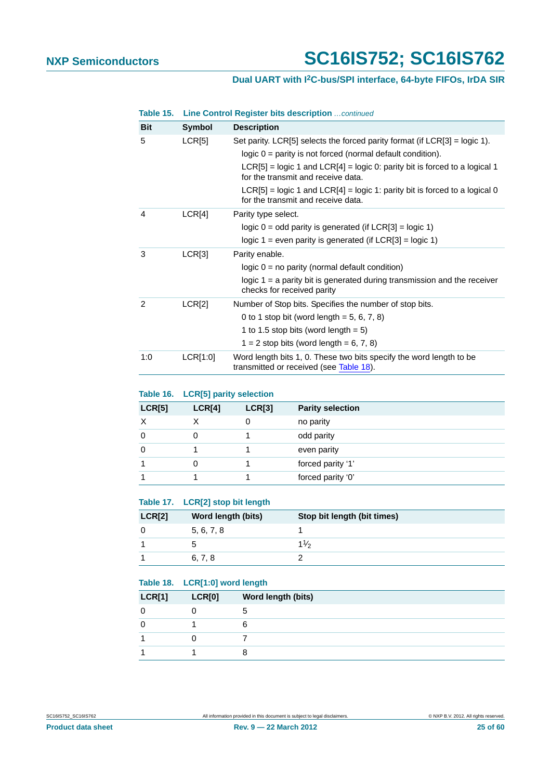## **Dual UART with I2C-bus/SPI interface, 64-byte FIFOs, IrDA SIR**

|  |  | Table 15. Line Control Register bits description  continued |
|--|--|-------------------------------------------------------------|
|  |  |                                                             |

| <b>Bit</b>     | <b>Symbol</b> | <b>Description</b>                                                                                                   |
|----------------|---------------|----------------------------------------------------------------------------------------------------------------------|
| 5              | LCR[5]        | Set parity. LCR[5] selects the forced parity format (if $LCR[3] = log(c 1)$ .                                        |
|                |               | $logic 0 = parity$ is not forced (normal default condition).                                                         |
|                |               | $LCR[5]$ = logic 1 and $LCR[4]$ = logic 0: parity bit is forced to a logical 1<br>for the transmit and receive data. |
|                |               | $LCR[5]$ = logic 1 and $LCR[4]$ = logic 1: parity bit is forced to a logical 0<br>for the transmit and receive data. |
| 4              | LCR[4]        | Parity type select.                                                                                                  |
|                |               | logic $0 =$ odd parity is generated (if LCR[3] = logic 1)                                                            |
|                |               | logic $1 =$ even parity is generated (if LCR[3] = logic 1)                                                           |
| 3              | LCR[3]        | Parity enable.                                                                                                       |
|                |               | $logic 0 = no parity (normal default condition)$                                                                     |
|                |               | logic $1 = a$ parity bit is generated during transmission and the receiver<br>checks for received parity             |
| $\mathfrak{p}$ | LCR[2]        | Number of Stop bits. Specifies the number of stop bits.                                                              |
|                |               | 0 to 1 stop bit (word length = $5, 6, 7, 8$ )                                                                        |
|                |               | 1 to 1.5 stop bits (word length = $5$ )                                                                              |
|                |               | $1 = 2$ stop bits (word length = 6, 7, 8)                                                                            |
| 1:0            | LCR[1:0]      | Word length bits 1, 0. These two bits specify the word length to be<br>transmitted or received (see Table 18).       |

## **Table 16. LCR[5] parity selection**

| LCR[5] | LCR[4] | LCR[3] | <b>Parity selection</b> |
|--------|--------|--------|-------------------------|
| X      |        |        | no parity               |
| 0      |        |        | odd parity              |
| 0      |        |        | even parity             |
|        | O      |        | forced parity '1'       |
|        |        |        | forced parity '0'       |

## **Table 17. LCR[2] stop bit length**

| <b>LCR[2]</b> | Word length (bits) | Stop bit length (bit times) |
|---------------|--------------------|-----------------------------|
|               | 5, 6, 7, 8         |                             |
|               |                    | $1\frac{1}{2}$              |
|               | 6, 7, 8            |                             |

<span id="page-24-0"></span>

|               | Table 18. LCR[1:0] word length |                    |  |
|---------------|--------------------------------|--------------------|--|
| <b>LCR[1]</b> | LCR[0]                         | Word length (bits) |  |
|               |                                | :                  |  |
|               |                                | 6                  |  |
|               |                                |                    |  |
|               |                                |                    |  |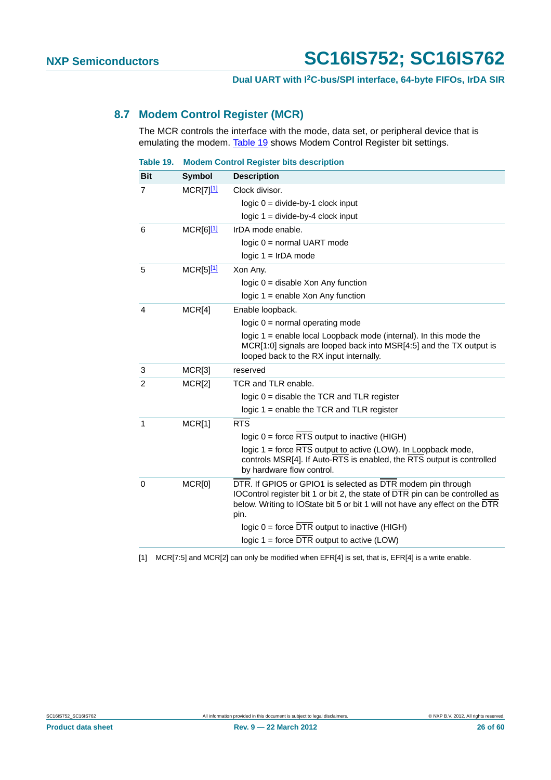## <span id="page-25-2"></span>**8.7 Modem Control Register (MCR)**

The MCR controls the interface with the mode, data set, or peripheral device that is emulating the modem. [Table 19](#page-25-0) shows Modem Control Register bit settings.

<span id="page-25-0"></span>

| Table 19.  |                         | <b>Modem Control Register bits description</b>                                                                                                                                                                                                                                                                                         |
|------------|-------------------------|----------------------------------------------------------------------------------------------------------------------------------------------------------------------------------------------------------------------------------------------------------------------------------------------------------------------------------------|
| <b>Bit</b> | Symbol                  | <b>Description</b>                                                                                                                                                                                                                                                                                                                     |
| 7          | $MCR[7]$ <sup>[1]</sup> | Clock divisor.<br>$logic 0 = divide-by-1 clock input$<br>$logic 1 = divide-by-4 clock input$                                                                                                                                                                                                                                           |
| 6          | $MCR[6]$ <sup>[1]</sup> | IrDA mode enable.<br>$logic 0 = normal UART mode$<br>$logic 1 = IrDA mode$                                                                                                                                                                                                                                                             |
| 5          | $MCR[5]$ <sup>[1]</sup> | Xon Any.<br>$logic 0 = disable Xon Any function$<br>logic $1 =$ enable Xon Any function                                                                                                                                                                                                                                                |
| 4          | MCR[4]                  | Enable loopback.<br>$logic 0 = normal operating mode$<br>logic $1$ = enable local Loopback mode (internal). In this mode the<br>MCR[1:0] signals are looped back into MSR[4:5] and the TX output is<br>looped back to the RX input internally.                                                                                         |
| 3          | MCR[3]                  | reserved                                                                                                                                                                                                                                                                                                                               |
| 2          | MCR[2]                  | TCR and TLR enable.<br>logic $0 =$ disable the TCR and TLR register<br>logic $1$ = enable the TCR and TLR register                                                                                                                                                                                                                     |
| 1          | MCR[1]                  | RTS<br>$logic 0 = force RTS output to inactive (HIGH)$<br>logic 1 = force RTS output to active (LOW). In Loopback mode,<br>controls MSR[4]. If Auto-RTS is enabled, the RTS output is controlled<br>by hardware flow control.                                                                                                          |
| 0          | MCR[0]                  | DTR. If GPIO5 or GPIO1 is selected as DTR modem pin through<br>IOControl register bit 1 or bit 2, the state of DTR pin can be controlled as<br>below. Writing to IOState bit 5 or bit 1 will not have any effect on the DTR<br>pin.<br>logic $0 =$ force DTR output to inactive (HIGH)<br>logic $1 =$ force DTR output to active (LOW) |

<span id="page-25-1"></span>[1] MCR[7:5] and MCR[2] can only be modified when EFR[4] is set, that is, EFR[4] is a write enable.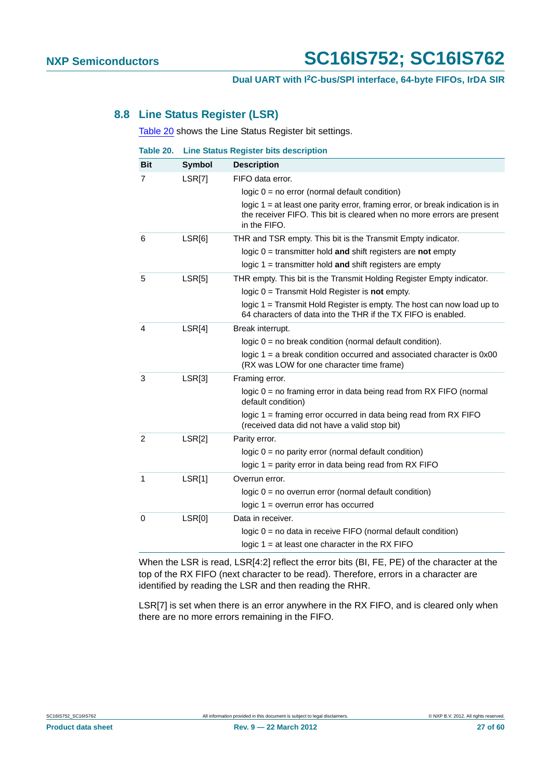## **Dual UART with I2C-bus/SPI interface, 64-byte FIFOs, IrDA SIR**

## <span id="page-26-1"></span>**8.8 Line Status Register (LSR)**

[Table 20](#page-26-0) shows the Line Status Register bit settings.

<span id="page-26-0"></span>

| Table 20.      | <b>Line Status Register bits description</b> |                                                                                                                                                                           |
|----------------|----------------------------------------------|---------------------------------------------------------------------------------------------------------------------------------------------------------------------------|
| <b>Bit</b>     | <b>Symbol</b>                                | <b>Description</b>                                                                                                                                                        |
| 7              | LSR[7]                                       | FIFO data error.                                                                                                                                                          |
|                |                                              | logic $0 = no$ error (normal default condition)                                                                                                                           |
|                |                                              | logic $1 = at$ least one parity error, framing error, or break indication is in<br>the receiver FIFO. This bit is cleared when no more errors are present<br>in the FIFO. |
| 6              | LSR[6]                                       | THR and TSR empty. This bit is the Transmit Empty indicator.                                                                                                              |
|                |                                              | logic $0 =$ transmitter hold and shift registers are not empty                                                                                                            |
|                |                                              | logic $1 =$ transmitter hold and shift registers are empty                                                                                                                |
| 5              | LSR[5]                                       | THR empty. This bit is the Transmit Holding Register Empty indicator.                                                                                                     |
|                |                                              | logic $0 =$ Transmit Hold Register is not empty.                                                                                                                          |
|                |                                              | logic 1 = Transmit Hold Register is empty. The host can now load up to<br>64 characters of data into the THR if the TX FIFO is enabled.                                   |
| 4              | LSR[4]                                       | Break interrupt.                                                                                                                                                          |
|                |                                              | logic $0 = no$ break condition (normal default condition).                                                                                                                |
|                |                                              | logic $1 = a$ break condition occurred and associated character is $0x00$<br>(RX was LOW for one character time frame)                                                    |
| 3              | LSR[3]                                       | Framing error.                                                                                                                                                            |
|                |                                              | logic 0 = no framing error in data being read from RX FIFO (normal<br>default condition)                                                                                  |
|                |                                              | logic $1 =$ framing error occurred in data being read from RX FIFO<br>(received data did not have a valid stop bit)                                                       |
| $\overline{2}$ | LSR[2]                                       | Parity error.                                                                                                                                                             |
|                |                                              | $logic 0 = no parity error (normal default condition)$                                                                                                                    |
|                |                                              | logic $1 =$ parity error in data being read from RX FIFO                                                                                                                  |
| 1              | LSR[1]                                       | Overrun error.                                                                                                                                                            |
|                |                                              | logic $0 = no$ overrun error (normal default condition)                                                                                                                   |
|                |                                              | $logic 1 = overrun error has occurred$                                                                                                                                    |
| 0              | LSR[0]                                       | Data in receiver.                                                                                                                                                         |
|                |                                              | logic $0 =$ no data in receive FIFO (normal default condition)                                                                                                            |
|                |                                              | logic $1 = at least one character in the RX FIFO$                                                                                                                         |

When the LSR is read, LSR[4:2] reflect the error bits (BI, FE, PE) of the character at the top of the RX FIFO (next character to be read). Therefore, errors in a character are identified by reading the LSR and then reading the RHR.

LSR[7] is set when there is an error anywhere in the RX FIFO, and is cleared only when there are no more errors remaining in the FIFO.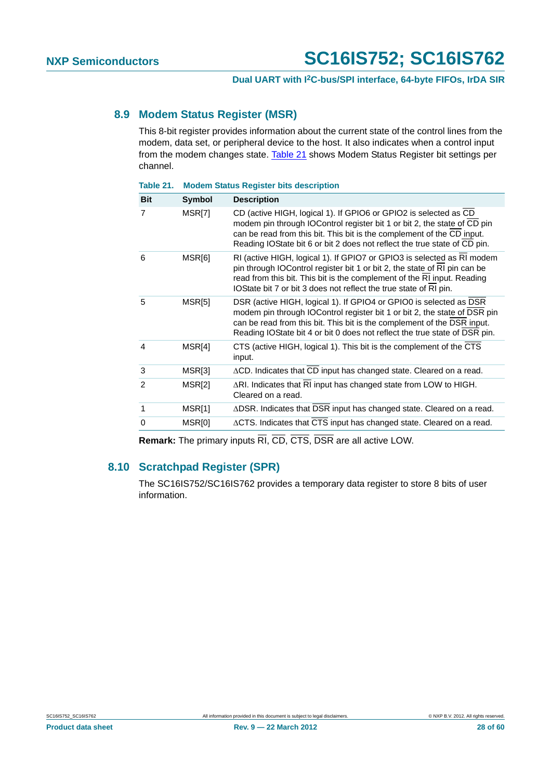## <span id="page-27-1"></span>**8.9 Modem Status Register (MSR)**

This 8-bit register provides information about the current state of the control lines from the modem, data set, or peripheral device to the host. It also indicates when a control input from the modem changes state. [Table 21](#page-27-0) shows Modem Status Register bit settings per channel.

<span id="page-27-0"></span>

| Table 21.      |               | <b>Modem Status Register bits description</b>                                                                                                                                                                                                                                                            |
|----------------|---------------|----------------------------------------------------------------------------------------------------------------------------------------------------------------------------------------------------------------------------------------------------------------------------------------------------------|
| <b>Bit</b>     | <b>Symbol</b> | <b>Description</b>                                                                                                                                                                                                                                                                                       |
| 7              | MSR[7]        | CD (active HIGH, logical 1). If GPIO6 or GPIO2 is selected as CD<br>modem pin through IOControl register bit 1 or bit 2, the state of CD pin<br>can be read from this bit. This bit is the complement of the CD input.<br>Reading IOState bit 6 or bit 2 does not reflect the true state of CD pin.      |
| 6              | MSR[6]        | RI (active HIGH, logical 1). If GPIO7 or GPIO3 is selected as RI modem<br>pin through IOControl register bit 1 or bit 2, the state of RI pin can be<br>read from this bit. This bit is the complement of the RI input. Reading<br>IOState bit 7 or bit 3 does not reflect the true state of RI pin.      |
| 5              | MSR[5]        | DSR (active HIGH, logical 1). If GPIO4 or GPIO0 is selected as DSR<br>modem pin through IOControl register bit 1 or bit 2, the state of DSR pin<br>can be read from this bit. This bit is the complement of the DSR input.<br>Reading IOState bit 4 or bit 0 does not reflect the true state of DSR pin. |
| $\overline{4}$ | MSR[4]        | CTS (active HIGH, logical 1). This bit is the complement of the CTS<br>input.                                                                                                                                                                                                                            |
| 3              | MSR[3]        | ACD. Indicates that CD input has changed state. Cleared on a read.                                                                                                                                                                                                                                       |
| $\mathfrak{p}$ | MSR[2]        | ARI. Indicates that RI input has changed state from LOW to HIGH.<br>Cleared on a read.                                                                                                                                                                                                                   |
| 1              | MSR[1]        | ∆DSR. Indicates that DSR input has changed state. Cleared on a read.                                                                                                                                                                                                                                     |
| $\Omega$       | MSR[0]        | ACTS. Indicates that CTS input has changed state. Cleared on a read.                                                                                                                                                                                                                                     |

**Remark:** The primary inputs RI, CD, CTS, DSR are all active LOW.

## <span id="page-27-2"></span>**8.10 Scratchpad Register (SPR)**

The SC16IS752/SC16IS762 provides a temporary data register to store 8 bits of user information.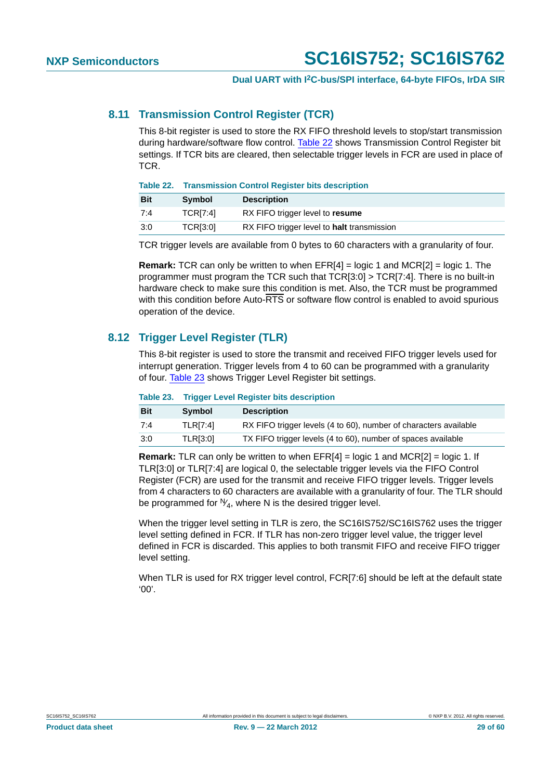## <span id="page-28-2"></span>**8.11 Transmission Control Register (TCR)**

This 8-bit register is used to store the RX FIFO threshold levels to stop/start transmission during hardware/software flow control. [Table 22](#page-28-0) shows Transmission Control Register bit settings. If TCR bits are cleared, then selectable trigger levels in FCR are used in place of TCR.

<span id="page-28-0"></span>**Table 22. Transmission Control Register bits description**

| <b>Bit</b> | <b>Symbol</b>   | <b>Description</b>                         |
|------------|-----------------|--------------------------------------------|
| 7:4        | <b>TCRI7:41</b> | RX FIFO trigger level to resume            |
| 3:0        | <b>TCRI3:01</b> | RX FIFO trigger level to halt transmission |

TCR trigger levels are available from 0 bytes to 60 characters with a granularity of four.

**Remark:** TCR can only be written to when EFR[4] = logic 1 and MCR[2] = logic 1. The programmer must program the TCR such that TCR[3:0] > TCR[7:4]. There is no built-in hardware check to make sure this condition is met. Also, the TCR must be programmed with this condition before Auto-RTS or software flow control is enabled to avoid spurious operation of the device.

## <span id="page-28-3"></span>**8.12 Trigger Level Register (TLR)**

This 8-bit register is used to store the transmit and received FIFO trigger levels used for interrupt generation. Trigger levels from 4 to 60 can be programmed with a granularity of four. [Table 23](#page-28-1) shows Trigger Level Register bit settings.

#### <span id="page-28-1"></span>**Table 23. Trigger Level Register bits description**

| <b>Bit</b> | <b>Symbol</b>   | <b>Description</b>                                               |
|------------|-----------------|------------------------------------------------------------------|
| 7:4        | <b>TLRI7:41</b> | RX FIFO trigger levels (4 to 60), number of characters available |
| 3:0        | <b>TLR[3:0]</b> | TX FIFO trigger levels (4 to 60), number of spaces available     |

**Remark:** TLR can only be written to when EFR[4] = logic 1 and MCR[2] = logic 1. If TLR[3:0] or TLR[7:4] are logical 0, the selectable trigger levels via the FIFO Control Register (FCR) are used for the transmit and receive FIFO trigger levels. Trigger levels from 4 characters to 60 characters are available with a granularity of four. The TLR should be programmed for  $\mathbb{W}_{4}$ , where N is the desired trigger level.

When the trigger level setting in TLR is zero, the SC16IS752/SC16IS762 uses the trigger level setting defined in FCR. If TLR has non-zero trigger level value, the trigger level defined in FCR is discarded. This applies to both transmit FIFO and receive FIFO trigger level setting.

When TLR is used for RX trigger level control, FCR[7:6] should be left at the default state '00'.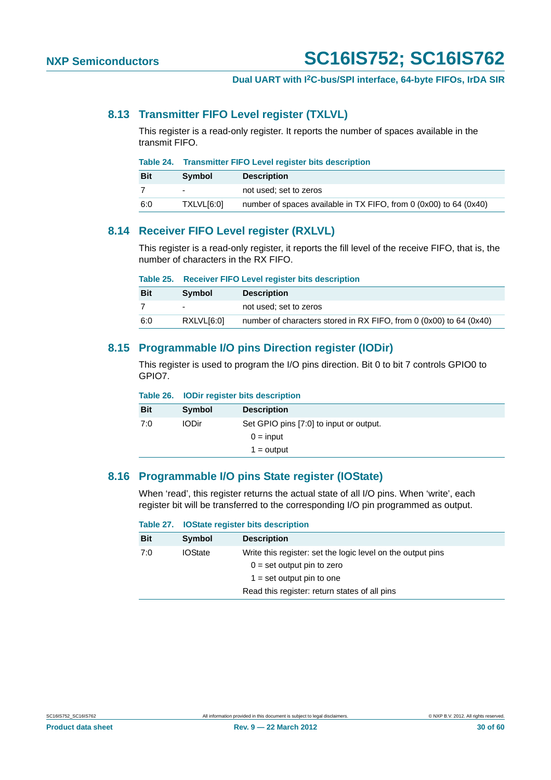## <span id="page-29-0"></span>**8.13 Transmitter FIFO Level register (TXLVL)**

This register is a read-only register. It reports the number of spaces available in the transmit FIFO.

| Table 24. |  |  |  | <b>Transmitter FIFO Level register bits description</b> |
|-----------|--|--|--|---------------------------------------------------------|
|-----------|--|--|--|---------------------------------------------------------|

| <b>Bit</b> | Symbol                   | <b>Description</b>                                                |
|------------|--------------------------|-------------------------------------------------------------------|
|            | $\overline{\phantom{0}}$ | not used: set to zeros                                            |
| 6:0        | TXLVL[6:0]               | number of spaces available in TX FIFO, from 0 (0x00) to 64 (0x40) |

## <span id="page-29-1"></span>**8.14 Receiver FIFO Level register (RXLVL)**

This register is a read-only register, it reports the fill level of the receive FIFO, that is, the number of characters in the RX FIFO.

|  |  |  | Table 25. Receiver FIFO Level register bits description |
|--|--|--|---------------------------------------------------------|
|--|--|--|---------------------------------------------------------|

| <b>Bit</b> | <b>Symbol</b>            | <b>Description</b>                                                 |
|------------|--------------------------|--------------------------------------------------------------------|
|            | $\overline{\phantom{0}}$ | not used: set to zeros                                             |
| 6:0        | RXLVL[6:0]               | number of characters stored in RX FIFO, from 0 (0x00) to 64 (0x40) |

## <span id="page-29-2"></span>**8.15 Programmable I/O pins Direction register (IODir)**

This register is used to program the I/O pins direction. Bit 0 to bit 7 controls GPIO0 to GPIO7.

| <b>Description</b>                      |
|-----------------------------------------|
| Set GPIO pins [7:0] to input or output. |
| $0 = input$                             |
| $1 =$ output                            |
|                                         |

## <span id="page-29-3"></span>**8.16 Programmable I/O pins State register (IOState)**

When 'read', this register returns the actual state of all I/O pins. When 'write', each register bit will be transferred to the corresponding I/O pin programmed as output.

|            |                | Table 27. IOState register bits description                                                                                |  |
|------------|----------------|----------------------------------------------------------------------------------------------------------------------------|--|
| <b>Bit</b> | Symbol         | <b>Description</b>                                                                                                         |  |
| 7:0        | <b>IOState</b> | Write this register: set the logic level on the output pins<br>$0 =$ set output pin to zero<br>$1 = set$ output pin to one |  |
|            |                | Read this register: return states of all pins                                                                              |  |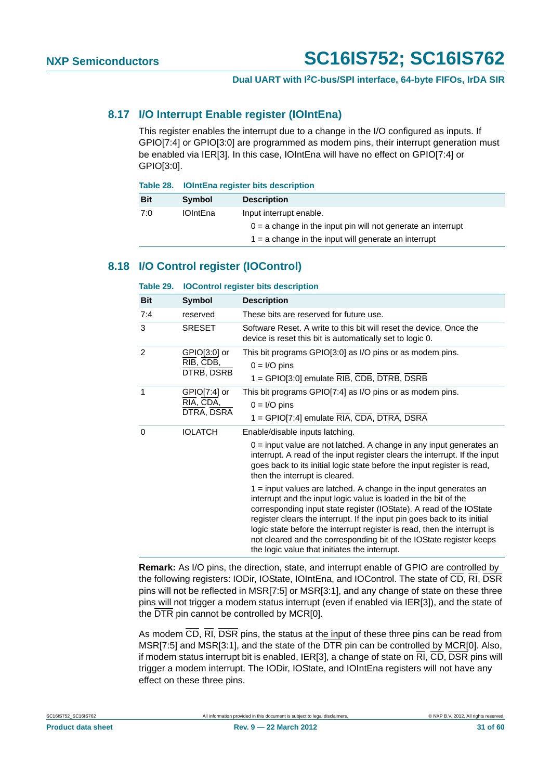## <span id="page-30-1"></span>**8.17 I/O Interrupt Enable register (IOIntEna)**

This register enables the interrupt due to a change in the I/O configured as inputs. If GPIO[7:4] or GPIO[3:0] are programmed as modem pins, their interrupt generation must be enabled via IER[3]. In this case, IOIntEna will have no effect on GPIO[7:4] or GPIO[3:0].

|            | Table 28. IOIntEna register bits description |                                                                |  |  |
|------------|----------------------------------------------|----------------------------------------------------------------|--|--|
| <b>Bit</b> | Symbol                                       | <b>Description</b>                                             |  |  |
| 7:0        | <b>IOIntEna</b>                              | Input interrupt enable.                                        |  |  |
|            |                                              | $0 = a$ change in the input pin will not generate an interrupt |  |  |
|            |                                              | $1 = a$ change in the input will generate an interrupt         |  |  |

## <span id="page-30-2"></span>**8.18 I/O Control register (IOControl)**

<span id="page-30-0"></span>

| Table 29.  | <b>IOControl register bits description</b> |                                                                                                                                                                                                                                                                                                                                                                                                                                                                                                                                                                                                                                                                                                                                                                                                   |  |  |  |  |
|------------|--------------------------------------------|---------------------------------------------------------------------------------------------------------------------------------------------------------------------------------------------------------------------------------------------------------------------------------------------------------------------------------------------------------------------------------------------------------------------------------------------------------------------------------------------------------------------------------------------------------------------------------------------------------------------------------------------------------------------------------------------------------------------------------------------------------------------------------------------------|--|--|--|--|
| <b>Bit</b> | Symbol                                     | <b>Description</b>                                                                                                                                                                                                                                                                                                                                                                                                                                                                                                                                                                                                                                                                                                                                                                                |  |  |  |  |
| 7:4        | reserved                                   | These bits are reserved for future use.                                                                                                                                                                                                                                                                                                                                                                                                                                                                                                                                                                                                                                                                                                                                                           |  |  |  |  |
| 3          | <b>SRESET</b>                              | Software Reset. A write to this bit will reset the device. Once the<br>device is reset this bit is automatically set to logic 0.                                                                                                                                                                                                                                                                                                                                                                                                                                                                                                                                                                                                                                                                  |  |  |  |  |
| 2          | GPIO[3:0] or<br>RIB, CDB,<br>DTRB, DSRB    | This bit programs GPIO[3:0] as I/O pins or as modem pins.<br>$0 = I/O$ pins<br>1 = GPIO[3:0] emulate RIB, CDB, DTRB, DSRB                                                                                                                                                                                                                                                                                                                                                                                                                                                                                                                                                                                                                                                                         |  |  |  |  |
| 1          | $GPIO[7:4]$ or<br>RIA, CDA,<br>DTRA, DSRA  | This bit programs GPIO[7:4] as I/O pins or as modem pins.<br>$0 = I/O$ pins<br>1 = GPIO[7:4] emulate RIA, CDA, DTRA, DSRA                                                                                                                                                                                                                                                                                                                                                                                                                                                                                                                                                                                                                                                                         |  |  |  |  |
| 0          | <b>IOLATCH</b>                             | Enable/disable inputs latching.<br>$0 =$ input value are not latched. A change in any input generates an<br>interrupt. A read of the input register clears the interrupt. If the input<br>goes back to its initial logic state before the input register is read,<br>then the interrupt is cleared.<br>1 = input values are latched. A change in the input generates an<br>interrupt and the input logic value is loaded in the bit of the<br>corresponding input state register (IOState). A read of the IOState<br>register clears the interrupt. If the input pin goes back to its initial<br>logic state before the interrupt register is read, then the interrupt is<br>not cleared and the corresponding bit of the IOState register keeps<br>the logic value that initiates the interrupt. |  |  |  |  |

**Remark:** As I/O pins, the direction, state, and interrupt enable of GPIO are controlled by the following registers: IODir, IOState, IOIntEna, and IOControl. The state of CD, RI, DSR pins will not be reflected in MSR[7:5] or MSR[3:1], and any change of state on these three pins will not trigger a modem status interrupt (even if enabled via IER[3]), and the state of the DTR pin cannot be controlled by MCR[0].

As modem CD, RI, DSR pins, the status at the input of these three pins can be read from MSR[7:5] and MSR[3:1], and the state of the DTR pin can be controlled by MCR[0]. Also, if modem status interrupt bit is enabled, IER[3], a change of state on RI, CD, DSR pins will trigger a modem interrupt. The IODir, IOState, and IOIntEna registers will not have any effect on these three pins.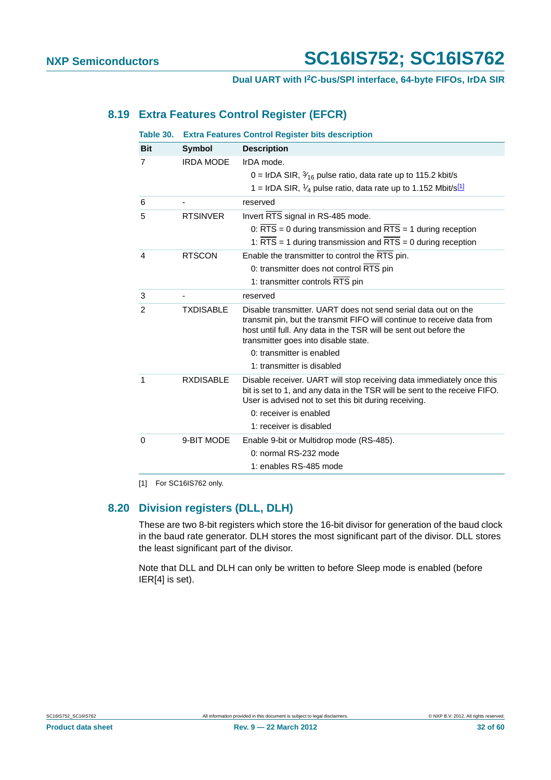## <span id="page-31-1"></span>**8.19 Extra Features Control Register (EFCR)**

| Table 30.      | <b>Extra Features Control Register bits description</b> |                                                                                                                                                                                                                                                      |  |  |  |
|----------------|---------------------------------------------------------|------------------------------------------------------------------------------------------------------------------------------------------------------------------------------------------------------------------------------------------------------|--|--|--|
| <b>Bit</b>     | <b>Symbol</b>                                           | <b>Description</b>                                                                                                                                                                                                                                   |  |  |  |
| 7              | <b>IRDA MODE</b>                                        | IrDA mode.                                                                                                                                                                                                                                           |  |  |  |
|                |                                                         | 0 = IrDA SIR, $\frac{3}{16}$ pulse ratio, data rate up to 115.2 kbit/s                                                                                                                                                                               |  |  |  |
|                |                                                         | 1 = IrDA SIR, $\frac{1}{4}$ pulse ratio, data rate up to 1.152 Mbit/s <sup>[1]</sup>                                                                                                                                                                 |  |  |  |
| 6              |                                                         | reserved                                                                                                                                                                                                                                             |  |  |  |
| 5              | <b>RTSINVER</b>                                         | Invert RTS signal in RS-485 mode.                                                                                                                                                                                                                    |  |  |  |
|                |                                                         | 0: $\overline{RTS}$ = 0 during transmission and $\overline{RTS}$ = 1 during reception                                                                                                                                                                |  |  |  |
|                |                                                         | 1: $\overline{RTS}$ = 1 during transmission and $\overline{RTS}$ = 0 during reception                                                                                                                                                                |  |  |  |
| 4              | <b>RTSCON</b>                                           | Enable the transmitter to control the RTS pin.                                                                                                                                                                                                       |  |  |  |
|                |                                                         | 0: transmitter does not control RTS pin                                                                                                                                                                                                              |  |  |  |
|                |                                                         | 1: transmitter controls RTS pin                                                                                                                                                                                                                      |  |  |  |
| 3              |                                                         | reserved                                                                                                                                                                                                                                             |  |  |  |
| $\mathfrak{p}$ | <b>TXDISABLE</b>                                        | Disable transmitter. UART does not send serial data out on the<br>transmit pin, but the transmit FIFO will continue to receive data from<br>host until full. Any data in the TSR will be sent out before the<br>transmitter goes into disable state. |  |  |  |
|                |                                                         | 0: transmitter is enabled                                                                                                                                                                                                                            |  |  |  |
|                |                                                         | 1: transmitter is disabled                                                                                                                                                                                                                           |  |  |  |
| 1              | <b>RXDISABLE</b>                                        | Disable receiver. UART will stop receiving data immediately once this<br>bit is set to 1, and any data in the TSR will be sent to the receive FIFO.<br>User is advised not to set this bit during receiving.                                         |  |  |  |
|                |                                                         | 0: receiver is enabled                                                                                                                                                                                                                               |  |  |  |
|                |                                                         | 1: receiver is disabled                                                                                                                                                                                                                              |  |  |  |
| $\Omega$       | 9-BIT MODE                                              | Enable 9-bit or Multidrop mode (RS-485).                                                                                                                                                                                                             |  |  |  |
|                |                                                         | 0: normal RS-232 mode                                                                                                                                                                                                                                |  |  |  |
|                |                                                         | 1: enables RS-485 mode                                                                                                                                                                                                                               |  |  |  |
|                |                                                         |                                                                                                                                                                                                                                                      |  |  |  |

<span id="page-31-0"></span>[1] For SC16IS762 only.

## <span id="page-31-2"></span>**8.20 Division registers (DLL, DLH)**

These are two 8-bit registers which store the 16-bit divisor for generation of the baud clock in the baud rate generator. DLH stores the most significant part of the divisor. DLL stores the least significant part of the divisor.

Note that DLL and DLH can only be written to before Sleep mode is enabled (before IER[4] is set).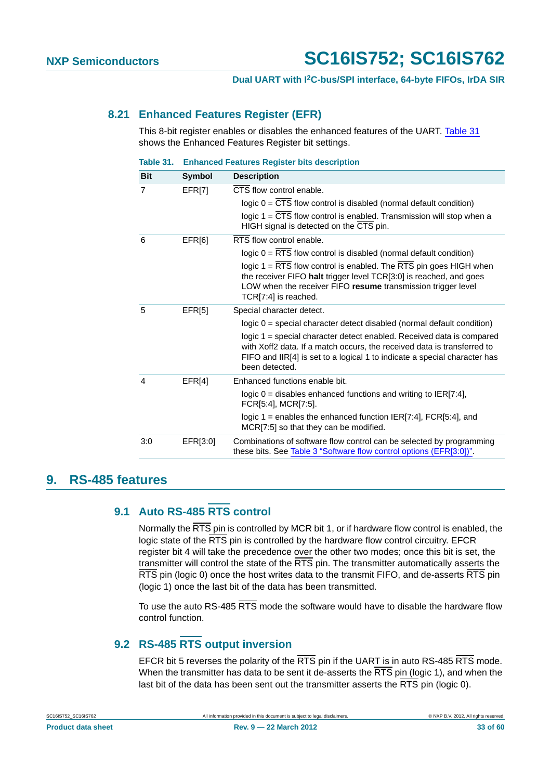## <span id="page-32-1"></span>**8.21 Enhanced Features Register (EFR)**

This 8-bit register enables or disables the enhanced features of the UART. [Table 31](#page-32-0) shows the Enhanced Features Register bit settings.

<span id="page-32-0"></span>

| Table 31.      |                    | <b>Enhanced Features Register bits description</b>                                                                                                                                                                                              |
|----------------|--------------------|-------------------------------------------------------------------------------------------------------------------------------------------------------------------------------------------------------------------------------------------------|
| <b>Bit</b>     | <b>Symbol</b>      | <b>Description</b>                                                                                                                                                                                                                              |
| 7              | EFR[7]             | CTS flow control enable.                                                                                                                                                                                                                        |
|                |                    | logic $0 = \overline{CTS}$ flow control is disabled (normal default condition)                                                                                                                                                                  |
|                |                    | logic 1 = CTS flow control is enabled. Transmission will stop when a<br>HIGH signal is detected on the CTS pin.                                                                                                                                 |
| 6              | EFR <sub>[6]</sub> | RTS flow control enable.                                                                                                                                                                                                                        |
|                |                    | logic $0 = RTS$ flow control is disabled (normal default condition)                                                                                                                                                                             |
|                |                    | logic 1 = RTS flow control is enabled. The RTS pin goes HIGH when<br>the receiver FIFO halt trigger level TCR[3:0] is reached, and goes<br>LOW when the receiver FIFO resume transmission trigger level<br>TCR[7:4] is reached.                 |
| 5              | EFR[5]             | Special character detect.                                                                                                                                                                                                                       |
|                |                    | logic 0 = special character detect disabled (normal default condition)                                                                                                                                                                          |
|                |                    | logic 1 = special character detect enabled. Received data is compared<br>with Xoff2 data. If a match occurs, the received data is transferred to<br>FIFO and IIR[4] is set to a logical 1 to indicate a special character has<br>been detected. |
| $\overline{4}$ | EFR[4]             | Enhanced functions enable bit.                                                                                                                                                                                                                  |
|                |                    | logic $0 =$ disables enhanced functions and writing to IER[7:4],<br>FCR[5:4], MCR[7:5].                                                                                                                                                         |
|                |                    | logic 1 = enables the enhanced function IER[7:4], FCR[5:4], and<br>MCR[7:5] so that they can be modified.                                                                                                                                       |
| 3:0            | EFR[3:0]           | Combinations of software flow control can be selected by programming<br>these bits. See Table 3 "Software flow control options (EFR[3:0])".                                                                                                     |
|                |                    |                                                                                                                                                                                                                                                 |

## <span id="page-32-3"></span><span id="page-32-2"></span>**9. RS-485 features**

## **9.1 Auto RS-485 RTS control**

Normally the RTS pin is controlled by MCR bit 1, or if hardware flow control is enabled, the logic state of the RTS pin is controlled by the hardware flow control circuitry. EFCR register bit 4 will take the precedence over the other two modes; once this bit is set, the transmitter will control the state of the  $\overline{\text{RTS}}$  pin. The transmitter automatically asserts the RTS pin (logic 0) once the host writes data to the transmit FIFO, and de-asserts RTS pin (logic 1) once the last bit of the data has been transmitted.

To use the auto RS-485 RTS mode the software would have to disable the hardware flow control function.

## <span id="page-32-4"></span>**9.2 RS-485 RTS output inversion**

EFCR bit 5 reverses the polarity of the RTS pin if the UART is in auto RS-485 RTS mode. When the transmitter has data to be sent it de-asserts the RTS pin (logic 1), and when the last bit of the data has been sent out the transmitter asserts the  $\overline{\text{RTS}}$  pin (logic 0).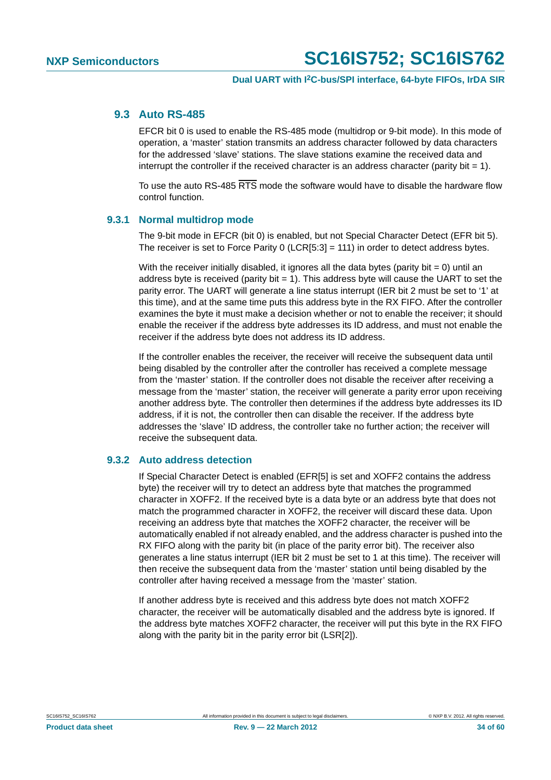## <span id="page-33-0"></span>**9.3 Auto RS-485**

EFCR bit 0 is used to enable the RS-485 mode (multidrop or 9-bit mode). In this mode of operation, a 'master' station transmits an address character followed by data characters for the addressed 'slave' stations. The slave stations examine the received data and interrupt the controller if the received character is an address character (parity bit  $= 1$ ).

To use the auto RS-485 RTS mode the software would have to disable the hardware flow control function.

## <span id="page-33-1"></span>**9.3.1 Normal multidrop mode**

The 9-bit mode in EFCR (bit 0) is enabled, but not Special Character Detect (EFR bit 5). The receiver is set to Force Parity 0 (LCR[5:3] = 111) in order to detect address bytes.

With the receiver initially disabled, it ignores all the data bytes (parity bit  $= 0$ ) until an address byte is received (parity bit  $= 1$ ). This address byte will cause the UART to set the parity error. The UART will generate a line status interrupt (IER bit 2 must be set to '1' at this time), and at the same time puts this address byte in the RX FIFO. After the controller examines the byte it must make a decision whether or not to enable the receiver; it should enable the receiver if the address byte addresses its ID address, and must not enable the receiver if the address byte does not address its ID address.

If the controller enables the receiver, the receiver will receive the subsequent data until being disabled by the controller after the controller has received a complete message from the 'master' station. If the controller does not disable the receiver after receiving a message from the 'master' station, the receiver will generate a parity error upon receiving another address byte. The controller then determines if the address byte addresses its ID address, if it is not, the controller then can disable the receiver. If the address byte addresses the 'slave' ID address, the controller take no further action; the receiver will receive the subsequent data.

## <span id="page-33-2"></span>**9.3.2 Auto address detection**

If Special Character Detect is enabled (EFR[5] is set and XOFF2 contains the address byte) the receiver will try to detect an address byte that matches the programmed character in XOFF2. If the received byte is a data byte or an address byte that does not match the programmed character in XOFF2, the receiver will discard these data. Upon receiving an address byte that matches the XOFF2 character, the receiver will be automatically enabled if not already enabled, and the address character is pushed into the RX FIFO along with the parity bit (in place of the parity error bit). The receiver also generates a line status interrupt (IER bit 2 must be set to 1 at this time). The receiver will then receive the subsequent data from the 'master' station until being disabled by the controller after having received a message from the 'master' station.

If another address byte is received and this address byte does not match XOFF2 character, the receiver will be automatically disabled and the address byte is ignored. If the address byte matches XOFF2 character, the receiver will put this byte in the RX FIFO along with the parity bit in the parity error bit (LSR[2]).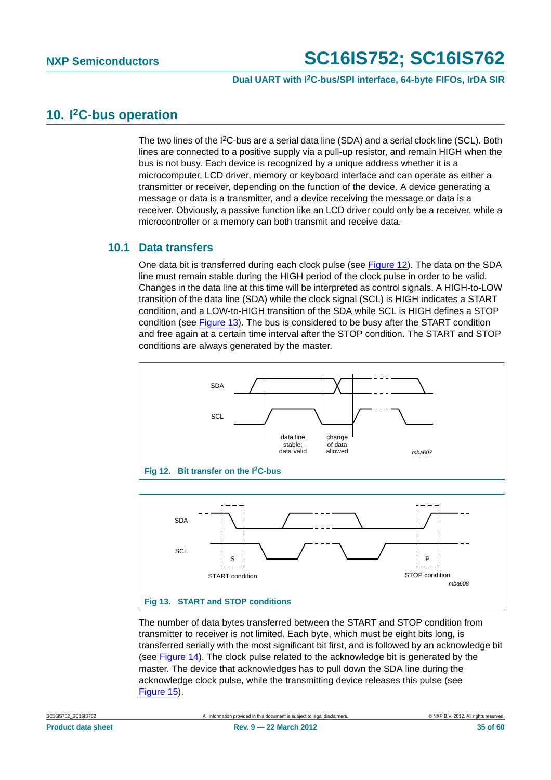### **Dual UART with I2C-bus/SPI interface, 64-byte FIFOs, IrDA SIR**

## <span id="page-34-2"></span>**10. I2C-bus operation**

The two lines of the  $12C$ -bus are a serial data line (SDA) and a serial clock line (SCL). Both lines are connected to a positive supply via a pull-up resistor, and remain HIGH when the bus is not busy. Each device is recognized by a unique address whether it is a microcomputer, LCD driver, memory or keyboard interface and can operate as either a transmitter or receiver, depending on the function of the device. A device generating a message or data is a transmitter, and a device receiving the message or data is a receiver. Obviously, a passive function like an LCD driver could only be a receiver, while a microcontroller or a memory can both transmit and receive data.

## <span id="page-34-3"></span>**10.1 Data transfers**

One data bit is transferred during each clock pulse (see [Figure 12\)](#page-34-0). The data on the SDA line must remain stable during the HIGH period of the clock pulse in order to be valid. Changes in the data line at this time will be interpreted as control signals. A HIGH-to-LOW transition of the data line (SDA) while the clock signal (SCL) is HIGH indicates a START condition, and a LOW-to-HIGH transition of the SDA while SCL is HIGH defines a STOP condition (see [Figure 13](#page-34-1)). The bus is considered to be busy after the START condition and free again at a certain time interval after the STOP condition. The START and STOP conditions are always generated by the master.



<span id="page-34-0"></span>

<span id="page-34-1"></span>The number of data bytes transferred between the START and STOP condition from transmitter to receiver is not limited. Each byte, which must be eight bits long, is transferred serially with the most significant bit first, and is followed by an acknowledge bit (see [Figure 14](#page-35-0)). The clock pulse related to the acknowledge bit is generated by the master. The device that acknowledges has to pull down the SDA line during the acknowledge clock pulse, while the transmitting device releases this pulse (see [Figure 15](#page-35-1)).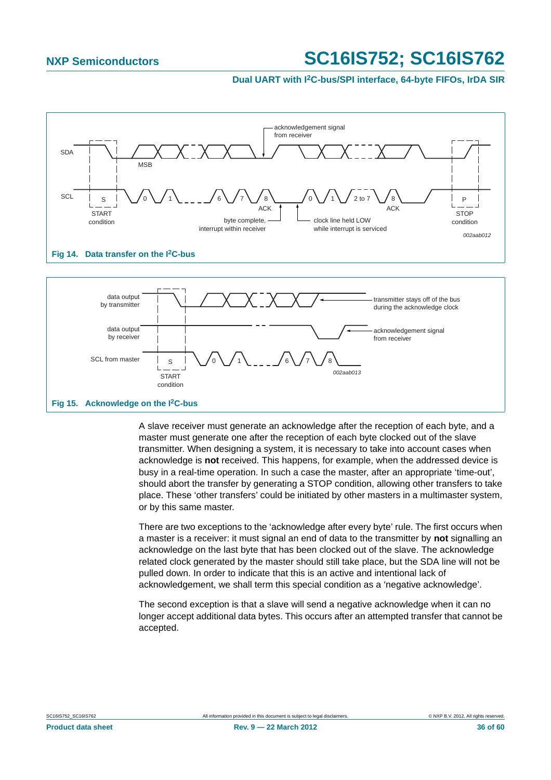## **Dual UART with I2C-bus/SPI interface, 64-byte FIFOs, IrDA SIR**



<span id="page-35-0"></span>

<span id="page-35-1"></span>A slave receiver must generate an acknowledge after the reception of each byte, and a master must generate one after the reception of each byte clocked out of the slave transmitter. When designing a system, it is necessary to take into account cases when acknowledge is **not** received. This happens, for example, when the addressed device is busy in a real-time operation. In such a case the master, after an appropriate 'time-out', should abort the transfer by generating a STOP condition, allowing other transfers to take place. These 'other transfers' could be initiated by other masters in a multimaster system, or by this same master.

There are two exceptions to the 'acknowledge after every byte' rule. The first occurs when a master is a receiver: it must signal an end of data to the transmitter by **not** signalling an acknowledge on the last byte that has been clocked out of the slave. The acknowledge related clock generated by the master should still take place, but the SDA line will not be pulled down. In order to indicate that this is an active and intentional lack of acknowledgement, we shall term this special condition as a 'negative acknowledge'.

The second exception is that a slave will send a negative acknowledge when it can no longer accept additional data bytes. This occurs after an attempted transfer that cannot be accepted.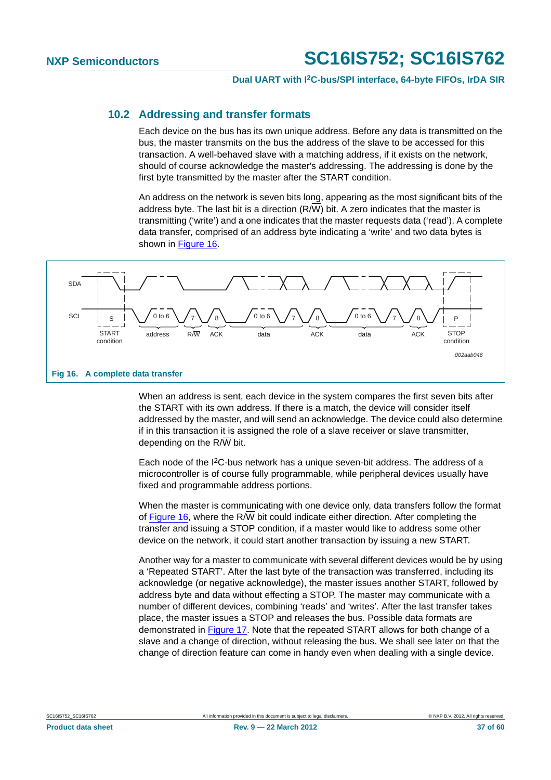## **Dual UART with I2C-bus/SPI interface, 64-byte FIFOs, IrDA SIR**

## <span id="page-36-1"></span>**10.2 Addressing and transfer formats**

Each device on the bus has its own unique address. Before any data is transmitted on the bus, the master transmits on the bus the address of the slave to be accessed for this transaction. A well-behaved slave with a matching address, if it exists on the network, should of course acknowledge the master's addressing. The addressing is done by the first byte transmitted by the master after the START condition.

An address on the network is seven bits long, appearing as the most significant bits of the address byte. The last bit is a direction  $(R/\overline{W})$  bit. A zero indicates that the master is transmitting ('write') and a one indicates that the master requests data ('read'). A complete data transfer, comprised of an address byte indicating a 'write' and two data bytes is shown in [Figure 16](#page-36-0).



<span id="page-36-0"></span>When an address is sent, each device in the system compares the first seven bits after the START with its own address. If there is a match, the device will consider itself addressed by the master, and will send an acknowledge. The device could also determine if in this transaction it is assigned the role of a slave receiver or slave transmitter, depending on the  $R/\overline{W}$  bit.

Each node of the I2C-bus network has a unique seven-bit address. The address of a microcontroller is of course fully programmable, while peripheral devices usually have fixed and programmable address portions.

When the master is communicating with one device only, data transfers follow the format of [Figure 16](#page-36-0), where the R/W bit could indicate either direction. After completing the transfer and issuing a STOP condition, if a master would like to address some other device on the network, it could start another transaction by issuing a new START.

Another way for a master to communicate with several different devices would be by using a 'Repeated START'. After the last byte of the transaction was transferred, including its acknowledge (or negative acknowledge), the master issues another START, followed by address byte and data without effecting a STOP. The master may communicate with a number of different devices, combining 'reads' and 'writes'. After the last transfer takes place, the master issues a STOP and releases the bus. Possible data formats are demonstrated in [Figure 17.](#page-37-0) Note that the repeated START allows for both change of a slave and a change of direction, without releasing the bus. We shall see later on that the change of direction feature can come in handy even when dealing with a single device.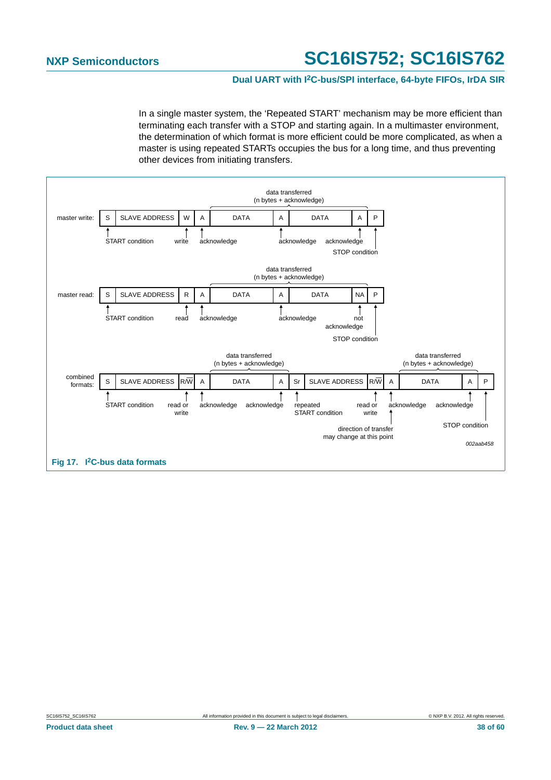## **Dual UART with I2C-bus/SPI interface, 64-byte FIFOs, IrDA SIR**

In a single master system, the 'Repeated START' mechanism may be more efficient than terminating each transfer with a STOP and starting again. In a multimaster environment, the determination of which format is more efficient could be more complicated, as when a master is using repeated STARTs occupies the bus for a long time, and thus preventing other devices from initiating transfers.

<span id="page-37-0"></span>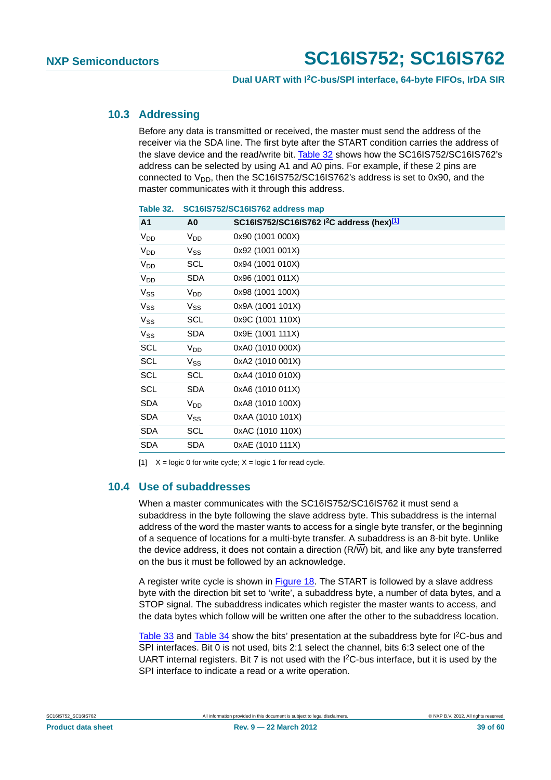## <span id="page-38-2"></span>**10.3 Addressing**

Before any data is transmitted or received, the master must send the address of the receiver via the SDA line. The first byte after the START condition carries the address of the slave device and the read/write bit. [Table 32](#page-38-0) shows how the SC16IS752/SC16IS762's address can be selected by using A1 and A0 pins. For example, if these 2 pins are connected to  $V_{DD}$ , then the SC16IS752/SC16IS762's address is set to 0x90, and the master communicates with it through this address.

| A <sub>1</sub>        | A0              | SC16IS752/SC16IS762 I <sup>2</sup> C address (hex) <sup>[1]</sup> |
|-----------------------|-----------------|-------------------------------------------------------------------|
| $V_{DD}$              | V <sub>DD</sub> | 0x90 (1001 000X)                                                  |
| <b>V<sub>DD</sub></b> | $V_{SS}$        | 0x92 (1001 001X)                                                  |
| <b>V<sub>DD</sub></b> | <b>SCL</b>      | 0x94 (1001 010X)                                                  |
| <b>V<sub>DD</sub></b> | SDA             | 0x96 (1001 011X)                                                  |
| $V_{SS}$              | V <sub>DD</sub> | 0x98 (1001 100X)                                                  |
| $V_{SS}$              | $V_{SS}$        | 0x9A (1001 101X)                                                  |
| $V_{SS}$              | SCL             | 0x9C (1001 110X)                                                  |
| $V_{SS}$              | <b>SDA</b>      | 0x9E (1001 111X)                                                  |
| SCL                   | V <sub>DD</sub> | 0xA0 (1010 000X)                                                  |
| <b>SCL</b>            | $V_{SS}$        | 0xA2 (1010 001X)                                                  |
| <b>SCL</b>            | <b>SCL</b>      | 0xA4 (1010 010X)                                                  |
| <b>SCL</b>            | <b>SDA</b>      | 0xA6 (1010 011X)                                                  |
| <b>SDA</b>            | V <sub>DD</sub> | 0xA8 (1010 100X)                                                  |
| <b>SDA</b>            | $V_{SS}$        | 0xAA (1010 101X)                                                  |
| <b>SDA</b>            | SCL             | 0xAC (1010 110X)                                                  |
| <b>SDA</b>            | SDA             | 0xAE (1010 111X)                                                  |
|                       |                 |                                                                   |

### <span id="page-38-0"></span>**Table 32. SC16IS752/SC16IS762 address map**

<span id="page-38-1"></span>[1]  $X = \text{logic 0}$  for write cycle;  $X = \text{logic 1}$  for read cycle.

## <span id="page-38-3"></span>**10.4 Use of subaddresses**

When a master communicates with the SC16IS752/SC16IS762 it must send a subaddress in the byte following the slave address byte. This subaddress is the internal address of the word the master wants to access for a single byte transfer, or the beginning of a sequence of locations for a multi-byte transfer. A subaddress is an 8-bit byte. Unlike the device address, it does not contain a direction (R/W) bit, and like any byte transferred on the bus it must be followed by an acknowledge.

A register write cycle is shown in [Figure 18](#page-39-0). The START is followed by a slave address byte with the direction bit set to 'write', a subaddress byte, a number of data bytes, and a STOP signal. The subaddress indicates which register the master wants to access, and the data bytes which follow will be written one after the other to the subaddress location.

[Table 33](#page-39-1) and [Table 34](#page-41-0) show the bits' presentation at the subaddress byte for  $12C$ -bus and SPI interfaces. Bit 0 is not used, bits 2:1 select the channel, bits 6:3 select one of the UART internal registers. Bit 7 is not used with the I2C-bus interface, but it is used by the SPI interface to indicate a read or a write operation.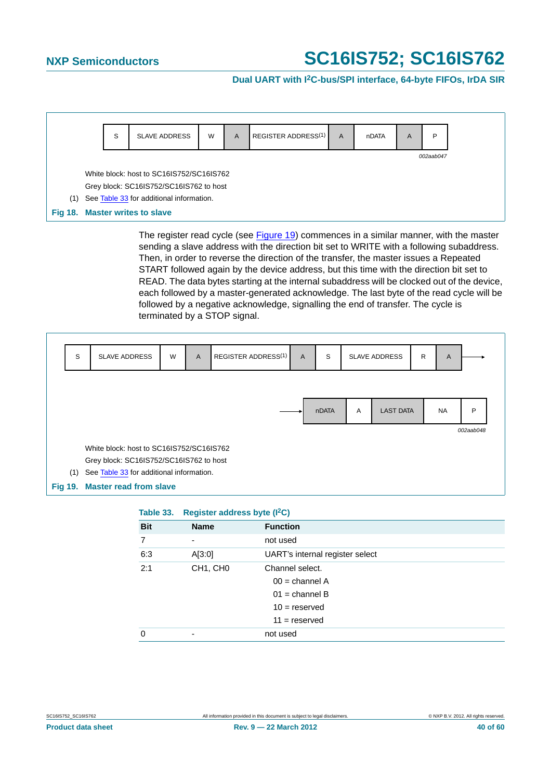## **Dual UART with I2C-bus/SPI interface, 64-byte FIFOs, IrDA SIR**

<span id="page-39-0"></span>

The register read cycle (see [Figure 19\)](#page-39-2) commences in a similar manner, with the master sending a slave address with the direction bit set to WRITE with a following subaddress. Then, in order to reverse the direction of the transfer, the master issues a Repeated START followed again by the device address, but this time with the direction bit set to READ. The data bytes starting at the internal subaddress will be clocked out of the device, each followed by a master-generated acknowledge. The last byte of the read cycle will be followed by a negative acknowledge, signalling the end of transfer. The cycle is terminated by a STOP signal.



<span id="page-39-2"></span><span id="page-39-1"></span>

| Table 33.  | Register address byte (I <sup>2</sup> C) |                                                                                               |
|------------|------------------------------------------|-----------------------------------------------------------------------------------------------|
| <b>Bit</b> | <b>Name</b>                              | <b>Function</b>                                                                               |
| 7          | ٠                                        | not used                                                                                      |
| 6:3        | A[3:0]                                   | UART's internal register select                                                               |
| 2:1        | CH <sub>1</sub> , CH <sub>0</sub>        | Channel select.<br>$00 =$ channel A<br>$01$ = channel B<br>$10 =$ reserved<br>$11 =$ reserved |
| 0          | ٠                                        | not used                                                                                      |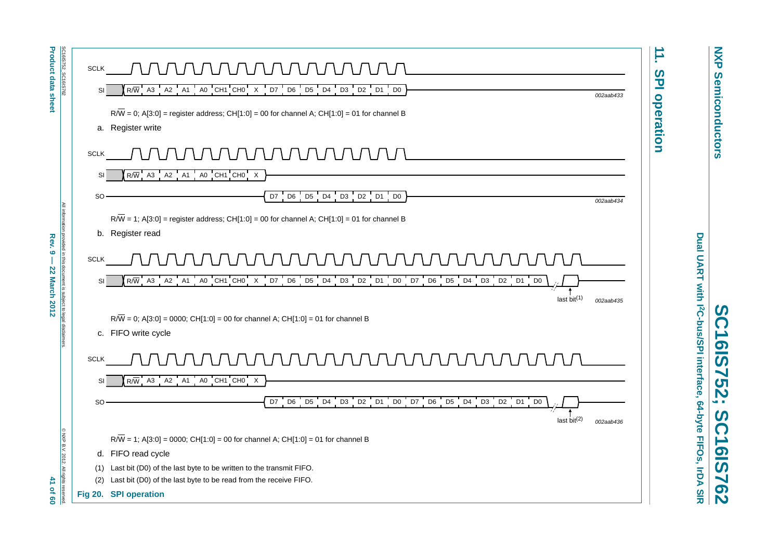<span id="page-40-0"></span>

| <b>Product data sheet</b>                                     | SC16IS752_SC16IS762<br>AAAAAAAAAAAA<br><b>SCLK</b>                                                                                                                                                                | ∸<br>$\boldsymbol{\omega}$           |
|---------------------------------------------------------------|-------------------------------------------------------------------------------------------------------------------------------------------------------------------------------------------------------------------|--------------------------------------|
|                                                               | $R/\overline{W}$ A3 A2 A1 A0 CH1 CH0 X D7 D6 D5 D4 D3 D2 D1 D0<br>SI                                                                                                                                              | $\overline{\mathbf{u}}$<br>002aab433 |
|                                                               | $R/\overline{W}$ = 0; A[3:0] = register address; CH[1:0] = 00 for channel A; CH[1:0] = 01 for channel B                                                                                                           | operation                            |
|                                                               | a. Register write                                                                                                                                                                                                 |                                      |
|                                                               |                                                                                                                                                                                                                   |                                      |
|                                                               | <u>JUNUNUNUNUNUNUN</u><br><b>SCLK</b>                                                                                                                                                                             |                                      |
|                                                               | $R/\overline{W}$ A3 A2 A1 A0 CH1 CH0 X<br>SI                                                                                                                                                                      |                                      |
|                                                               | D7 D6 D5 D4 D3 D2 D1 D0<br>SO.                                                                                                                                                                                    | 002aab434                            |
|                                                               |                                                                                                                                                                                                                   |                                      |
| All information                                               | $R/\overline{W}$ = 1; A[3:0] = register address; CH[1:0] = 00 for channel A; CH[1:0] = 01 for channel B                                                                                                           |                                      |
| Rev. 9                                                        | b. Register read                                                                                                                                                                                                  |                                      |
| provided in this document is subject to legal<br>$\mathbf{I}$ | <i>AAAAAAAAAAAA</i><br><b>SCLK</b>                                                                                                                                                                                |                                      |
| <b>22 March 2012</b>                                          | $A0 C H1 C H0 X D7 D6 D5 D4 D3 D2 D1 D0 D7 D6 D5 D4 D3 D2 D1 D0$<br>$R/\overline{W}$ A3 A2 A1<br>SI                                                                                                               |                                      |
|                                                               |                                                                                                                                                                                                                   | last bit $(1)$<br>002aab435          |
|                                                               |                                                                                                                                                                                                                   |                                      |
|                                                               | $R/\overline{W}$ = 0; A[3:0] = 0000; CH[1:0] = 00 for channel A; CH[1:0] = 01 for channel B<br>c. FIFO write cycle                                                                                                |                                      |
|                                                               |                                                                                                                                                                                                                   |                                      |
|                                                               | <b>SCLK</b>                                                                                                                                                                                                       |                                      |
|                                                               | $R/\overline{W}$ A3 A2 A1 A0 CH1 CH0 X<br>SI                                                                                                                                                                      |                                      |
|                                                               | $\overline{5}$<br>$D3$ D <sub>2</sub> D <sub>1</sub><br>D7<br>D <sub>6</sub><br>D <sub>5</sub><br>D <sub>4</sub><br>D <sub>3</sub><br>D <sub>2</sub><br>D1<br>D <sub>0</sub><br>D7<br>D <sub>6</sub><br>D4<br>SO. |                                      |
|                                                               | D <sub>0</sub>                                                                                                                                                                                                    |                                      |
|                                                               |                                                                                                                                                                                                                   | last $bit(2)$<br>002aab436           |
|                                                               | @ NXP B.V. 2012.<br>$R/\overline{W}$ = 1; A[3:0] = 0000; CH[1:0] = 00 for channel A; CH[1:0] = 01 for channel B                                                                                                   |                                      |
|                                                               | d. FIFO read cycle                                                                                                                                                                                                |                                      |
| $\tau$                                                        | (1) Last bit (D0) of the last byte to be written to the transmit FIFO.<br>All rights<br>Last bit (D0) of the last byte to be read from the receive FIFO.<br>(2)                                                   |                                      |
| <b>Of 60</b>                                                  | Fig 20. SPI operation                                                                                                                                                                                             |                                      |
|                                                               |                                                                                                                                                                                                                   |                                      |

**NXP Semiconductors NXP Semiconductors**

Dual UART with I2C-bus/SPI interface, 64-byte FIFOs, IrDA SIR **Dual UART with I2C-bus/SPI interface, 64-byte FIFOs, IrDA SIR** SC16IS752; SC16IS762

**SC16IS752; SC16IS762**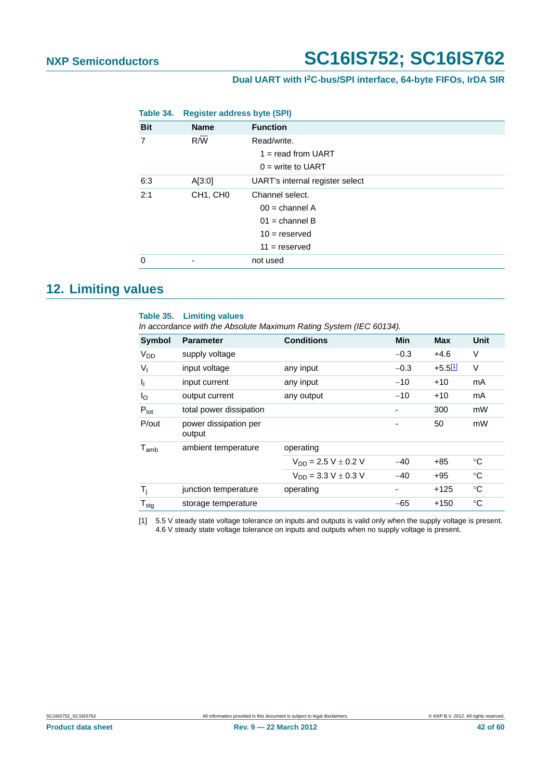## **Dual UART with I2C-bus/SPI interface, 64-byte FIFOs, IrDA SIR**

<span id="page-41-0"></span>

| Table 34.  | <b>Register address byte (SPI)</b> |                                                                                               |
|------------|------------------------------------|-----------------------------------------------------------------------------------------------|
| <b>Bit</b> | <b>Name</b>                        | <b>Function</b>                                                                               |
| 7          | R/W                                | Read/write.<br>$1 =$ read from UART<br>$0 =$ write to UART                                    |
| 6:3        | A[3:0]                             | UART's internal register select                                                               |
| 2:1        | CH <sub>1</sub> , CH <sub>0</sub>  | Channel select.<br>$00 =$ channel A<br>$01$ = channel B<br>$10 =$ reserved<br>$11 =$ reserved |
| 0          | -                                  | not used                                                                                      |

## <span id="page-41-2"></span>**12. Limiting values**

#### **Table 35. Limiting values**

*In accordance with the Absolute Maximum Rating System (IEC 60134).*

| <b>Parameter</b>                | <b>Conditions</b>          | Min    | <b>Max</b> | Unit            |
|---------------------------------|----------------------------|--------|------------|-----------------|
| supply voltage                  |                            | $-0.3$ | $+4.6$     | V               |
| input voltage                   | any input                  | $-0.3$ | $+5.511$   | V               |
| input current                   | any input                  | $-10$  | $+10$      | mA              |
| output current                  | any output                 | $-10$  | $+10$      | mA              |
| total power dissipation         |                            |        | 300        | mW              |
| power dissipation per<br>output |                            |        | 50         | mW              |
| ambient temperature             | operating                  |        |            |                 |
|                                 | $V_{DD} = 2.5 V \pm 0.2 V$ | $-40$  | +85        | °C              |
|                                 | $V_{DD} = 3.3 V \pm 0.3 V$ | $-40$  | $+95$      | °C              |
| junction temperature            | operating                  | ٠      | $+125$     | $\rm ^{\circ}C$ |
| storage temperature             |                            | $-65$  | $+150$     | ℃               |
|                                 |                            |        |            |                 |

<span id="page-41-1"></span>[1] 5.5 V steady state voltage tolerance on inputs and outputs is valid only when the supply voltage is present. 4.6 V steady state voltage tolerance on inputs and outputs when no supply voltage is present.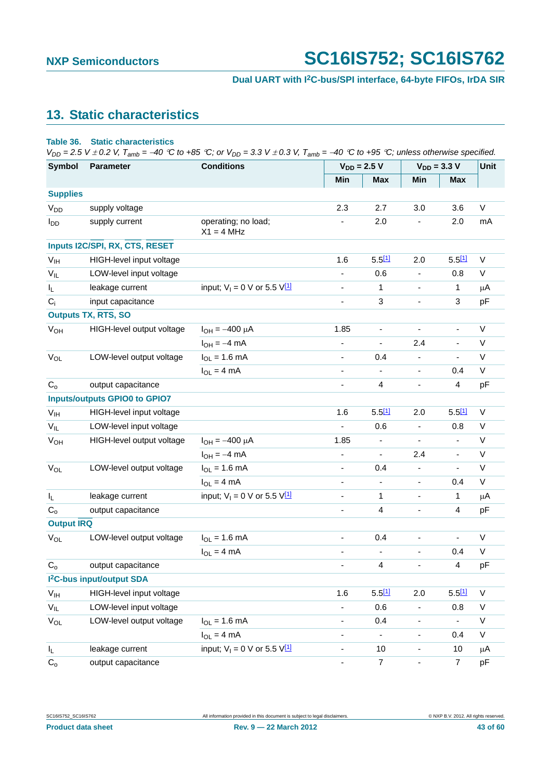## <span id="page-42-0"></span>**13. Static characteristics**

#### **Table 36. Static characteristics**

 $V_{DD} = 2.5$  V  $\pm$  0.2 V,  $T_{amb} = -40$  °C to +85 °C; or  $V_{DD} = 3.3$  V  $\pm$  0.3 V,  $T_{amb} = -40$  °C to +95 °C; unless otherwise specified.

| <b>Symbol</b>           | Parameter                             | <b>Conditions</b>                     | $V_{DD} = 2.5 V$ |                          | $V_{DD} = 3.3 V$         |                              | Unit                     |              |
|-------------------------|---------------------------------------|---------------------------------------|------------------|--------------------------|--------------------------|------------------------------|--------------------------|--------------|
|                         |                                       |                                       |                  | Min                      | <b>Max</b>               | Min                          | <b>Max</b>               |              |
| <b>Supplies</b>         |                                       |                                       |                  |                          |                          |                              |                          |              |
| V <sub>DD</sub>         | supply voltage                        |                                       |                  | 2.3                      | 2.7                      | 3.0                          | 3.6                      | V            |
| $I_{DD}$                | supply current                        | operating; no load;<br>$X1 = 4 MHz$   |                  | $\overline{\phantom{a}}$ | 2.0                      | $\overline{\phantom{a}}$     | 2.0                      | mA           |
|                         | Inputs I2C/SPI, RX, CTS, RESET        |                                       |                  |                          |                          |                              |                          |              |
| V <sub>IH</sub>         | HIGH-level input voltage              |                                       |                  | 1.6                      | $5.5$ [1]                | 2.0                          | $5.5$ [1]                | $\vee$       |
| $V_{IL}$                | LOW-level input voltage               |                                       |                  | $\overline{\phantom{0}}$ | 0.6                      |                              | 0.8                      | V            |
| $\mathsf{I}_\mathsf{L}$ | leakage current                       | input; $V_1 = 0$ V or 5.5 $V_1^{11}$  |                  | $\overline{\phantom{a}}$ | 1                        | $\blacksquare$               | 1                        | μA           |
| $C_i$                   | input capacitance                     |                                       |                  | $\overline{\phantom{a}}$ | $\mathbf{3}$             | $\qquad \qquad \blacksquare$ | 3                        | pF           |
|                         | <b>Outputs TX, RTS, SO</b>            |                                       |                  |                          |                          |                              |                          |              |
| $V_{OH}$                | HIGH-level output voltage             | $I_{OH} = -400 \mu A$                 |                  | 1.85                     | $\overline{\phantom{a}}$ | $\overline{\phantom{a}}$     |                          | V            |
|                         |                                       | $I_{OH} = -4$ mA                      |                  | $\overline{\phantom{a}}$ | $\blacksquare$           | 2.4                          | $\overline{\phantom{a}}$ | V            |
| $V_{OL}$                | LOW-level output voltage              | $I_{OL} = 1.6$ mA                     |                  | $\overline{\phantom{a}}$ | 0.4                      | $\overline{\phantom{a}}$     |                          | $\mathsf{V}$ |
|                         |                                       | $I_{OL} = 4 mA$                       |                  | $\overline{\phantom{a}}$ | $\blacksquare$           | $\overline{\phantom{a}}$     | 0.4                      | V            |
| $C_{o}$                 | output capacitance                    |                                       |                  | $\overline{\phantom{a}}$ | 4                        | $\overline{\phantom{a}}$     | 4                        | pF           |
|                         | <b>Inputs/outputs GPIO0 to GPIO7</b>  |                                       |                  |                          |                          |                              |                          |              |
| V <sub>IH</sub>         | HIGH-level input voltage              |                                       |                  | 1.6                      | 5.511                    | 2.0                          | 5.511                    | $\vee$       |
| $V_{IL}$                | LOW-level input voltage               |                                       |                  | $\overline{\phantom{a}}$ | 0.6                      | $\overline{\phantom{a}}$     | 0.8                      | $\mathsf V$  |
| $V_{OH}$                | HIGH-level output voltage             | $I_{OH} = -400 \mu A$                 |                  | 1.85                     |                          |                              |                          | $\sf V$      |
|                         |                                       | $I_{OH} = -4$ mA                      |                  | $\blacksquare$           | $\blacksquare$           | 2.4                          | $\overline{\phantom{a}}$ | V            |
| $V_{OL}$                | LOW-level output voltage              | $I_{OL} = 1.6$ mA                     |                  | $\overline{\phantom{a}}$ | 0.4                      | $\qquad \qquad \blacksquare$ | $\overline{\phantom{a}}$ | $\sf V$      |
|                         |                                       | $I_{OL} = 4 mA$                       |                  | ٠                        | $\blacksquare$           | $\overline{\phantom{a}}$     | 0.4                      | V            |
| $I_L$                   | leakage current                       | input; $V_1 = 0$ V or 5.5 V[1]        |                  | $\overline{\phantom{a}}$ | 1                        | $\overline{\phantom{a}}$     | 1                        | μA           |
| $C_{o}$                 | output capacitance                    |                                       |                  | ٠                        | $\overline{\mathbf{4}}$  | $\blacksquare$               | 4                        | pF           |
| <b>Output IRQ</b>       |                                       |                                       |                  |                          |                          |                              |                          |              |
| $V_{OL}$                | LOW-level output voltage              | $I_{OL} = 1.6$ mA                     |                  | $\blacksquare$           | 0.4                      | $\blacksquare$               | $\overline{\phantom{a}}$ | V            |
|                         |                                       | $I_{OL} = 4 mA$                       |                  | ۰                        |                          |                              | 0.4                      | V            |
| $C_{o}$                 | output capacitance                    |                                       |                  | $\overline{\phantom{a}}$ | 4                        | $\overline{\phantom{a}}$     | 4                        | pF           |
|                         | I <sup>2</sup> C-bus input/output SDA |                                       |                  |                          |                          |                              |                          |              |
| V <sub>IH</sub>         | HIGH-level input voltage              |                                       |                  | 1.6                      | $5.5^{[1]}$              | 2.0                          | $5.5^{[1]}$              | V            |
| $V_{IL}$                | LOW-level input voltage               |                                       |                  | $\overline{\phantom{0}}$ | 0.6                      | $\overline{\phantom{a}}$     | 0.8                      | V            |
| $V_{OL}$                | LOW-level output voltage              | $I_{OL} = 1.6$ mA                     |                  | $\overline{\phantom{a}}$ | 0.4                      | $\blacksquare$               | $\blacksquare$           | $\mathsf V$  |
|                         |                                       | $I_{OL} = 4 mA$                       |                  | $\overline{\phantom{a}}$ | $\overline{\phantom{a}}$ | $\overline{\phantom{a}}$     | 0.4                      | V            |
| IL.                     | leakage current                       | input; $V_1 = 0$ V or 5.5 $V_1^{[1]}$ |                  | $\overline{\phantom{a}}$ | 10                       | ۰                            | 10                       | $\mu$ A      |
| $C_{o}$                 | output capacitance                    |                                       |                  | $\overline{\phantom{a}}$ | $\overline{7}$           | $\overline{\phantom{a}}$     | $\overline{7}$           | pF           |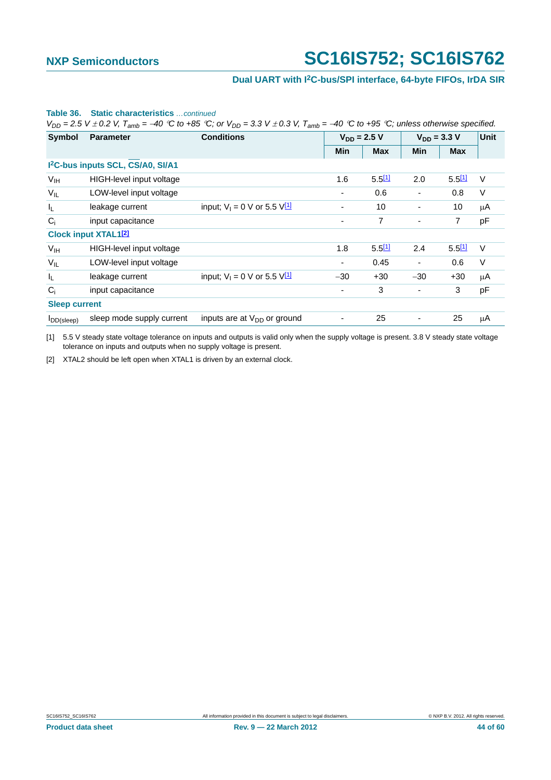## **Dual UART with I2C-bus/SPI interface, 64-byte FIFOs, IrDA SIR**

|                      |                                               | $V_{DD}$ = 2.5 V $\pm$ 0.2 V, T <sub>amb</sub> = -40 °C to +85 °C; or $V_{DD}$ = 3.3 V $\pm$ 0.3 V, T <sub>amb</sub> = -40 °C to +95 °C; unless otherwise specified. |                          |            |                          |            |        |  |
|----------------------|-----------------------------------------------|----------------------------------------------------------------------------------------------------------------------------------------------------------------------|--------------------------|------------|--------------------------|------------|--------|--|
| <b>Symbol</b>        | <b>Parameter</b>                              | <b>Conditions</b>                                                                                                                                                    | $V_{DD} = 2.5 V$         |            | $V_{DD} = 3.3 V$         |            | Unit   |  |
|                      |                                               |                                                                                                                                                                      | Min                      | <b>Max</b> | <b>Min</b>               | <b>Max</b> |        |  |
|                      | I <sup>2</sup> C-bus inputs SCL, CS/A0, SI/A1 |                                                                                                                                                                      |                          |            |                          |            |        |  |
| V <sub>IH</sub>      | HIGH-level input voltage                      |                                                                                                                                                                      | 1.6                      | 5.511      | 2.0                      | 5.511      | $\vee$ |  |
| $V_{IL}$             | LOW-level input voltage                       |                                                                                                                                                                      | ۰.                       | 0.6        |                          | 0.8        | V      |  |
| I <sub>L</sub>       | leakage current                               | input; $V_1 = 0$ V or 5.5 $V_1^1$                                                                                                                                    | ۰                        | 10         |                          | 10         | μA     |  |
| $C_i$                | input capacitance                             |                                                                                                                                                                      | $\overline{\phantom{a}}$ | 7          |                          | 7          | pF     |  |
|                      | <b>Clock input XTAL121</b>                    |                                                                                                                                                                      |                          |            |                          |            |        |  |
| V <sub>IH</sub>      | HIGH-level input voltage                      |                                                                                                                                                                      | 1.8                      | 5.511      | 2.4                      | 5.511      | $\vee$ |  |
| $V_{IL}$             | LOW-level input voltage                       |                                                                                                                                                                      | ٠                        | 0.45       | $\overline{\phantom{a}}$ | 0.6        | $\vee$ |  |
| I <sub>L</sub>       | leakage current                               | input; $V_1 = 0$ V or 5.5 $V_1^1$                                                                                                                                    | $-30$                    | $+30$      | $-30$                    | $+30$      | μA     |  |
| $C_i$                | input capacitance                             |                                                                                                                                                                      | ۰                        | 3          |                          | 3          | pF     |  |
| <b>Sleep current</b> |                                               |                                                                                                                                                                      |                          |            |                          |            |        |  |
| $I_{DD(sleep)}$      | sleep mode supply current                     | inputs are at $V_{DD}$ or ground                                                                                                                                     |                          | 25         |                          | 25         | μA     |  |

#### **Table 36. Static characteristics** *…continued*

<span id="page-43-0"></span>[1] 5.5 V steady state voltage tolerance on inputs and outputs is valid only when the supply voltage is present. 3.8 V steady state voltage tolerance on inputs and outputs when no supply voltage is present.

<span id="page-43-1"></span>[2] XTAL2 should be left open when XTAL1 is driven by an external clock.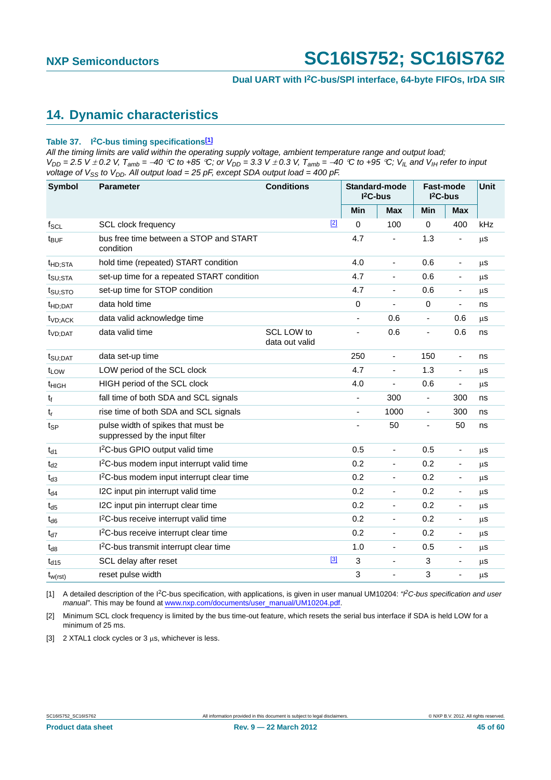## <span id="page-44-3"></span>**14. Dynamic characteristics**

#### **Table 37. I2C-bus timing specifications[\[1\]](#page-44-0)**

*All the timing limits are valid within the operating supply voltage, ambient temperature range and output load;*   $V_{DD} = 2.5$  V  $\pm$  0.2 V,  $T_{amb} = -40$  °C to +85 °C; or  $V_{DD} = 3.3$  V  $\pm$  0.3 V,  $T_{amb} = -40$  °C to +95 °C;  $V_{IL}$  and  $V_{IH}$  refer to input *voltage of*  $V_{SS}$  *to*  $V_{DD}$ *. All output load = 25 pF, except SDA output load = 400 pF.* 

| Symbol              | <b>Parameter</b>                                                     | <b>Conditions</b>            |       | Standard-mode<br>$I2C-bus$ |                              | <b>Fast-mode</b><br>$I2C-bus$ |                              | Unit      |
|---------------------|----------------------------------------------------------------------|------------------------------|-------|----------------------------|------------------------------|-------------------------------|------------------------------|-----------|
|                     |                                                                      |                              |       | Min                        | Max                          | Min                           | <b>Max</b>                   |           |
| $f_{SCL}$           | <b>SCL clock frequency</b>                                           |                              | $[2]$ | $\Omega$                   | 100                          | $\mathbf 0$                   | 400                          | kHz       |
| $t_{\text{BUF}}$    | bus free time between a STOP and START<br>condition                  |                              |       | 4.7                        |                              | 1.3                           | ä,                           | <b>us</b> |
| t <sub>HD;STA</sub> | hold time (repeated) START condition                                 |                              |       | 4.0                        | $\overline{\phantom{a}}$     | 0.6                           | $\overline{\phantom{0}}$     | μS        |
| t <sub>SU;STA</sub> | set-up time for a repeated START condition                           |                              |       | 4.7                        | $\overline{\phantom{a}}$     | 0.6                           | $\overline{\phantom{a}}$     | $\mu$ s   |
| t <sub>SU:STO</sub> | set-up time for STOP condition                                       |                              |       | 4.7                        | ä,                           | 0.6                           | $\qquad \qquad \blacksquare$ | $\mu$ s   |
| <sup>t</sup> HD;DAT | data hold time                                                       |                              |       | $\mathbf 0$                | $\overline{\phantom{m}}$     | $\mathbf 0$                   | $\overline{\phantom{a}}$     | ns        |
| t <sub>VD:ACK</sub> | data valid acknowledge time                                          |                              |       | $\blacksquare$             | 0.6                          | $\blacksquare$                | 0.6                          | μs        |
| t <sub>VD;DAT</sub> | data valid time                                                      | SCL LOW to<br>data out valid |       | $\blacksquare$             | 0.6                          | $\overline{\phantom{a}}$      | 0.6                          | ns        |
| t <sub>SU;DAT</sub> | data set-up time                                                     |                              |       | 250                        | $\overline{\phantom{a}}$     | 150                           | $\overline{\phantom{0}}$     | ns        |
| t <sub>LOW</sub>    | LOW period of the SCL clock                                          |                              |       | 4.7                        | $\overline{\phantom{a}}$     | 1.3                           | $\overline{\phantom{m}}$     | μS        |
| t <sub>HIGH</sub>   | HIGH period of the SCL clock                                         |                              |       | 4.0                        | $\qquad \qquad \blacksquare$ | 0.6                           | ÷                            | $\mu$ s   |
| t <sub>f</sub>      | fall time of both SDA and SCL signals                                |                              |       | $\blacksquare$             | 300                          | $\blacksquare$                | 300                          | ns        |
| tŗ                  | rise time of both SDA and SCL signals                                |                              |       | $\blacksquare$             | 1000                         | $\blacksquare$                | 300                          | ns        |
| $t_{\sf SP}$        | pulse width of spikes that must be<br>suppressed by the input filter |                              |       |                            | 50                           |                               | 50                           | ns        |
| $t_{d1}$            | I <sup>2</sup> C-bus GPIO output valid time                          |                              |       | 0.5                        | $\blacksquare$               | 0.5                           | $\overline{\phantom{a}}$     | μS        |
| $t_{d2}$            | I <sup>2</sup> C-bus modem input interrupt valid time                |                              |       | 0.2                        | $\overline{\phantom{a}}$     | 0.2                           | ٠                            | μS        |
| $t_{d3}$            | I <sup>2</sup> C-bus modem input interrupt clear time                |                              |       | 0.2                        | $\overline{\phantom{a}}$     | 0.2                           | $\blacksquare$               | μS        |
| $t_{d4}$            | I2C input pin interrupt valid time                                   |                              |       | 0.2                        | $\overline{\phantom{a}}$     | 0.2                           | $\blacksquare$               | $\mu s$   |
| $t_{d5}$            | I2C input pin interrupt clear time                                   |                              |       | 0.2                        | $\blacksquare$               | 0.2                           | -                            | μS        |
| $t_{d6}$            | I <sup>2</sup> C-bus receive interrupt valid time                    |                              |       | 0.2                        | $\overline{\phantom{a}}$     | 0.2                           | $\overline{\phantom{a}}$     | $\mu$ s   |
| $t_{d7}$            | I <sup>2</sup> C-bus receive interrupt clear time                    |                              |       | 0.2                        | $\blacksquare$               | 0.2                           | ÷,                           | $\mu$ S   |
| $t_{d8}$            | I <sup>2</sup> C-bus transmit interrupt clear time                   |                              |       | 1.0                        | $\overline{\phantom{a}}$     | 0.5                           | $\overline{\phantom{a}}$     | μS        |
| $t_{d15}$           | SCL delay after reset                                                |                              | $[3]$ | 3                          | ä,                           | 3                             |                              | $\mu$ s   |
| $t_{w(rst)}$        | reset pulse width                                                    |                              |       | 3                          | ÷,                           | 3                             | L,                           | $\mu$ s   |

<span id="page-44-0"></span>[1] A detailed description of the I2C-bus specification, with applications, is given in user manual UM10204: *"I2C-bus specification and user manual"*. This may be found at [www.nxp.com/documents/user\\_manual/UM10204.pdf](http://www.nxp.com/documents/user_manual/UM10204.pdf).

<span id="page-44-1"></span>[2] Minimum SCL clock frequency is limited by the bus time-out feature, which resets the serial bus interface if SDA is held LOW for a minimum of 25 ms.

<span id="page-44-2"></span>[3]  $2$  XTAL1 clock cycles or 3  $\mu$ s, whichever is less.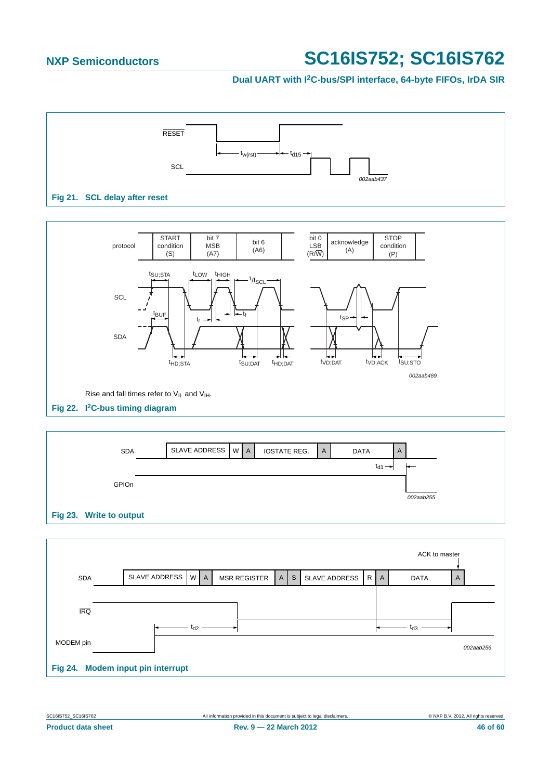## **Dual UART with I2C-bus/SPI interface, 64-byte FIFOs, IrDA SIR**







|                                   |                       |          |                     |   |              |               |  |    | ACK to master |           |
|-----------------------------------|-----------------------|----------|---------------------|---|--------------|---------------|--|----|---------------|-----------|
| <b>SDA</b>                        | SLAVE ADDRESS   W   A |          | <b>MSR REGISTER</b> | A | $\mathsf{s}$ | SLAVE ADDRESS |  | RA | <b>DATA</b>   | A         |
|                                   |                       |          |                     |   |              |               |  |    |               |           |
| <b>IRQ</b>                        |                       |          |                     |   |              |               |  |    |               |           |
|                                   |                       | $t_{d2}$ |                     |   |              |               |  |    | $t_{d3}$      |           |
| MODEM pin                         |                       |          |                     |   |              |               |  |    |               | 002aab256 |
| Fig 24. Modem input pin interrupt |                       |          |                     |   |              |               |  |    |               |           |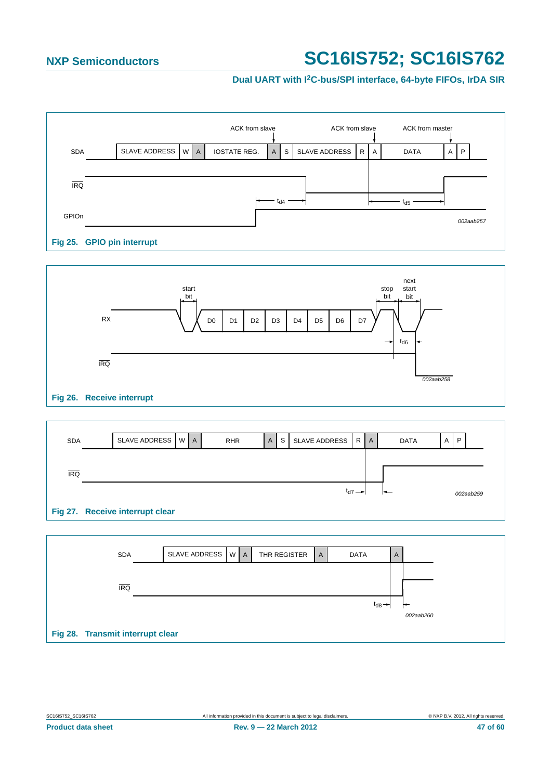## **Dual UART with I2C-bus/SPI interface, 64-byte FIFOs, IrDA SIR**





| <b>SDA</b>                      | SLAVE ADDRESS WA |  | <b>RHR</b> | A | S | SLAVE ADDRESS |                      | RA | <b>DATA</b> | $\overline{A}$ | P         |
|---------------------------------|------------------|--|------------|---|---|---------------|----------------------|----|-------------|----------------|-----------|
|                                 |                  |  |            |   |   |               |                      |    |             |                |           |
| <b>IRQ</b>                      |                  |  |            |   |   |               | $t_{d7} \rightarrow$ |    |             |                | 002aab259 |
| Fig 27. Receive interrupt clear |                  |  |            |   |   |               |                      |    |             |                |           |

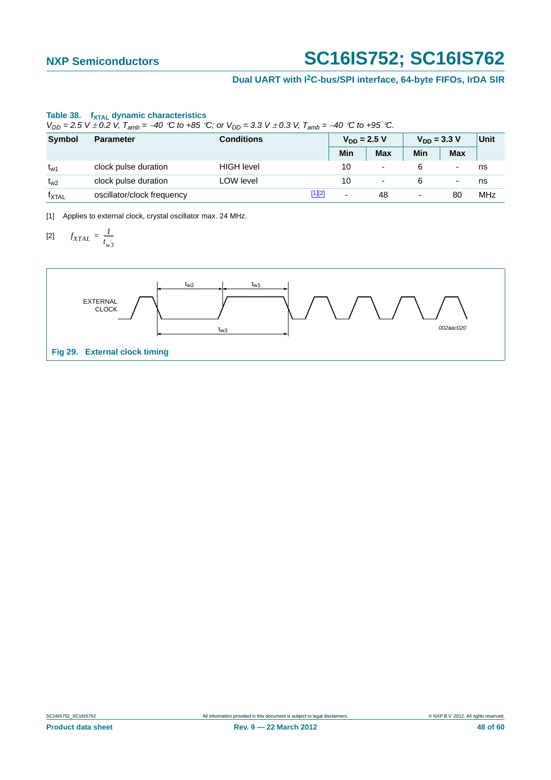## **Dual UART with I2C-bus/SPI interface, 64-byte FIFOs, IrDA SIR**

## Table 38. f<sub>XTAL</sub> dynamic characteristics

 $V_{DD} = 2.5$  *V*  $\pm$  0.2 *V,*  $T_{amb} = -40$  *°C to* +85 *°C; or*  $V_{DD} = 3.3$  *V*  $\pm$  0.3 *V,*  $T_{amb} = -40$  *°C to* +95 *°C.* 

| <b>Symbol</b>     | <b>Parameter</b>           | <b>Conditions</b> |        |                          | $V_{DD} = 2.5 V$         |                          | $V_{DD} = 3.3 V$ |     |
|-------------------|----------------------------|-------------------|--------|--------------------------|--------------------------|--------------------------|------------------|-----|
|                   |                            |                   |        | Min                      | <b>Max</b>               | Min                      | <b>Max</b>       |     |
| $t_{w1}$          | clock pulse duration       | <b>HIGH level</b> |        | 10                       | $\overline{\phantom{0}}$ |                          |                  | ns  |
| $t_{W2}$          | clock pulse duration       | LOW level         |        | 10                       | $\overline{\phantom{a}}$ |                          | -                | ns  |
| $f_{\text{XTAL}}$ | oscillator/clock frequency |                   | [1][2] | $\overline{\phantom{0}}$ | 48                       | $\overline{\phantom{0}}$ | 80               | MHz |

<span id="page-47-1"></span><span id="page-47-0"></span>[1] Applies to external clock, crystal oscillator max. 24 MHz.

$$
[2] \qquad f_{XTAL} = \frac{1}{t_{w3}}
$$

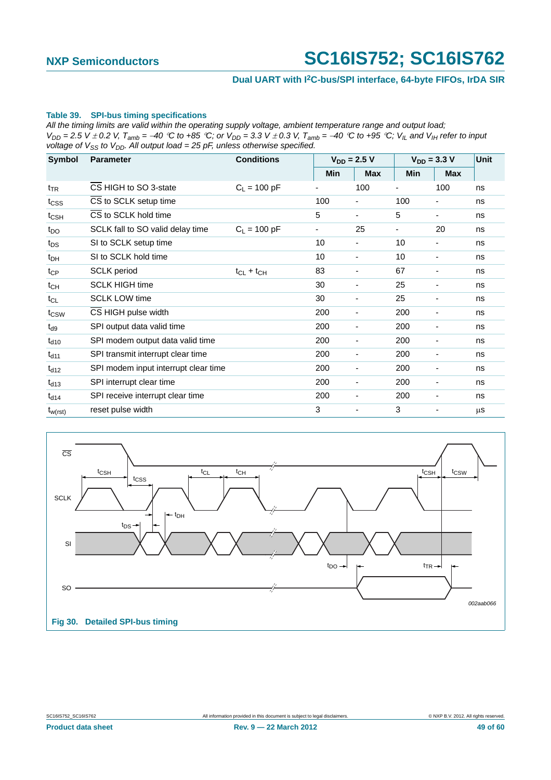## **Dual UART with I2C-bus/SPI interface, 64-byte FIFOs, IrDA SIR**

#### **Table 39. SPI-bus timing specifications**

*All the timing limits are valid within the operating supply voltage, ambient temperature range and output load;*   $V_{DD}$  = 2.5 V  $\pm$  0.2 V, T<sub>amb</sub> = -40 °C to +85 °C; or  $V_{DD}$  = 3.3 V  $\pm$  0.3 V, T<sub>amb</sub> = -40 °C to +95 °C; V<sub>IL</sub> and V<sub>IH</sub> refer to input *voltage of*  $V_{SS}$  *to*  $V_{DD}$ *. All output load = 25 pF, unless otherwise specified.* 

| Symbol           | <b>Parameter</b>                     | <b>Conditions</b> |                          | $V_{DD} = 2.5 V$         | $V_{DD} = 3.3 V$         |                          | <b>Unit</b> |
|------------------|--------------------------------------|-------------------|--------------------------|--------------------------|--------------------------|--------------------------|-------------|
|                  |                                      |                   | Min                      | <b>Max</b>               | <b>Min</b>               | <b>Max</b>               |             |
| t <sub>TR</sub>  | CS HIGH to SO 3-state                | $C_L = 100 pF$    |                          | 100                      | $\blacksquare$           | 100                      | ns          |
| t <sub>css</sub> | CS to SCLK setup time                |                   | 100                      |                          | 100                      |                          | ns          |
| $t_{\text{CSH}}$ | CS to SCLK hold time                 |                   | 5                        | $\overline{\phantom{a}}$ | 5                        | ٠                        | ns          |
| $t_{\text{DO}}$  | SCLK fall to SO valid delay time     | $C_1 = 100 pF$    | $\overline{\phantom{a}}$ | 25                       | $\overline{\phantom{a}}$ | 20                       | ns          |
| $t_{DS}$         | SI to SCLK setup time                |                   | 10                       | ٠                        | 10                       | $\overline{\phantom{a}}$ | ns          |
| $t_{DH}$         | SI to SCLK hold time                 |                   | 10                       | ٠                        | 10                       |                          | ns          |
| $t_{CP}$         | <b>SCLK</b> period                   | $t_{CL} + t_{CH}$ | 83                       | -                        | 67                       | ٠                        | ns          |
| $t_{CH}$         | <b>SCLK HIGH time</b>                |                   | 30                       | ٠                        | 25                       |                          | ns          |
| $t_{CL}$         | <b>SCLK LOW time</b>                 |                   | 30                       | $\overline{\phantom{a}}$ | 25                       | ٠                        | ns          |
| $t_{\text{CSW}}$ | CS HIGH pulse width                  |                   | 200                      | $\overline{\phantom{a}}$ | 200                      |                          | ns          |
| $t_{d9}$         | SPI output data valid time           |                   | 200                      | ٠                        | 200                      |                          | ns          |
| $t_{d10}$        | SPI modem output data valid time     |                   | 200                      | $\overline{\phantom{a}}$ | 200                      |                          | ns          |
| $t_{d11}$        | SPI transmit interrupt clear time    |                   | 200                      | $\overline{\phantom{a}}$ | 200                      |                          | ns          |
| $t_{d12}$        | SPI modem input interrupt clear time |                   | 200                      | $\overline{\phantom{a}}$ | 200                      | ٠                        | ns          |
| $t_{d13}$        | SPI interrupt clear time             |                   | 200                      | $\overline{\phantom{a}}$ | 200                      |                          | ns          |
| $t_{d14}$        | SPI receive interrupt clear time     |                   | 200                      | ٠                        | 200                      |                          | ns          |
| $t_{w(rst)}$     | reset pulse width                    |                   | 3                        | $\overline{\phantom{a}}$ | 3                        |                          | $\mu$ s     |

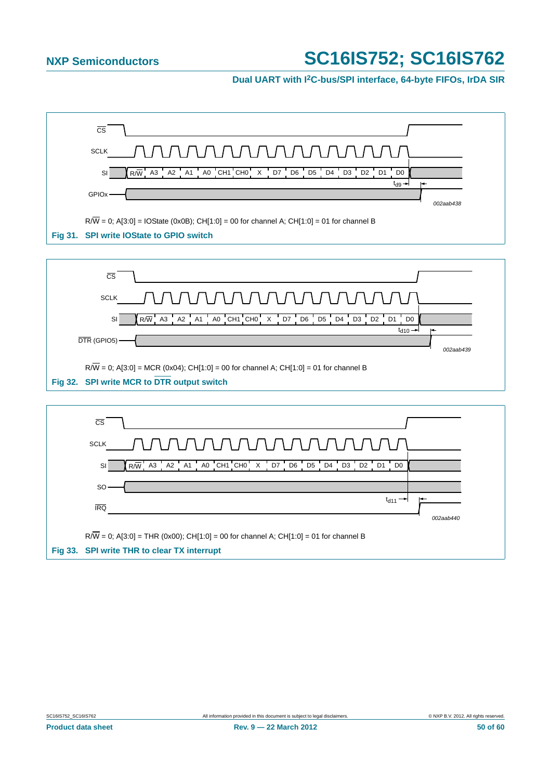## **Dual UART with I2C-bus/SPI interface, 64-byte FIFOs, IrDA SIR**

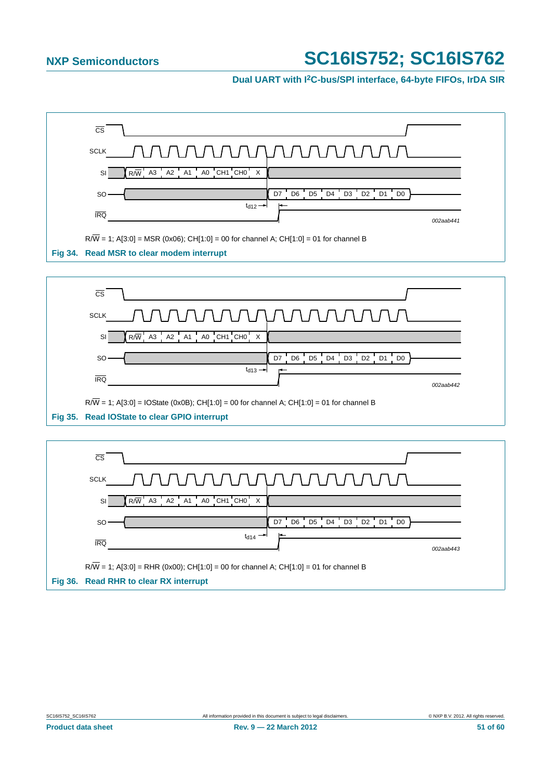## **Dual UART with I2C-bus/SPI interface, 64-byte FIFOs, IrDA SIR**



 $R/\overline{W}$  = 1; A[3:0] = RHR (0x00); CH[1:0] = 00 for channel A; CH[1:0] = 01 for channel B **Fig 36. Read RHR to clear RX interrupt**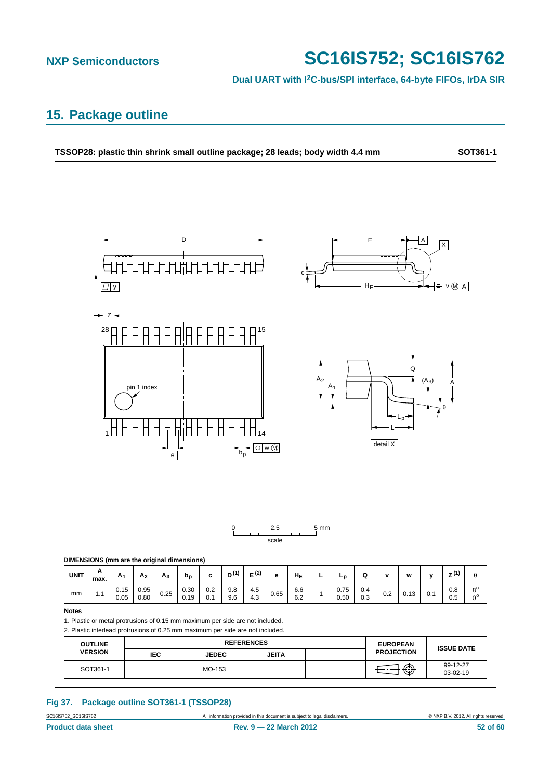**Dual UART with I2C-bus/SPI interface, 64-byte FIFOs, IrDA SIR**

## <span id="page-51-0"></span>**15. Package outline**



## **Fig 37. Package outline SOT361-1 (TSSOP28)**

SC16IS752\_SC16IS762 All information provided in this document is subject to legal disclaimers. © NXP B.V. 2012. All rights reserved.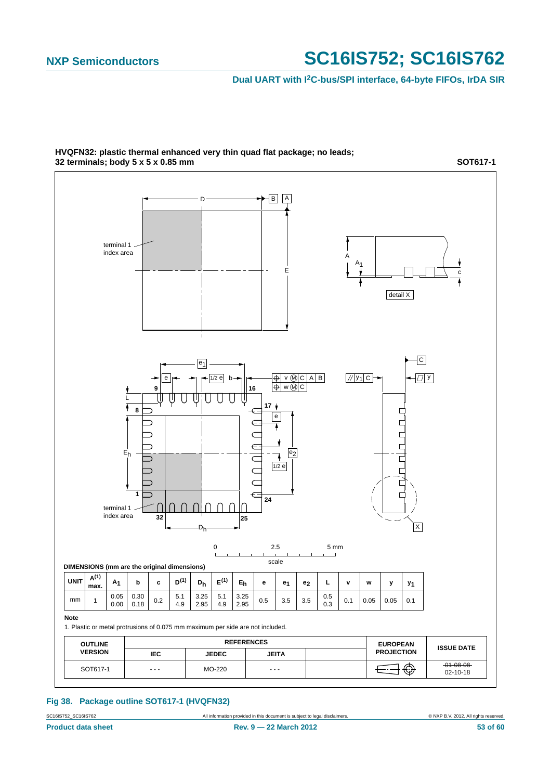## **Dual UART with I2C-bus/SPI interface, 64-byte FIFOs, IrDA SIR**



**HVQFN32: plastic thermal enhanced very thin quad flat package; no leads; 32 terminals; body 5 x 5 x 0.85 mm**

**SOT617-1**

#### **Fig 38. Package outline SOT617-1 (HVQFN32)**

SC16IS752\_SC16IS762 All information provided in this document is subject to legal disclaimers. © NXP B.V. 2012. All rights reserved.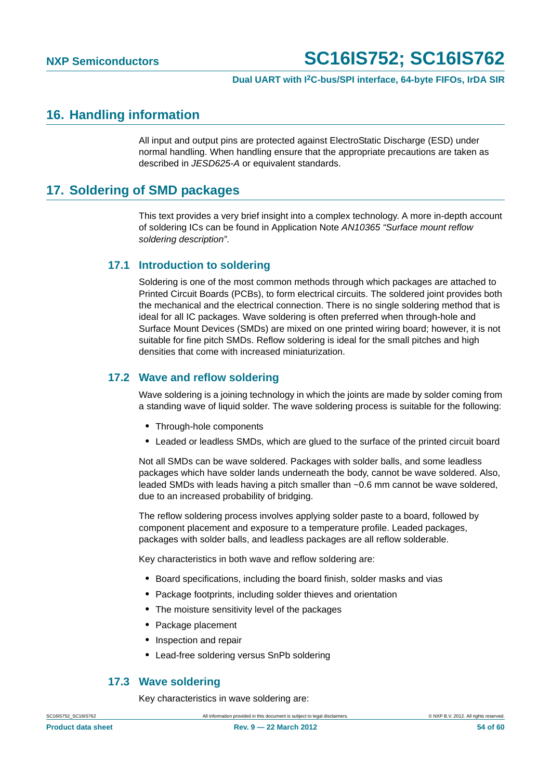## <span id="page-53-0"></span>**16. Handling information**

All input and output pins are protected against ElectroStatic Discharge (ESD) under normal handling. When handling ensure that the appropriate precautions are taken as described in *JESD625-A* or equivalent standards.

## <span id="page-53-1"></span>**17. Soldering of SMD packages**

This text provides a very brief insight into a complex technology. A more in-depth account of soldering ICs can be found in Application Note *AN10365 "Surface mount reflow soldering description"*.

## <span id="page-53-2"></span>**17.1 Introduction to soldering**

Soldering is one of the most common methods through which packages are attached to Printed Circuit Boards (PCBs), to form electrical circuits. The soldered joint provides both the mechanical and the electrical connection. There is no single soldering method that is ideal for all IC packages. Wave soldering is often preferred when through-hole and Surface Mount Devices (SMDs) are mixed on one printed wiring board; however, it is not suitable for fine pitch SMDs. Reflow soldering is ideal for the small pitches and high densities that come with increased miniaturization.

## <span id="page-53-3"></span>**17.2 Wave and reflow soldering**

Wave soldering is a joining technology in which the joints are made by solder coming from a standing wave of liquid solder. The wave soldering process is suitable for the following:

- **•** Through-hole components
- **•** Leaded or leadless SMDs, which are glued to the surface of the printed circuit board

Not all SMDs can be wave soldered. Packages with solder balls, and some leadless packages which have solder lands underneath the body, cannot be wave soldered. Also, leaded SMDs with leads having a pitch smaller than ~0.6 mm cannot be wave soldered, due to an increased probability of bridging.

The reflow soldering process involves applying solder paste to a board, followed by component placement and exposure to a temperature profile. Leaded packages, packages with solder balls, and leadless packages are all reflow solderable.

Key characteristics in both wave and reflow soldering are:

- **•** Board specifications, including the board finish, solder masks and vias
- **•** Package footprints, including solder thieves and orientation
- **•** The moisture sensitivity level of the packages
- **•** Package placement
- **•** Inspection and repair
- **•** Lead-free soldering versus SnPb soldering

## **17.3 Wave soldering**

Key characteristics in wave soldering are:

<span id="page-53-4"></span>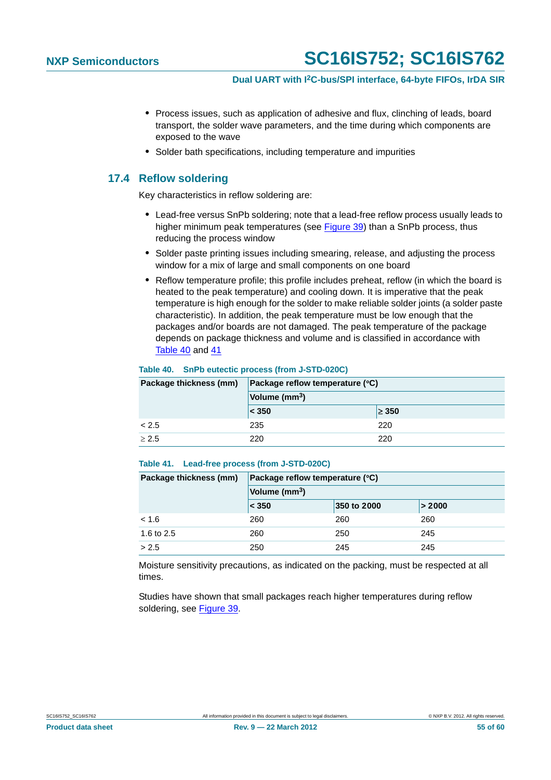- **•** Process issues, such as application of adhesive and flux, clinching of leads, board transport, the solder wave parameters, and the time during which components are exposed to the wave
- **•** Solder bath specifications, including temperature and impurities

## <span id="page-54-0"></span>**17.4 Reflow soldering**

Key characteristics in reflow soldering are:

- **•** Lead-free versus SnPb soldering; note that a lead-free reflow process usually leads to higher minimum peak temperatures (see Figure 39) than a SnPb process, thus reducing the process window
- **•** Solder paste printing issues including smearing, release, and adjusting the process window for a mix of large and small components on one board
- **•** Reflow temperature profile; this profile includes preheat, reflow (in which the board is heated to the peak temperature) and cooling down. It is imperative that the peak temperature is high enough for the solder to make reliable solder joints (a solder paste characteristic). In addition, the peak temperature must be low enough that the packages and/or boards are not damaged. The peak temperature of the package depends on package thickness and volume and is classified in accordance with Table 40 and 41

## **Table 40. SnPb eutectic process (from J-STD-020C)**

| Package thickness (mm) | Package reflow temperature $(^{\circ}C)$ |            |  |  |  |
|------------------------|------------------------------------------|------------|--|--|--|
|                        | Volume (mm <sup>3</sup> )                |            |  |  |  |
|                        | $\leq 350$                               | $\geq 350$ |  |  |  |
| < 2.5                  | 235                                      | 220        |  |  |  |
| > 2.5                  | 220                                      | 220        |  |  |  |

#### **Table 41. Lead-free process (from J-STD-020C)**

| Package thickness (mm) | Package reflow temperature (°C) |             |        |  |  |  |  |
|------------------------|---------------------------------|-------------|--------|--|--|--|--|
|                        | Volume (mm <sup>3</sup> )       |             |        |  |  |  |  |
|                        | $ <$ 350                        | 350 to 2000 | > 2000 |  |  |  |  |
| < 1.6                  | 260                             | 260         | 260    |  |  |  |  |
| 1.6 to 2.5             | 260                             | 250         | 245    |  |  |  |  |
| > 2.5                  | 250                             | 245         | 245    |  |  |  |  |

Moisture sensitivity precautions, as indicated on the packing, must be respected at all times.

Studies have shown that small packages reach higher temperatures during reflow soldering, see Figure 39.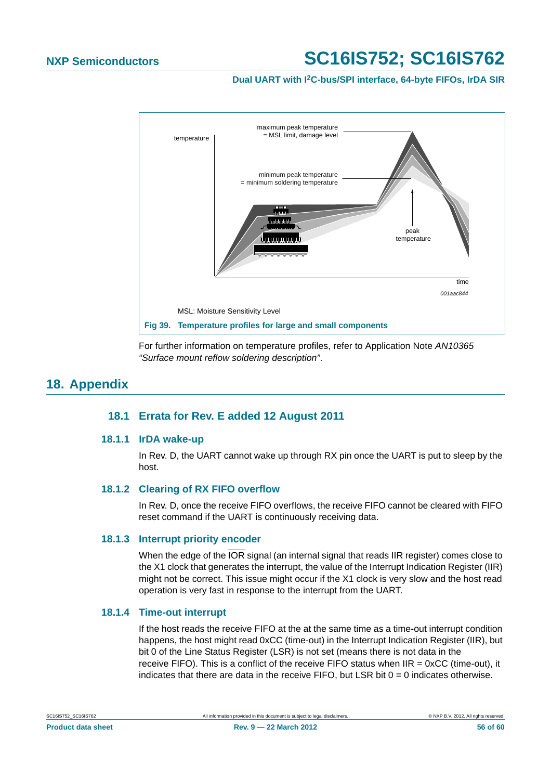**Dual UART with I2C-bus/SPI interface, 64-byte FIFOs, IrDA SIR**



For further information on temperature profiles, refer to Application Note *AN10365 "Surface mount reflow soldering description"*.

## <span id="page-55-2"></span><span id="page-55-1"></span><span id="page-55-0"></span>**18. Appendix**

## **18.1 Errata for Rev. E added 12 August 2011**

## **18.1.1 IrDA wake-up**

In Rev. D, the UART cannot wake up through RX pin once the UART is put to sleep by the host.

## <span id="page-55-3"></span>**18.1.2 Clearing of RX FIFO overflow**

In Rev. D, once the receive FIFO overflows, the receive FIFO cannot be cleared with FIFO reset command if the UART is continuously receiving data.

## <span id="page-55-4"></span>**18.1.3 Interrupt priority encoder**

When the edge of the  $\overline{OR}$  signal (an internal signal that reads IIR register) comes close to the X1 clock that generates the interrupt, the value of the Interrupt Indication Register (IIR) might not be correct. This issue might occur if the X1 clock is very slow and the host read operation is very fast in response to the interrupt from the UART.

## <span id="page-55-5"></span>**18.1.4 Time-out interrupt**

If the host reads the receive FIFO at the at the same time as a time-out interrupt condition happens, the host might read 0xCC (time-out) in the Interrupt Indication Register (IIR), but bit 0 of the Line Status Register (LSR) is not set (means there is not data in the receive FIFO). This is a conflict of the receive FIFO status when IIR = 0xCC (time-out), it indicates that there are data in the receive FIFO, but LSR bit  $0 = 0$  indicates otherwise.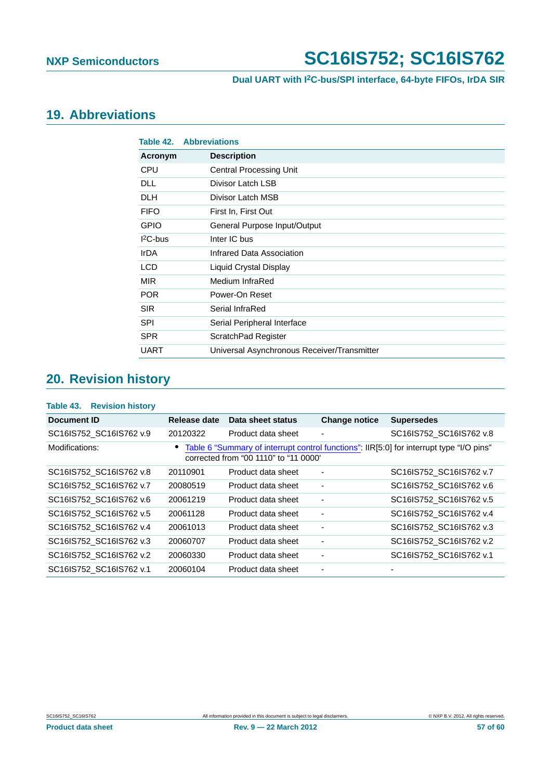## <span id="page-56-0"></span>**19. Abbreviations**

| Table 42.   | <b>Abbreviations</b>                        |
|-------------|---------------------------------------------|
| Acronym     | <b>Description</b>                          |
| <b>CPU</b>  | <b>Central Processing Unit</b>              |
| <b>DLL</b>  | Divisor Latch LSB                           |
| <b>DLH</b>  | Divisor Latch MSB                           |
| <b>FIFO</b> | First In, First Out                         |
| <b>GPIO</b> | General Purpose Input/Output                |
| $12C$ -bus  | Inter IC bus                                |
| <b>IrDA</b> | Infrared Data Association                   |
| <b>LCD</b>  | Liquid Crystal Display                      |
| <b>MIR</b>  | Medium InfraRed                             |
| <b>POR</b>  | Power-On Reset                              |
| <b>SIR</b>  | Serial InfraRed                             |
| <b>SPI</b>  | Serial Peripheral Interface                 |
| <b>SPR</b>  | ScratchPad Register                         |
| <b>UART</b> | Universal Asynchronous Receiver/Transmitter |

## <span id="page-56-1"></span>**20. Revision history**

### **Table 43. Revision history**

| Document ID             | Release date | Data sheet status                     | <b>Change notice</b>     | <b>Supersedes</b>                                                                        |
|-------------------------|--------------|---------------------------------------|--------------------------|------------------------------------------------------------------------------------------|
| SC16IS752_SC16IS762 v.9 | 20120322     | Product data sheet                    | ٠                        | SC16IS752_SC16IS762 v.8                                                                  |
| Modifications:          |              | corrected from "00 1110" to "11 0000" |                          | Table 6 "Summary of interrupt control functions": IIR[5:0] for interrupt type "I/O pins" |
| SC16IS752 SC16IS762 v.8 | 20110901     | Product data sheet                    | $\overline{\phantom{a}}$ | SC16IS752 SC16IS762 v.7                                                                  |
| SC16IS752 SC16IS762 v.7 | 20080519     | Product data sheet                    | $\overline{\phantom{a}}$ | SC16IS752 SC16IS762 v.6                                                                  |
| SC16IS752 SC16IS762 v.6 | 20061219     | Product data sheet                    | $\overline{\phantom{a}}$ | SC16IS752 SC16IS762 v.5                                                                  |
| SC16IS752_SC16IS762 v.5 | 20061128     | Product data sheet                    | ۰                        | SC16IS752 SC16IS762 v.4                                                                  |
| SC16IS752 SC16IS762 v.4 | 20061013     | Product data sheet                    | ٠                        | SC16IS752 SC16IS762 v.3                                                                  |
| SC16IS752_SC16IS762 v.3 | 20060707     | Product data sheet                    | ٠                        | SC16IS752_SC16IS762 v.2                                                                  |
| SC16IS752 SC16IS762 v.2 | 20060330     | Product data sheet                    | $\overline{\phantom{a}}$ | SC16IS752 SC16IS762 v.1                                                                  |
| SC16IS752 SC16IS762 v.1 | 20060104     | Product data sheet                    |                          |                                                                                          |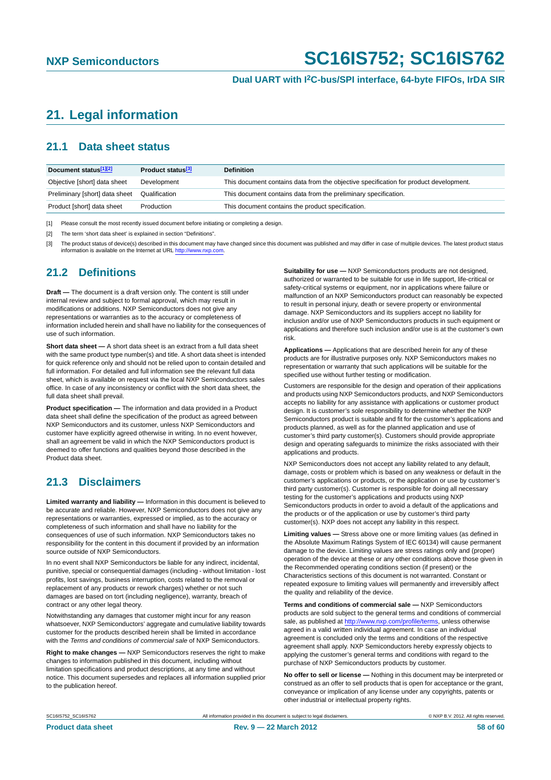## <span id="page-57-0"></span>**21. Legal information**

## <span id="page-57-1"></span>**21.1 Data sheet status**

| Document status[1][2]          | Product status <sup>[3]</sup> | <b>Definition</b>                                                                     |
|--------------------------------|-------------------------------|---------------------------------------------------------------------------------------|
| Objective [short] data sheet   | Development                   | This document contains data from the objective specification for product development. |
| Preliminary [short] data sheet | Qualification                 | This document contains data from the preliminary specification.                       |
| Product [short] data sheet     | Production                    | This document contains the product specification.                                     |

[1] Please consult the most recently issued document before initiating or completing a design.

[2] The term 'short data sheet' is explained in section "Definitions".

[3] The product status of device(s) described in this document may have changed since this document was published and may differ in case of multiple devices. The latest product status<br>information is available on the Intern

## <span id="page-57-2"></span>**21.2 Definitions**

**Draft —** The document is a draft version only. The content is still under internal review and subject to formal approval, which may result in modifications or additions. NXP Semiconductors does not give any representations or warranties as to the accuracy or completeness of information included herein and shall have no liability for the consequences of use of such information.

**Short data sheet —** A short data sheet is an extract from a full data sheet with the same product type number(s) and title. A short data sheet is intended for quick reference only and should not be relied upon to contain detailed and full information. For detailed and full information see the relevant full data sheet, which is available on request via the local NXP Semiconductors sales office. In case of any inconsistency or conflict with the short data sheet, the full data sheet shall prevail.

**Product specification —** The information and data provided in a Product data sheet shall define the specification of the product as agreed between NXP Semiconductors and its customer, unless NXP Semiconductors and customer have explicitly agreed otherwise in writing. In no event however, shall an agreement be valid in which the NXP Semiconductors product is deemed to offer functions and qualities beyond those described in the Product data sheet.

## <span id="page-57-3"></span>**21.3 Disclaimers**

**Limited warranty and liability —** Information in this document is believed to be accurate and reliable. However, NXP Semiconductors does not give any representations or warranties, expressed or implied, as to the accuracy or completeness of such information and shall have no liability for the consequences of use of such information. NXP Semiconductors takes no responsibility for the content in this document if provided by an information source outside of NXP Semiconductors.

In no event shall NXP Semiconductors be liable for any indirect, incidental, punitive, special or consequential damages (including - without limitation - lost profits, lost savings, business interruption, costs related to the removal or replacement of any products or rework charges) whether or not such damages are based on tort (including negligence), warranty, breach of contract or any other legal theory.

Notwithstanding any damages that customer might incur for any reason whatsoever, NXP Semiconductors' aggregate and cumulative liability towards customer for the products described herein shall be limited in accordance with the *Terms and conditions of commercial sale* of NXP Semiconductors.

**Right to make changes —** NXP Semiconductors reserves the right to make changes to information published in this document, including without limitation specifications and product descriptions, at any time and without notice. This document supersedes and replaces all information supplied prior to the publication hereof.

**Suitability for use —** NXP Semiconductors products are not designed, authorized or warranted to be suitable for use in life support, life-critical or safety-critical systems or equipment, nor in applications where failure or malfunction of an NXP Semiconductors product can reasonably be expected to result in personal injury, death or severe property or environmental damage. NXP Semiconductors and its suppliers accept no liability for inclusion and/or use of NXP Semiconductors products in such equipment or applications and therefore such inclusion and/or use is at the customer's own risk.

**Applications —** Applications that are described herein for any of these products are for illustrative purposes only. NXP Semiconductors makes no representation or warranty that such applications will be suitable for the specified use without further testing or modification.

Customers are responsible for the design and operation of their applications and products using NXP Semiconductors products, and NXP Semiconductors accepts no liability for any assistance with applications or customer product design. It is customer's sole responsibility to determine whether the NXP Semiconductors product is suitable and fit for the customer's applications and products planned, as well as for the planned application and use of customer's third party customer(s). Customers should provide appropriate design and operating safeguards to minimize the risks associated with their applications and products.

NXP Semiconductors does not accept any liability related to any default, damage, costs or problem which is based on any weakness or default in the customer's applications or products, or the application or use by customer's third party customer(s). Customer is responsible for doing all necessary testing for the customer's applications and products using NXP Semiconductors products in order to avoid a default of the applications and the products or of the application or use by customer's third party customer(s). NXP does not accept any liability in this respect.

**Limiting values —** Stress above one or more limiting values (as defined in the Absolute Maximum Ratings System of IEC 60134) will cause permanent damage to the device. Limiting values are stress ratings only and (proper) operation of the device at these or any other conditions above those given in the Recommended operating conditions section (if present) or the Characteristics sections of this document is not warranted. Constant or repeated exposure to limiting values will permanently and irreversibly affect the quality and reliability of the device.

**Terms and conditions of commercial sale —** NXP Semiconductors products are sold subject to the general terms and conditions of commercial sale, as published at<http://www.nxp.com/profile/terms>, unless otherwise agreed in a valid written individual agreement. In case an individual agreement is concluded only the terms and conditions of the respective agreement shall apply. NXP Semiconductors hereby expressly objects to applying the customer's general terms and conditions with regard to the purchase of NXP Semiconductors products by customer.

**No offer to sell or license —** Nothing in this document may be interpreted or construed as an offer to sell products that is open for acceptance or the grant, conveyance or implication of any license under any copyrights, patents or other industrial or intellectual property rights.

SC16IS752\_SC16IS762 All information provided in this document is subject to legal disclaimers. © NXP B.V. 2012. All rights reserved.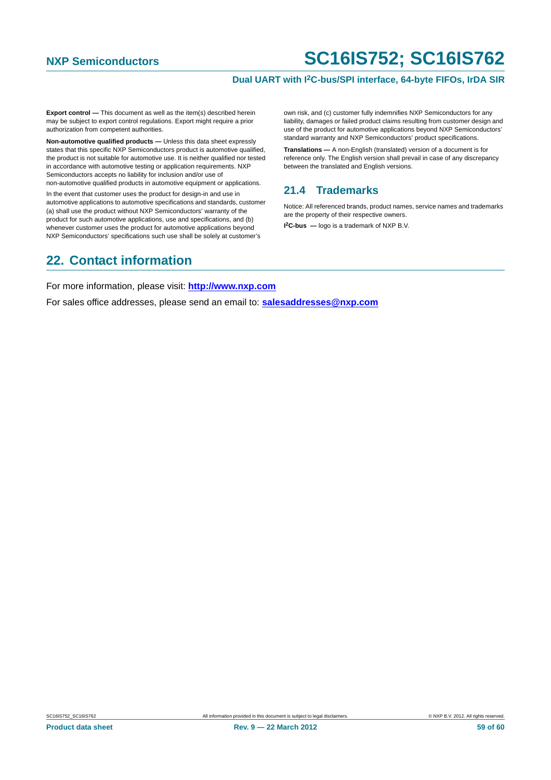## **Dual UART with I2C-bus/SPI interface, 64-byte FIFOs, IrDA SIR**

**Export control —** This document as well as the item(s) described herein may be subject to export control regulations. Export might require a prior authorization from competent authorities.

**Non-automotive qualified products —** Unless this data sheet expressly states that this specific NXP Semiconductors product is automotive qualified, the product is not suitable for automotive use. It is neither qualified nor tested in accordance with automotive testing or application requirements. NXP Semiconductors accepts no liability for inclusion and/or use of non-automotive qualified products in automotive equipment or applications.

In the event that customer uses the product for design-in and use in automotive applications to automotive specifications and standards, customer (a) shall use the product without NXP Semiconductors' warranty of the product for such automotive applications, use and specifications, and (b) whenever customer uses the product for automotive applications beyond NXP Semiconductors' specifications such use shall be solely at customer's

own risk, and (c) customer fully indemnifies NXP Semiconductors for any liability, damages or failed product claims resulting from customer design and use of the product for automotive applications beyond NXP Semiconductors' standard warranty and NXP Semiconductors' product specifications.

**Translations —** A non-English (translated) version of a document is for reference only. The English version shall prevail in case of any discrepancy between the translated and English versions.

## <span id="page-58-0"></span>**21.4 Trademarks**

Notice: All referenced brands, product names, service names and trademarks are the property of their respective owners.

**I 2C-bus —** logo is a trademark of NXP B.V.

## <span id="page-58-1"></span>**22. Contact information**

For more information, please visit: **http://www.nxp.com**

For sales office addresses, please send an email to: **salesaddresses@nxp.com**